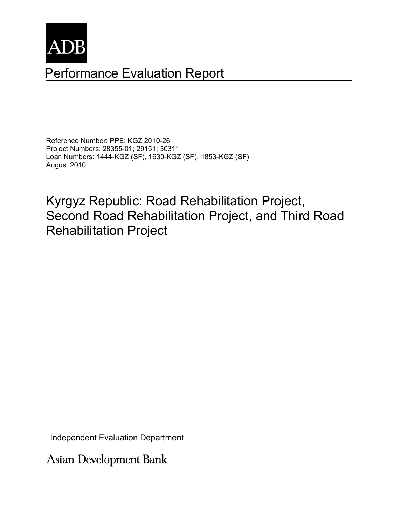

# Performance Evaluation Report

Reference Number: PPE: KGZ 2010-26 Project Numbers: 28355-01; 29151; 30311 Loan Numbers: 1444-KGZ (SF), 1630-KGZ (SF), 1853-KGZ (SF) August 2010

Kyrgyz Republic: Road Rehabilitation Project, Second Road Rehabilitation Project, and Third Road Rehabilitation Project

Independent Evaluation Department

**Asian Development Bank**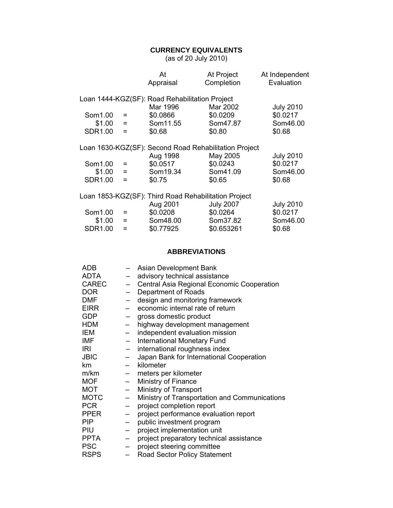#### **CURRENCY EQUIVALENTS**

(as of 20 July 2010)

|                |                           | At                                                    | At Project       | At Independent   |
|----------------|---------------------------|-------------------------------------------------------|------------------|------------------|
|                |                           | Appraisal                                             | Completion       | Evaluation       |
|                |                           |                                                       |                  |                  |
|                |                           | Loan 1444-KGZ(SF): Road Rehabilitation Project        |                  |                  |
|                |                           | Mar 1996                                              | Mar 2002         | <b>July 2010</b> |
| Som1.00        | $=$                       | \$0.0866                                              | \$0.0209         | \$0.0217         |
| \$1.00         | $\mathbf{r} = \mathbf{r}$ | Som11.55                                              | Som47.87         | Som46.00         |
| <b>SDR1.00</b> | $=$                       | \$0.68                                                | \$0.80           | \$0.68           |
|                |                           |                                                       |                  |                  |
|                |                           | Loan 1630-KGZ(SF): Second Road Rehabilitation Project |                  |                  |
|                |                           | Aug 1998                                              | May 2005         | <b>July 2010</b> |
| Som1.00        | $=$                       | \$0.0517                                              | \$0.0243         | \$0.0217         |
| $$1.00 =$      |                           | Som19.34                                              | Som41.09         | Som46.00         |
| <b>SDR1.00</b> | $=$                       | \$0.75                                                | \$0.65           | \$0.68           |
|                |                           |                                                       |                  |                  |
|                |                           | Loan 1853-KGZ(SF): Third Road Rehabilitation Project  |                  |                  |
|                |                           | Aug 2001                                              | <b>July 2007</b> | <b>July 2010</b> |
| Som1.00        | $=$                       | \$0.0208                                              | \$0.0264         | \$0.0217         |
| \$1.00         | $=$                       | Som48.00                                              | Som37.82         | Som46.00         |
| SDR1.00        | $=$                       | \$0.77925                                             | \$0.653261       | \$0.68           |

#### **ABBREVIATIONS**

| ADB          |                          | Asian Development Bank                        |
|--------------|--------------------------|-----------------------------------------------|
| <b>ADTA</b>  |                          | advisory technical assistance                 |
| <b>CAREC</b> |                          | Central Asia Regional Economic Cooperation    |
| <b>DOR</b>   |                          | Department of Roads                           |
| <b>DMF</b>   |                          | design and monitoring framework               |
| <b>EIRR</b>  |                          | economic internal rate of return              |
| <b>GDP</b>   | $\overline{\phantom{0}}$ | gross domestic product                        |
| <b>HDM</b>   |                          | highway development management                |
| IEM          | $\equiv$                 | independent evaluation mission                |
| IMF          |                          | International Monetary Fund                   |
| IRI          |                          | international roughness index                 |
| <b>JBIC</b>  |                          | Japan Bank for International Cooperation      |
| km           |                          | kilometer                                     |
| m/km         | $\overline{\phantom{0}}$ | meters per kilometer                          |
| <b>MOF</b>   | $\equiv$                 | Ministry of Finance                           |
| <b>MOT</b>   | $-$                      | Ministry of Transport                         |
| <b>MOTC</b>  | $-$                      | Ministry of Transportation and Communications |
| <b>PCR</b>   | $\overline{\phantom{0}}$ | project completion report                     |
| <b>PPER</b>  |                          | project performance evaluation report         |
| <b>PIP</b>   |                          | public investment program                     |
| PIU          | $\qquad \qquad -$        | project implementation unit                   |
| <b>PPTA</b>  | $\overline{\phantom{0}}$ | project preparatory technical assistance      |
| <b>PSC</b>   | $\overline{\phantom{0}}$ | project steering committee                    |
| <b>RSPS</b>  | $\equiv$                 | <b>Road Sector Policy Statement</b>           |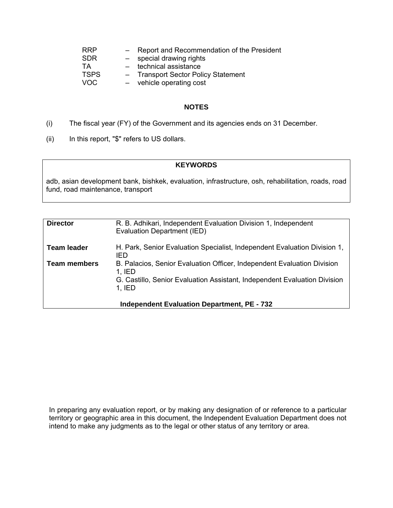| <b>RRP</b>  | $\overline{\phantom{a}}$ | Report and Recommendation of the President |
|-------------|--------------------------|--------------------------------------------|
| <b>SDR</b>  | $-$                      | special drawing rights                     |
| TA          | $\sim$ $\sim$            | technical assistance                       |
| <b>TSPS</b> |                          | - Transport Sector Policy Statement        |
| VOC         | $-$                      | vehicle operating cost                     |

#### **NOTES**

- (i) The fiscal year (FY) of the Government and its agencies ends on 31 December.
- (ii) In this report, "\$" refers t o US dollars.

#### **KEYWORDS**

adb, asian development bank, bishkek, evaluation, infrastructure, osh, rehabilitation, roads, road fund, road maintenance, transport

| <b>Director</b>     | R. B. Adhikari, Independent Evaluation Division 1, Independent<br>Evaluation Department (IED) |
|---------------------|-----------------------------------------------------------------------------------------------|
| <b>Team leader</b>  | H. Park, Senior Evaluation Specialist, Independent Evaluation Division 1,<br>IED              |
| <b>Team members</b> | B. Palacios, Senior Evaluation Officer, Independent Evaluation Division<br>$1.$ IED           |
|                     | G. Castillo, Senior Evaluation Assistant, Independent Evaluation Division<br>$1.$ IED         |
|                     | <b>Independent Evaluation Department, PE - 732</b>                                            |

In preparing any evaluation report, or by making any designation of or reference to a particular territory or geographic area in this document, the Independent Evaluation Department does not intend to make any judgments as to the legal or other status of any territory or area.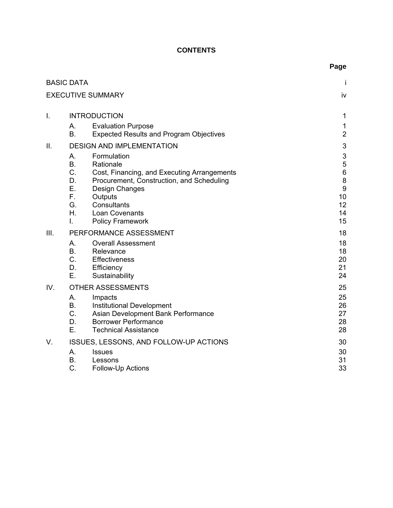# **CONTENTS**

|      |                                                                                                                                                                                                                                                                                                                        | Page                                                                                                                        |
|------|------------------------------------------------------------------------------------------------------------------------------------------------------------------------------------------------------------------------------------------------------------------------------------------------------------------------|-----------------------------------------------------------------------------------------------------------------------------|
|      | <b>BASIC DATA</b>                                                                                                                                                                                                                                                                                                      | İ                                                                                                                           |
|      | <b>EXECUTIVE SUMMARY</b>                                                                                                                                                                                                                                                                                               | iv                                                                                                                          |
| Ι.   | <b>INTRODUCTION</b>                                                                                                                                                                                                                                                                                                    | $\mathbf 1$                                                                                                                 |
|      | <b>Evaluation Purpose</b><br>A.<br><b>B.</b><br><b>Expected Results and Program Objectives</b>                                                                                                                                                                                                                         | $\mathbf{1}$<br>$\overline{2}$                                                                                              |
| II.  | <b>DESIGN AND IMPLEMENTATION</b><br>Formulation<br>Α.<br><b>B.</b><br>Rationale<br>C.<br>Cost, Financing, and Executing Arrangements<br>D.<br>Procurement, Construction, and Scheduling<br>E.<br>Design Changes<br>F.,<br>Outputs<br>G.<br>Consultants<br>Η.<br><b>Loan Covenants</b><br>L.<br><b>Policy Framework</b> | $\ensuremath{\mathsf{3}}$<br>$\ensuremath{\mathsf{3}}$<br>5<br>$\,6$<br>$\bf 8$<br>$\boldsymbol{9}$<br>10<br>12<br>14<br>15 |
| III. | PERFORMANCE ASSESSMENT<br><b>Overall Assessment</b><br>Α.<br><b>B.</b><br>Relevance<br>C.<br><b>Effectiveness</b><br>Efficiency<br>D.<br>Sustainability<br>Е.                                                                                                                                                          | 18<br>18<br>18<br>20<br>21<br>24                                                                                            |
| IV.  | <b>OTHER ASSESSMENTS</b><br>А.<br>Impacts<br><b>B.</b><br>Institutional Development<br>C.<br>Asian Development Bank Performance<br>D.<br><b>Borrower Performance</b><br>Е.<br><b>Technical Assistance</b>                                                                                                              | 25<br>25<br>26<br>27<br>28<br>28                                                                                            |
| V.   | ISSUES, LESSONS, AND FOLLOW-UP ACTIONS<br>А.<br><b>Issues</b><br><b>B.</b><br>Lessons<br>C.<br><b>Follow-Up Actions</b>                                                                                                                                                                                                | 30<br>30<br>31<br>33                                                                                                        |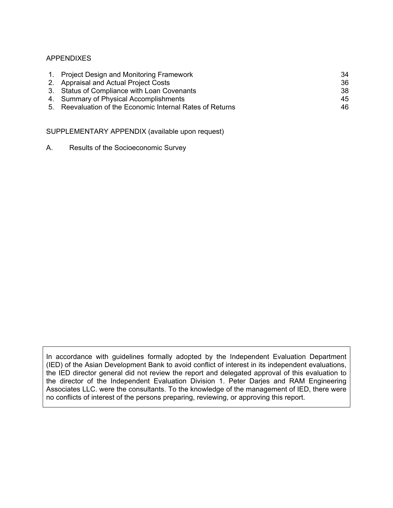#### APPENDIXES

| 1. Project Design and Monitoring Framework                | 34  |
|-----------------------------------------------------------|-----|
| 2. Appraisal and Actual Project Costs                     | 36  |
| 3. Status of Compliance with Loan Covenants               | 38  |
| 4. Summary of Physical Accomplishments                    | 45  |
| 5. Reevaluation of the Economic Internal Rates of Returns | 46. |
|                                                           |     |

SUPPLEMENTARY APPENDIX (available upon request)

A. Results of the Socioeconomic Survey

In accordance with guidelines formally adopted by the Independent Evaluation Department (IED) of the Asian Development Bank to avoid conflict of interest in its independent evaluations, the IED director general did not review the report and delegated approval of this evaluation to the director of the Independent Evaluation Division 1. Peter Darjes and RAM Engineering Associates LLC. were the consultants. To the knowledge of the management of IED, there were no conflicts of interest of the persons preparing, reviewing, or approving this report.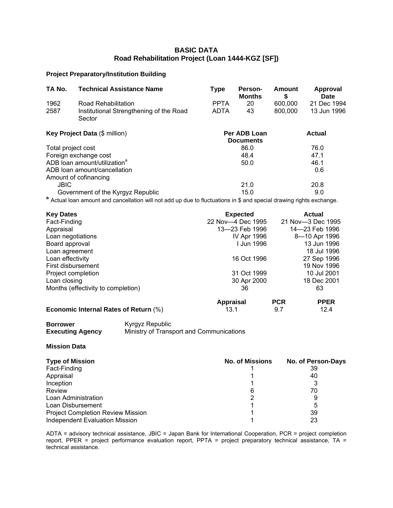#### **BASIC DATA Road Rehabilitation Project (Loan 1444-KGZ [SF])**

#### **Project Preparatory/Institution Building**

| TA No.             | <b>Technical Assistance Name</b>                                                                                     | <b>Type</b> | Person-<br><b>Months</b>         | <b>Amount</b><br>\$ | Approval<br><b>Date</b> |
|--------------------|----------------------------------------------------------------------------------------------------------------------|-------------|----------------------------------|---------------------|-------------------------|
| 1962               | Road Rehabilitation                                                                                                  | <b>PPTA</b> | 20                               | 600,000             | 21 Dec 1994             |
| 2587               | Institutional Strengthening of the Road<br>Sector                                                                    | <b>ADTA</b> | 43                               | 800,000             | 13 Jun 1996             |
|                    | Key Project Data (\$ million)                                                                                        |             | Per ADB Loan<br><b>Documents</b> |                     | <b>Actual</b>           |
| Total project cost |                                                                                                                      |             | 86.0                             |                     | 76.0                    |
|                    | Foreign exchange cost                                                                                                |             | 48.4                             |                     | 47.1                    |
|                    | ADB loan amount/utilization <sup>a</sup>                                                                             |             | 50.0                             |                     | 46.1                    |
|                    | ADB loan amount/cancellation                                                                                         |             |                                  |                     | 0.6                     |
|                    | Amount of cofinancing                                                                                                |             |                                  |                     |                         |
| <b>JBIC</b>        |                                                                                                                      |             | 21.0                             |                     | 20.8                    |
|                    | Government of the Kyrgyz Republic                                                                                    |             | 15.0                             |                     | 9.0                     |
|                    | a Actual loan amount and cancellation will not add up due to fluctuations in \$ and special drawing rights exchange. |             |                                  |                     |                         |

| <b>Key Dates</b>                      | <b>Expected</b>   |            | <b>Actual</b>     |
|---------------------------------------|-------------------|------------|-------------------|
| Fact-Finding                          | 22 Nov-4 Dec 1995 |            | 21 Nov-3 Dec 1995 |
| Appraisal                             | 13-23 Feb 1996    |            | 14-23 Feb 1996    |
| Loan negotiations                     | IV Apr 1996       |            | 8-10 Apr 1996     |
| Board approval                        | l Jun 1996        |            | 13 Jun 1996       |
| Loan agreement                        |                   |            | 18 Jul 1996       |
| Loan effectivity                      | 16 Oct 1996       |            | 27 Sep 1996       |
| First disbursement                    |                   |            | 19 Nov 1996       |
| Project completion                    | 31 Oct 1999       |            | 10 Jul 2001       |
| Loan closing                          | 30 Apr 2000       |            | 18 Dec 2001       |
| Months (effectivity to completion)    | 36                |            | 63                |
|                                       | <b>Appraisal</b>  | <b>PCR</b> | <b>PPER</b>       |
| Economic Internal Rates of Return (%) | 13.1              | 9.7        | 12.4              |

|  |  |  |  | <b>Economic Internal Rates of Return (%)</b> |  |
|--|--|--|--|----------------------------------------------|--|
|--|--|--|--|----------------------------------------------|--|

**Borro Executing Age** **Kyrgyz Republic** 

**ncy** Ministry of Transport and Communications

#### **Mission Data**

| <b>Type of Mission</b>                   | <b>No. of Missions</b> | No. of Person-Days |
|------------------------------------------|------------------------|--------------------|
| Fact-Finding                             |                        | 39                 |
| Appraisal                                |                        | 40                 |
| Inception                                |                        |                    |
| Review                                   |                        | 70                 |
| Loan Administration                      |                        |                    |
| Loan Disbursement                        |                        |                    |
| <b>Project Completion Review Mission</b> |                        | 39                 |
| <b>Independent Evaluation Mission</b>    |                        | 23                 |

ADTA = advisory technical assistance, JBIC = Japan Bank for International Cooperation, PCR = project completion report, PPER = project performance evaluation report, PPTA = project preparatory technical assistance, TA = technical assistance.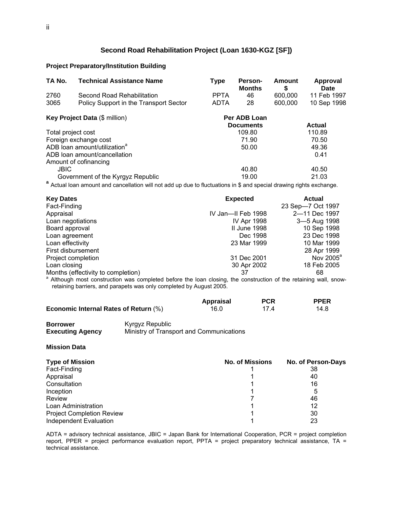#### **Second Road Rehabilitation Project (Loan 1630-KGZ [SF])**

#### **Project Preparatory/Institution Building**

| TA No.                                   | <b>Technical Assistance Name</b>                                                                                     | <b>Type</b> | Person-<br><b>Months</b> | Amount<br>\$ | Approval<br><b>Date</b> |
|------------------------------------------|----------------------------------------------------------------------------------------------------------------------|-------------|--------------------------|--------------|-------------------------|
| 2760                                     | Second Road Rehabilitation                                                                                           | <b>PPTA</b> | 46                       | 600,000      | 11 Feb 1997             |
| 3065                                     | Policy Support in the Transport Sector                                                                               | <b>ADTA</b> | 28                       | 600,000      | 10 Sep 1998             |
|                                          | <b>Key Project Data (\$ million)</b>                                                                                 |             | Per ADB Loan             |              |                         |
|                                          |                                                                                                                      |             | <b>Documents</b>         |              | <b>Actual</b>           |
| Total project cost                       |                                                                                                                      |             | 109.80                   |              | 110.89                  |
|                                          | Foreign exchange cost                                                                                                |             | 71.90                    |              | 70.50                   |
| ADB loan amount/utilization <sup>a</sup> |                                                                                                                      |             | 50.00                    |              | 49.36                   |
|                                          | ADB loan amount/cancellation                                                                                         |             |                          |              | 0.41                    |
|                                          | Amount of cofinancing                                                                                                |             |                          |              |                         |
| <b>JBIC</b>                              |                                                                                                                      |             | 40.80                    |              | 40.50                   |
| Government of the Kyrgyz Republic        |                                                                                                                      |             | 19.00                    |              | 21.03                   |
|                                          | a Actual loan amount and cancellation will not add up due to fluctuations in \$ and special drawing rights exchange. |             |                          |              |                         |

| <b>Key Dates</b>                                                                                                             | <b>Expected</b>    | <b>Actual</b>         |
|------------------------------------------------------------------------------------------------------------------------------|--------------------|-----------------------|
| Fact-Finding                                                                                                                 |                    | 23 Sep-7 Oct 1997     |
| Appraisal                                                                                                                    | IV Jan—II Feb 1998 | 2-11 Dec 1997         |
| Loan negotiations                                                                                                            | <b>IV Apr 1998</b> | 3-5 Aug 1998          |
| Board approval                                                                                                               | II June 1998       | 10 Sep 1998           |
| Loan agreement                                                                                                               | Dec 1998           | 23 Dec 1998           |
| Loan effectivity                                                                                                             | 23 Mar 1999        | 10 Mar 1999           |
| First disbursement                                                                                                           |                    | 28 Apr 1999           |
| Project completion                                                                                                           | 31 Dec 2001        | Nov 2005 <sup>ª</sup> |
| Loan closing                                                                                                                 | 30 Apr 2002        | 18 Feb 2005           |
| Months (effectivity to completion)                                                                                           | 37                 | 68                    |
| <sup>a</sup> Although most construction was completed before the loan closing, the construction of the retaining wall, snow- |                    |                       |

retaining barriers, and parapets was only completed by August 2005. truction was completed before the loan

|                                              | <b>Appraisal</b> | <b>PCR</b> | <b>PPER</b> |
|----------------------------------------------|------------------|------------|-------------|
| <b>Economic Internal Rates of Return (%)</b> | 16.0             | 174        | 14.8        |

**Borrowe Execu** 

**r** Kyrgyz Republic **ting Agency** Ministry of Transport and Communications

#### **Mission Data**

| <b>Type of Mission</b>           | <b>No. of Missions</b> | No. of Person-Days |
|----------------------------------|------------------------|--------------------|
| Fact-Finding                     |                        | 38                 |
| Appraisal                        |                        | 40                 |
| Consultation                     |                        | 16                 |
| Inception                        |                        | 5                  |
| Review                           |                        | 46                 |
| Loan Administration              |                        | 12                 |
| <b>Project Completion Review</b> |                        | 30                 |
| Independent Evaluation           |                        | 23                 |

ADTA = advisory technical assistance, JBIC = Japan Bank for International Cooperation, PCR = project completion report, PPER = project performance evaluation report, PPTA = project preparatory technical assistance, TA = technical assistance.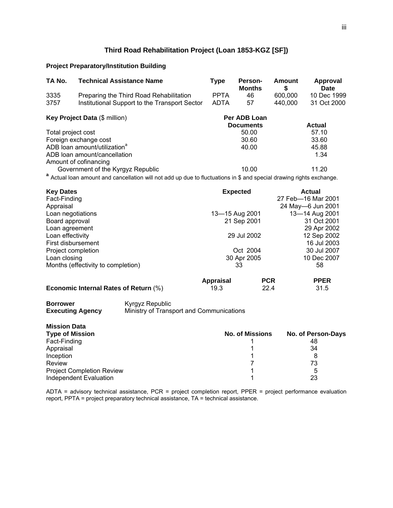#### **Rehabilitation Project (Loan 1853-KGZ [SF]) Third Road**

#### **Project Preparatory/Institution Building**

| TA No.                               | <b>Technical Assistance Name</b>                                                                                     | <b>Type</b> | Person-<br><b>Months</b> | <b>Amount</b><br>\$ | Approval<br>Date |
|--------------------------------------|----------------------------------------------------------------------------------------------------------------------|-------------|--------------------------|---------------------|------------------|
| 3335                                 | Preparing the Third Road Rehabilitation                                                                              | <b>PPTA</b> | 46                       | 600,000             | 10 Dec 1999      |
| 3757                                 | Institutional Support to the Transport Sector                                                                        | <b>ADTA</b> | 57                       | 440.000             | 31 Oct 2000      |
| <b>Key Project Data (\$ million)</b> |                                                                                                                      |             | Per ADB Loan             |                     |                  |
|                                      |                                                                                                                      |             | <b>Documents</b>         |                     | <b>Actual</b>    |
| Total project cost                   |                                                                                                                      |             | 50.00                    |                     | 57.10            |
| Foreign exchange cost                |                                                                                                                      |             | 30.60                    |                     | 33.60            |
|                                      | ADB loan amount/utilization <sup>a</sup>                                                                             |             | 40.00                    |                     | 45.88            |
|                                      | ADB loan amount/cancellation                                                                                         |             |                          |                     | 1.34             |
|                                      | Amount of cofinancing                                                                                                |             |                          |                     |                  |
|                                      | Government of the Kyrgyz Republic                                                                                    |             | 10.00                    |                     | 11.20            |
|                                      | a Actual loan amount and cancellation will not add up due to fluctuations in \$ and special drawing rights exchange. |             |                          |                     |                  |

| <b>Key Dates</b>                   | <b>Expected</b> | <b>Actual</b>      |
|------------------------------------|-----------------|--------------------|
| Fact-Finding                       |                 | 27 Feb-16 Mar 2001 |
| Appraisal                          |                 | 24 May-6 Jun 2001  |
| Loan negotiations                  | 13-15 Aug 2001  | 13-14 Aug 2001     |
| Board approval                     | 21 Sep 2001     | 31 Oct 2001        |
| Loan agreement                     |                 | 29 Apr 2002        |
| Loan effectivity                   | 29 Jul 2002     | 12 Sep 2002        |
| First disbursement                 |                 | 16 Jul 2003        |
| Project completion                 | Oct 2004        | 30 Jul 2007        |
| Loan closing                       | 30 Apr 2005     | 10 Dec 2007        |
| Months (effectivity to completion) | 33              | 58                 |
|                                    |                 |                    |

|                                              | Appraisal | <b>PCR</b> | <b>PPER</b> |
|----------------------------------------------|-----------|------------|-------------|
| <b>Economic Internal Rates of Return (%)</b> | 19.3      | 22.4       | 31.5        |

#### **Borrower Executing Agency**

**ower** Kyrgyz Republic

Ministry of Transport and Communications

| <b>Mission Data</b>              |                        |                    |
|----------------------------------|------------------------|--------------------|
| <b>Type of Mission</b>           | <b>No. of Missions</b> | No. of Person-Days |
| Fact-Finding                     |                        | 48                 |
| Appraisal                        |                        | 34                 |
| Inception                        |                        |                    |
| Review                           |                        | 73                 |
| <b>Project Completion Review</b> |                        | 5                  |
| Independent Evaluation           |                        | 23                 |

ADTA = advisory technical assistance, PCR = project completion report, PPER = project performance evaluation report, PPTA = project preparatory technical assistance, TA = technical assistance.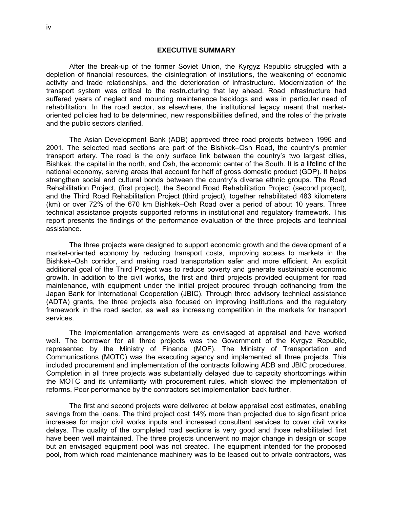#### **EXECUTIVE SUMMARY**

 After the break-up of the former Soviet Union, the Kyrgyz Republic struggled with a depletion of financial resources, the disintegration of institutions, the weakening of economic activity and trade relationships, and the deterioration of infrastructure. Modernization of the transport system was critical to the restructuring that lay ahead. Road infrastructure had suffered years of neglect and mounting maintenance backlogs and was in particular need of rehabilitation. In the road sector, as elsewhere, the institutional legacy meant that marketoriented policies had to be determined, new responsibilities defined, and the roles of the private and the public sectors clarified.

The Asian Development Bank (ADB) approved three road projects be tween 1996 and 2001. The selected road sections are part of the Bishkek–Osh Road, the c ountry's premier transport artery. The road is the only surface link between the country's tw o largest cities, Bishkek, the capital in the north, and Osh, the economic center of the South. It is a lifeline of the national economy, serving areas that account for half of gross domestic produc t (GDP). It helps strengthen social and cultural bonds between the country's diverse ethnic groups. The Road Rehabilitation Project, (first project), the Second Road Rehabilitation Project ( second project), and the Th ird Road Rehabilitation Project (third project), together rehabilitated 483 kilometers (km) or over 72% of the 670 km Bishkek–Osh Road over a period of about 10 years. Three technical assistance projects supported reforms in institutional and regulatory framework. This report presents the findings of the performance evaluation of the three projects and technical assistance.

The three projects were designed to support economic growth and the development of a market-oriented economy by reducing transport costs, improving access to markets in the Bishkek–Osh corridor, and making road transportation safer and more efficient. An explicit additional goal of the Third Project was to reduce poverty and generate sustainable economic growth. In addition to the civil works, the first and third projects provided equipment for road maintenance, with equipment under the initial project procured through cofinancing from the Japan Bank for International Cooperation (JBIC). Through three advisory technical assistance (ADTA) grants, the three projects also focused on improving institutions and the regulatory framework in the road sector, as well as increasing competition in the markets for transport services.

The implementation arrangements were as envisaged at appraisal and have worked well. The borrower for all three projects was the Government of the Kyrgyz Republic, represented by the Ministry of Finance (MOF). The Ministry of Transportation and Communications (MOTC) was the executing agency and implemented all three projects. This included procurement and implementation of the contracts following ADB and JBIC procedures. Completion in all three projects was substantially delayed due to capacity shortcomings within the MOTC and its unfamiliarity with procurement rules, which slowed the implementation of reforms. Poor performance by the contractors set implementation back further.

The first and second projects were delivered at below appraisal cost estimates, enabling savings from the loans. The third project cost 14% more than projected due to significant price increases for major civil works inputs and increased consultant services to cover civil works delays. The quality of the completed road sections is very good and those rehabilitated first have been well maintained. The three projects underwent no major change in design or scope but an envisaged equipment pool was not created. The equipment intended for the proposed pool, from which road maintenance machinery was to be leased out to private contractors, was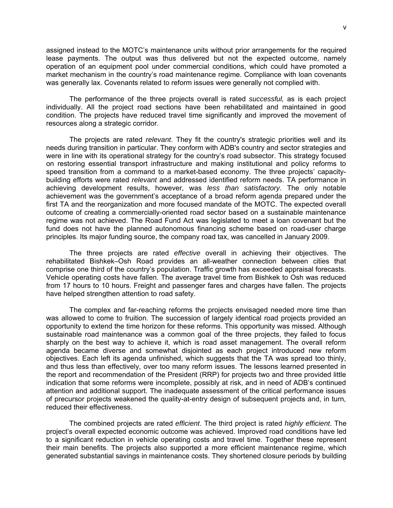assigned instead to the MOTC's maintenance units without prior arrangements for the required lease payments. The output was thus delivered but not the expected o utcome, namely operation of an equipment pool under commercial conditions, which could h ave promoted a market mechanism in the country's road maintenance regime. Compliance with loan covenants was generally lax. Covenants related to reform issues were generally not complied with.

The performance of the three projects overall is rated *successful*, as is each project individually. All the project road sections have been rehabilitated and maintained in good condition. The projects have reduced travel time significantly and improved the movement of resources along a strategic corridor.

The projects are rated *relevant*. They fit the country's strategic priorities well and its needs during transition in particular. They conform with ADB's country and sector strategies and were in line with its operational strategy for the country's road subsector. This strategy focused on restoring essential transport infrastructure and making institutional and policy reforms to speed transition from a command to a market-based economy. The three projects' capacitybuilding efforts were rated *relevant* and addressed identified reform needs. TA performance in achieving development results, however, was less than satisfactory. The only notable achievement was the government's acceptance of a broad reform agenda prepared under the first TA and the reorganization and more focused mandate of the MOTC. The expected overall outcome of creating a commercially-oriented road sector based on a sustainable maintenance regime was not achieved. The Road Fund Act was legislated to meet a loan covenant but the fund does not have the planned autonomous financing scheme based on road-user charge principles. Its major funding source, the company road tax, was cancelled in January 2009.

 The three projects are rated *effective* overall in achieving their objectives. The rehabilitated Bishkek–Osh Road provides an all-weather connection between cities that comprise one third of the country's population. Traffic growth has exceeded appraisal forecasts. Vehicle operating costs have fallen. The average travel time from Bishkek to Osh was reduced from 17 hours to 10 hours. Freight and passenger fares and charges have fallen. The projects have helped strengthen attention to road safety.

The complex and far-reaching reforms the projects envisaged needed more time than was allowed to come to fruition. The succession of largely identical road projects provided an opportunity to extend the time horizon for these reforms. This opportunity was missed. Although sustainable road maintenance was a common goal of the three projects, they failed to focus sharply on the best way to achieve it, which is road asset management. The overall reform agenda became diverse and somewhat disjointed as each project introduced new reform objectives. Each left its agenda unfinished, which suggests that the TA was spread too thinly, and thus less than effectively, over too many reform issues. The lessons learned presented in the report and recommendation of the President (RRP) for projects two and three provided little indication that some reforms were incomplete, possibly at risk, and in need of ADB's continued attention and additional support. The inadequate assessment of the critical performance issues of precursor projects weakened the quality-at-entry design of subsequent projects and, in turn, reduced their effectiveness.

The combined projects are rated *efficient*. The third project is rated *highly efficient*. The project's overall expected economic outcome was achieved. Improved road conditions have led to a significant reduction in vehicle operating costs and travel time. Together these represent their main benefits. The projects also supported a more efficient maintenance regime, which generated substantial savings in maintenance costs. They shortened closure periods by building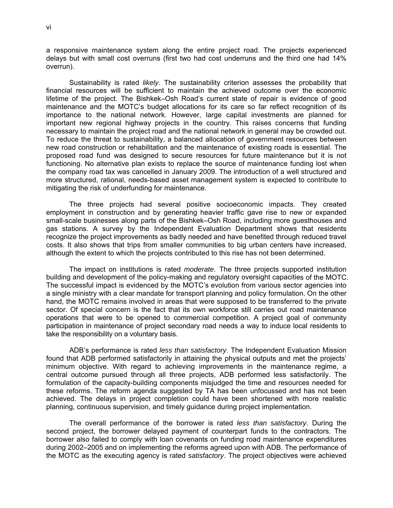a responsive maintenance system along the entire project road. The proje cts experienced delays but with small cost overruns (first two had cost underruns and the third one had 14% ove rrun).

Sustainability is rated *likely*. The sustainability criterion assesses the probability that financial resources will be sufficient to maintain the achieved outcome over the economic lifetime of the project. The Bishkek–Osh Road's current state of repair is evidence of good maintenance and the MOTC's budget allocations for its care so far reflect recognition of its importance to the national network. However, large capital investments are planned for important new regional highway projects in the country. This raises concerns that funding necessary to maintain the project road and the national network in general may be crowded out. To reduce the threat to sustainability, a balanced allocation of government resources between new road construction or rehabilitation and the maintenance of existing roads is essential. The proposed road fund was designed to secure resources for future maintenance but it is not functioning. No alternative plan exists to replace the source of maintenance funding lost when the company road tax was cancelled in January 2009. The introduction of a well structured and more structured, rational, needs-based asset management system is expected to contribute to mitigating the risk of underfunding for maintenance.

The three projects had several positive socioeconomic impacts. They created employment in construction and by generating heavier traffic gave rise to new or expanded small-scale businesses along parts of the Bishkek–Osh Road, including more guesthouses and gas stations. A survey by the Independent Evaluation Department shows that residents recognize the project improvements as badly needed and have benefited through reduced travel costs. It also shows that trips from smaller communities to big urban centers have increased, although the extent to which the projects contributed to this rise has not been determined.

The impact on institutions is rated *moderate*. The three projects supported institution building and development of the policy-making and regulatory oversight capacities of the MOTC. The successful impact is evidenced by the MOTC's evolution from various sector agencies into a single ministry with a clear mandate for transport planning and policy formulation. On the other hand, the MOTC remains involved in areas that were supposed to be transferred to the private sector. Of special concern is the fact that its own workforce still carries out road maintenance operations that were to be opened to commercial competition. A project goal of community participation in maintenance of project secondary road needs a way to induce local residents to take the responsibility on a voluntary basis.

ADB's performance is rated *less than satisfactory*. The Independent Evaluation Mission found that ADB performed satisfactorily in attaining the physical outputs and met the projects' minimum objective. With regard to achieving improvements in the maintenance regime, a central outcome pursued through all three projects, ADB performed less satisfactorily. The formulation of the capacity-building components misjudged the time and resources needed for these reforms. The reform agenda suggested by TA has been unfocussed and has not been achieved. The delays in project completion could have been shortened with more realistic planning, continuous supervision, and timely guidance during project implementation.

The overall performance of the borrower is rated *less than satisfactory*. During the second project, the borrower delayed payment of counterpart funds to the contractors. The borrower also failed to comply with loan covenants on funding road maintenance expenditures during 2002–2005 and on implementing the reforms agreed upon with ADB. The performance of the MOTC as the executing agency is rated *satisfactory*. The project objectives were achieved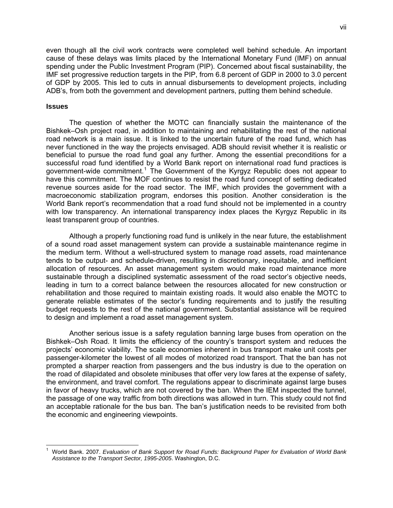even though all the civil work contracts were completed well behind schedu le. An important cause of these delays was limits placed by the International Monetary Fund (IMF) on annual spending under the Public Investment Program (PIP). Concerned about fiscal s ustainability, the IMF set progressive reduction targets in the PIP, from 6.8 percent of GDP in 2000 to 3.0 percent of GDP by 2005. This led to cuts in annual disbursements to development projects, including ADB's, from both the government and development partners, putting them behind schedule.

#### **Issues**

The question of whether the MOTC can financially sustain the maintenance of the Bishkek–Osh project road, in addition to maintaining and rehabilitating the rest of the national road network is a main issue. It is linked to the uncertain future of the road fund, which has never functioned in the way the projects envisaged. ADB should revisit whether it is realistic or beneficial to pursue the road fund goal any further. Among the essential preconditions for a successful road fund identified by a World Bank report on international road fund practices is government-wide commitment.<sup>[1](#page-11-0)</sup> The Government of the Kyrgyz Republic does not appear to have this commitment. The MOF continues to resist the road fund concept of setting dedicated revenue sources aside for the road sector. The IMF, which provides the government with a macroeconomic stabilization program, endorses this position. Another consideration is the World Bank report's recommendation that a road fund should not be implemented in a country with low transparency. An international transparency index places the Kyrgyz Republic in its least transparent group of countries.

Although a properly functioning road fund is unlikely in the near future, the establishment of a sound road asset management system can provide a sustainable maintenance regime in the medium term. Without a well-structured system to manage road assets, road maintenance tends to be output- and schedule-driven, resulting in discretionary, inequitable, and inefficient allocation of resources. An asset management system would make road maintenance more sustainable through a disciplined systematic assessment of the road sector's objective needs, leading in turn to a correct balance between the resources allocated for new construction or rehabilitation and those required to maintain existing roads. It would also enable the MOTC to generate reliable estimates of the sector's funding requirements and to justify the resulting budget requests to the rest of the national government. Substantial assistance will be required to design and implement a road asset management system.

Another serious issue is a safety regulation banning large buses from operation on the Bishkek–Osh Road. It limits the efficiency of the country's transport system and reduces the projects' economic viability. The scale economies inherent in bus transport make unit costs per passenger-kilometer the lowest of all modes of motorized road transport. That the ban has not prompted a sharper reaction from passengers and the bus industry is due to the operation on the road of dilapidated and obsolete minibuses that offer very low fares at the expense of safety, the environment, and travel comfort. The regulations appear to discriminate against large buses in favor of heavy trucks, which are not covered by the ban. When the IEM inspected the tunnel, the passage of one way traffic from both directions was allowed in turn. This study could not find an acceptable rationale for the bus ban. The ban's justification needs to be revisited from both the economic and engineering viewpoints.

<span id="page-11-0"></span> 1 World Bank. 2007. *Evaluation of Bank Support for Road Funds: Background Paper for Evaluation of World Bank Assistance to the Transport Sector, 1995-2005*. Washington, D.C.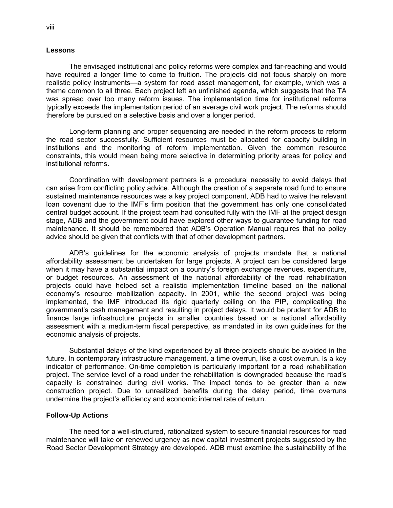#### **Lessons**

The envisaged institutional and policy reforms were complex and far-reaching and would have required a longer time to come to fruition. The projects did not focus sharply on more realistic policy instruments—a system for road asset management, for example, which was a theme common to all three. Each project left an unfinished agenda, which suggests that the TA was spread over too many reform issues. The implementation time for institutional reforms typically exceeds the implementation period of an average civil work project. The reforms should therefore be pursued on a selective basis and over a longer period.

Long-term planning and proper sequencing are needed in the reform process to reform the road sector successfully. Sufficient resources must be allocated for capacity building in institutions and the monitoring of reform implementation. Given the common resource constraints, this would mean being more selective in determining priority areas for policy and institutional reforms.

Coordination with development partners is a procedural necessity to avoid delays that can arise from conflicting policy advice. Although the creation of a separate road fund to ensure loan covenant due to the IMF's firm position that the government has only one consolidated central budget account. If the project team had consulted fully with the IMF at the project design stage, ADB and the government could have explored other ways to guarantee funding for road maintenance. It should be remembered that ADB's Operation Manual requires that no policy sustained maintenance resources was a key project component, ADB had to waive the relevant advice should be given that conflicts with that of other development partners.

ADB's guidelines for the economic analysis of projects mandate that a national affordability assessment be undertaken for large projects. A project can be considered large when it may have a substantial impact on a country's foreign exchange revenues, expenditure, or budget resources. An assessment of the national affordability of the road rehabilitation projects could have helped set a realistic implementation timeline based on the national economy's resource mobilization capacity. In 2001, while the second project was being implemented, the IMF introduced its rigid quarterly ceiling on the PIP, complicating the government's cash management and resulting in project delays. It would be prudent for ADB to finance large infrastructure projects in smaller countries based on a national affordability assessment with a medium-term fiscal perspective, as mandated in its own guidelines for the economic analysis of projects.

Substantial delays of the kind experienced by all three projects should be avoided in the future. In contemporary infrastructure management, a time overrun, like a cost overrun, is a key indicator of performance. On-time completion is particularly important for a road rehabilitation project. The service level of a road under the rehabilitation is downgraded because the road's capacity is constrained during civil works. The impact tends to be greater than a new construction project. Due to unrealized benefits during the delay period, time overruns undermine the project's efficiency and economic internal rate of return.

#### **Follow-Up Actions**

The need for a well-structured, rationalized system to secure financial resources for road maintenance will take on renewed urgency as new capital investment projects suggested by the Road Sector Development Strategy are developed. ADB must examine the sustainability of the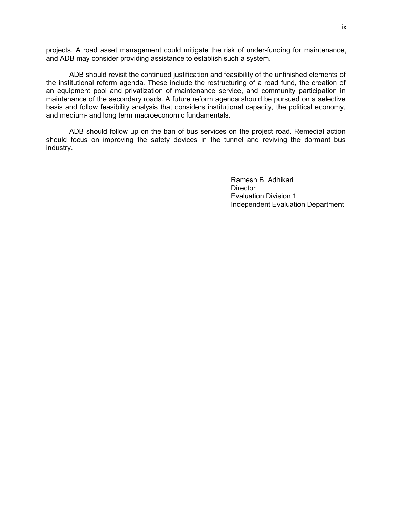projects. A road asset management could mitigate the risk of under-funding for maintenance, and ADB may consider providing assistance to establish such a system.

ADB should revisit the continued justification and feasibility of the unfinished elements of the institutional reform agenda. These include the restructuring of a road fund, the creation of an equipment pool and privatization of maintenance service, and community participation in maintenance of the secondary roads. A future reform agenda should be pursued on a selective basis and follow feasibility analysis that considers institutional capacity, the political economy, and medium- and long term macroeconomic fundamentals.

ADB should follow up on the ban of bus services on the project road. Remedial action should focus on improving the safety devices in the tunnel and reviving the dormant bus industry.

> Ramesh B. Adhikari **Director** Evaluation Division 1 Independent Evaluation Department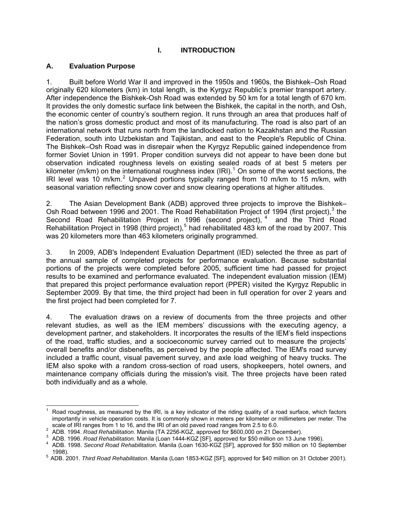# **I. INTRODUCTION**

#### <span id="page-14-0"></span>**A. Evaluation Purpose**

 $\overline{\phantom{a}}$ 

1. Built before World War II and improved in the 1950s and 1960s, the Bishkek–Osh Road originally 620 kilometers (km) in total length, is the Kyrgyz Republic's premier transport artery. After independence the Bishkek-Osh Road was extended by 50 km for a total length of 670 km. It provides the only domestic surface link between the Bishkek, the capital in the north, and Osh, the economic center of country's southern region. It runs through an area that produces half of the nation's gross domestic product and most of its manufacturing. The road is also part of an international network that runs north from the landlocked nation to Kazakhstan and the Russian Federation, south into Uzbekistan and Tajikistan, and east to the People's Republic of China. The Bishkek–Osh Road was in disrepair when the Kyrgyz Republic gained independence from former Soviet Union in 1991. Proper condition surveys did not appear to have been done but observation indicated roughness levels on existing sealed roads of at best 5 meters per kilometer (m/km) on the international roughness index (IRI).<sup>[1](#page-14-1)</sup> On some of the worst sections, the IRI level was 10 m/km.<sup>[2](#page-14-2)</sup> Unpaved portions typically ranged from 10 m/km to 15 m/km, with seasonal variation reflecting snow cover and snow clearing operations at higher altitudes.

2. The Asian Development Bank (ADB) approved three projects to improve the Bishkek– Osh Road between 1996 and 2001. The Road Rehabilitation Project of 1994 (first project),<sup>3</sup> the he Third Road ad by 2007. This Second Road Rehabilitation Project in 1996 (second project),  $4$  and t Rehabilitation Project in 1998 (third project),<sup>5</sup> had rehabilitated 483 km of the ro was 20 kilometers more than 463 kilometers originally programmed.

3. In 2009, ADB's Independent Evaluation Department (IED) selected the three as part of the annual sample of completed projects for performance evaluation. Because substantial portions of the projects were completed before 2005, sufficient time had passed for project results to be examined and performance evaluated. The independent evaluation mission (IEM) that prepared this project performance evaluation report (PPER) visited the Kyrgyz Republic in September 2009. By that time, the third project had been in full operation for over 2 years and the first project had been completed for 7.

4. The evaluation draws on a review of documents from the three projects and other relevant studies, as well as the IEM members' discussions with the executing agency, a development partner, and stakeholders. It incorporates the results of the IEM's field inspections of the road, traffic studies, and a socioeconomic survey carried out to measure the projects' overall benefits and/or disbenefits, as perceived by the people affected. The IEM's road survey included a traffic count, visual pavement survey, and axle load weighing of heavy trucks. The IEM also spoke with a random cross-section of road users, shopkeepers, hotel owners, and maintenance company officials during the mission's visit. The three projects have been rated both individually and as a whole.

<sup>1</sup> Road roughness, as measured by the IRI, is a key indicator of the riding quality of a road surface, which factors importantly in vehicle operation costs. It is commonly shown in meters per kilometer or millimeters per meter. The scale of IRI ranges from 1 to 16, and the IRI of an old paved road ranges from 2.5 to 6.0.<br><sup>2</sup> ADR 1004, Bood Robobilitation Mapile (TA 2256 KCZ, approved for \$600,000 on 21 Do

<sup>&</sup>lt;sup>2</sup> ADB. 1994. *Road Rehabilitation.* Manila (TA 2256-KGZ, approved for \$600,000 on 21 December).<br><sup>3</sup> ADR 1996. *Road Rehabilitation. Manila (Loan 1444 KGZ ISEL approved for \$50 million on 13 June* 

<span id="page-14-1"></span><sup>&</sup>lt;sup>3</sup> ADB. 1996. *Road Rehabilitation.* Manila (Loan 1444-KGZ [SF], approved for \$50 million on 13 June 1996).<br><sup>4</sup> ADB, 1998. Seesed Read Rehabilitation. Manila (Loan 1630 KGZ ISF), approved for \$50 million on 10 So

<span id="page-14-2"></span>ADB. 1998. *Second Road Rehabilitation.* Manila (Loan 1630-KGZ [SF], approved for \$50 million on 10 September

<sup>1998). 5</sup> ADB. 2001. *Third Road Rehabilitation*. Manila (Loan 1853-KGZ [SF], approved for \$40 million on 31 October 2001).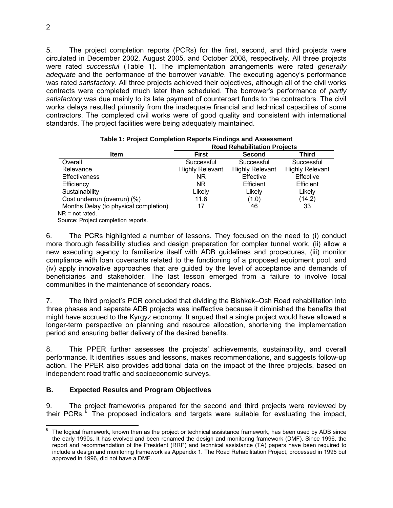5. The project completion reports (PCRs) for the first, second, and thir d projects were circulated in December 2002, August 2005, and October 2008, respectively. A ll three projects were rated *successful* (Table 1). The implementation arrangements were rated *generally*  adequate and the performance of the borrower *variable*. The executing agency's performance was rated *satisfactory*. All three projects achieved their objectives, although all of the civil works contracts were completed much later than scheduled. The borrower's perfor mance of *partly*  satisfactory was due mainly to its late payment of counterpart funds to the contractors. The civil works delays resulted primarily from the inadequate fi nancial and technical capacities of some contractors. The completed civil works were of good quality and consistent with international standards. The project facilities were being adequately maintained.

|                                       | rable 1. Project Completion Reports Findings and Assessment |                        |                        |  |  |  |
|---------------------------------------|-------------------------------------------------------------|------------------------|------------------------|--|--|--|
|                                       | <b>Road Rehabilitation Projects</b>                         |                        |                        |  |  |  |
| <b>Item</b>                           | Third<br><b>Second</b><br>First                             |                        |                        |  |  |  |
| Overall                               | Successful                                                  | Successful             | Successful             |  |  |  |
| Relevance                             | <b>Highly Relevant</b>                                      | <b>Highly Relevant</b> | <b>Highly Relevant</b> |  |  |  |
| <b>Effectiveness</b>                  | NR.                                                         | Effective              | Effective              |  |  |  |
| Efficiency                            | <b>NR</b>                                                   | Efficient              | Efficient              |  |  |  |
| Sustainability                        | Likely                                                      | Likely                 | Likely                 |  |  |  |
| Cost underrun (overrun) (%)           | 11.6                                                        | (1.0)                  | (14.2)                 |  |  |  |
| Months Delay (to physical completion) | 17                                                          | 46                     | 33                     |  |  |  |
| $\overline{\phantom{a}}$              |                                                             |                        |                        |  |  |  |

**Table 1: Project Completion Reports Findings and Assessment** 

NR = not rated.

Source: Project completion reports.

6. The PCRs highlighted a number of lessons. They focused on the need to (i) conduct more thorough feasibility studies and design preparation for complex tunnel work, (ii) allow a new executing agency to familiarize itself with ADB guidelines and procedures, (iii) monitor compliance with loan covenants related to the functioning of a proposed equipment pool, and (iv) apply innovative approaches that are guided by the level of acceptance and demands of beneficiaries and stakeholder. The last lesson emerged from a failure to involve local communities in the maintenance of secondary roads.

7. The third project's PCR concluded that dividing the Bishkek–Osh Road rehabilitation into three phases and separate ADB projects was ineffective because it diminished the benefits that might have accrued to the Kyrgyz economy. It argued that a single project would have allowed a longer-term perspective on planning and resource allocation, shortening the implementation period and ensuring better delivery of the desired benefits.

8. This PPER further assesses the projects' achievements, sustainability, and overall performance. It identifies issues and lessons, makes recommendations, and suggests follow-up action. The PPER also provides additional data on the impact of the three projects, based on independent road traffic and socioeconomic surveys.

# **B. Expected Results and Program Objectives**

9. The project frameworks prepared for the second and third projects were reviewed by their PCRs.<sup>6</sup> The proposed indicators and targets were suitable for evaluating the impact,

 6 The logical framework, known then as the project or technical assistance framework, has been used by ADB since the early 1990s. It has evolved and been renamed the design and monitoring framework (DMF). Since 1996, the report and recommendation of the President (RRP) and technical assistance (TA) papers have been required to include a design and monitoring framework as Appendix 1. The Road Rehabilitation Project, processed in 1995 but approved in 1996, did not have a DMF.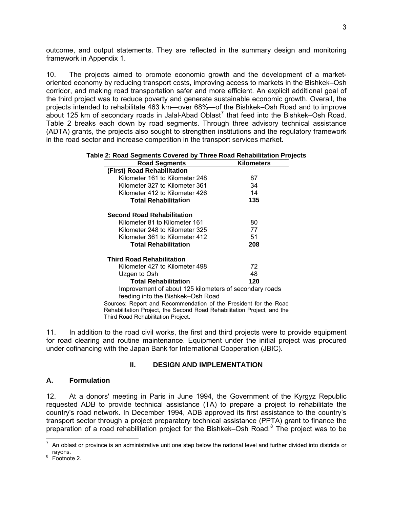outcome, and output statements. They are reflected in the summary design and monitoring framework in Appendix 1.

10. The projects aimed to promote economic growth and the development of a marketoriented economy by reducing transport costs, improving access to markets in the Bishkek–Osh corridor, and making road transportation safer and more efficient. An explicit additional goal of the third project was to reduce poverty and generate sustainable economic growth. Overall, the projects intended to rehabilitate 463 km—over 68%—of the Bishkek–Osh Road and to improve about 125 km of secondary roads in Jalal-Abad Oblast<sup>[7](#page-16-2)</sup> that feed into the Bishkek–Osh Road. Table 2 breaks each down by road segments. Through three advisory technical assistance (ADTA) grants, the projects also sought to strengthen institutions and the regulatory framework in the road sector and increase competition in the transport services market.

| <b>Road Segments</b>                                             | <b>Kilometers</b> |
|------------------------------------------------------------------|-------------------|
| (First) Road Rehabilitation                                      |                   |
| Kilometer 161 to Kilometer 248                                   | 87                |
| Kilometer 327 to Kilometer 361                                   | 34                |
| Kilometer 412 to Kilometer 426                                   | 14                |
| <b>Total Rehabilitation</b>                                      | 135               |
| <b>Second Road Rehabilitation</b>                                |                   |
| Kilometer 81 to Kilometer 161                                    | 80                |
| Kilometer 248 to Kilometer 325                                   | 77                |
| Kilometer 361 to Kilometer 412                                   | 51                |
| <b>Total Rehabilitation</b>                                      | 208               |
| <b>Third Road Rehabilitation</b>                                 |                   |
| Kilometer 427 to Kilometer 498                                   | 72                |
| Uzgen to Osh                                                     | 48                |
| <b>Total Rehabilitation</b>                                      | 120               |
| Improvement of about 125 kilometers of secondary roads           |                   |
| feeding into the Bishkek-Osh Road                                |                   |
| Sources: Penort and Pecommendation of the President for the Poad |                   |

#### **Table 2: Road Segments Covered by Three Road Rehabilitation Projects**

Sources: Report and Recommendation of the President for the Road Rehabilitation Project, the Second Road Rehab ilitation Project, and the Third Road Rehabilitation Project.

11. In addition to the road civil works, the first and third projects were to provide equipment for road clearing and routine maintenance. Equipment under the initial project was procured under cofinancing with the Japan Bank for International Cooperation (JBIC).

#### **II. DESIGN AND IMPLEMENTATION**

#### <span id="page-16-1"></span><span id="page-16-0"></span>**A. Formulation**

12. At a donors' meeting in Paris in June 1994, the Government of the Kyrgyz Republic requested ADB to provide technical assistance (TA) to prepare a project to rehabilitate the country's road network. In December 1994, ADB approved its first assistance to the country's transport sector through a project preparatory technical assistance (PPTA) grant to finance the preparation of a road rehabilitation project for the Bishkek–Osh Road.<sup>8</sup> The project was to be

<span id="page-16-2"></span>The notal order the matter of the matter of the matter of the national level and further divided into districts or<br>The noblast or province is an administrative unit one step below the national level and further divided int

<sup>&</sup>lt;sup>8</sup> Footnote 2.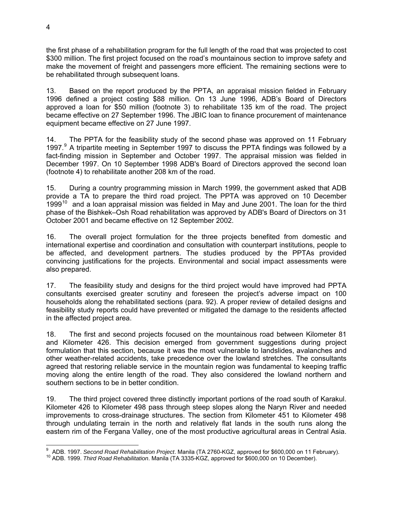the first phase of a rehabilitation program for the full length of the road that was projected to cost \$300 million. The first project focused on the road's mountainous section to im prove safety and make the movement of freight and passengers more efficient. The remaining sections were to be rehabilitated through subsequent loans.

13. Based on the report produced by the PPTA, an appraisal mission fielded in February 1996 defined a project costing \$88 million. On 13 June 1996, ADB's Board of Directors approved a loan for \$50 million (footnote 3) to rehabilitate 135 km of the road. The project became effective on 27 September 1996. The JBIC loan to finance procurement of maintenance equipment became effective on 27 June 1997.

14. The PPTA for the feasibility study of the second phase was approved on 11 February 1[9](#page-17-0)97. $9$  A tripartite meeting in September 1997 to discuss the PPTA findings was followed by a fact-finding mission in September and October 1997. The appraisal mission was fielded in December 1997. On 10 September 1998 ADB's Board of Directors approved the second loan (footnote 4) to rehabilitate another 208 km of the road.

15. During a country programming mission in March 1999, the government asked that ADB provide a TA to prepare the third road project. The PPTA was approved on 10 December 1999<sup>10</sup> and a loan appraisal mission was fielded in May and June 2001. The loan for the third phase of the Bishkek–Osh Road rehabilitation was approved by ADB's Board of Directors on 31 October 2001 and became effective on 12 September 2002.

16. The overall project formulation for the three projects benefited from domestic and international expertise and coordination and consultation with counterpart institutions, people to be affected, and development partners. The studies produced by the PPTAs provided convincing justifications for the projects. Environmental and social impact assessments were also prepared.

17. The feasibility study and designs for the third project would have improved had PPTA consultants exercised greater scrutiny and foreseen the project's adverse impact on 100 households along the rehabilitated sections (para. 92). A proper review of detailed designs and feasibility study reports could have prevented or mitigated the damage to the residents affected in the affected project area.

18. and Kilometer 426. This decision emerged from government suggestions during project formulation that this section, because it was the most vulnerable to landslides, avalanches and other weather-related accidents, take precedence over the lowland stretches. The consultants agreed that restoring reliable service in the mountain region was fundamental to keeping traffic moving along the entire length of the road. They also considered the lowland northern and 1 The first and second projects focused on the mountainous road between Kilometer 81 southern sections to be in better condition.

19. The third project covered three distinctly important portions of the road south of Karakul. Kilometer 426 to Kilometer 498 pass through steep slopes along the Naryn River and needed improvements to cross-drainage structures. The section from Kilometer 451 to Kilometer 498 through undulating terrain in the north and relatively flat lands in the south runs along the eastern rim of the Fergana Valley, one of the most productive agricultural areas in Central Asia.

<span id="page-17-0"></span><sup>-&</sup>lt;br>9

<sup>&</sup>lt;sup>10</sup> ADB. 1999. *Third Road Rehabilitation.* Manila (TA 3335-KGZ, approved for \$600,000 on 10 December).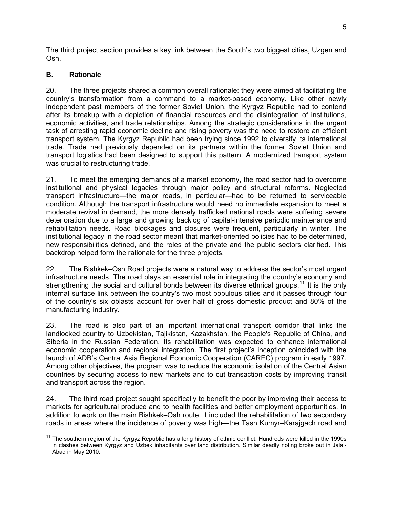The third project section provides a key link between the South's two biggest cities, Uzgen and Osh.

#### <span id="page-18-0"></span>**. B Rationale**

20. The three projects shared a common overall rationale: they were aimed at facilitating the country's transformation from a command to a market-based economy. Like other newly independent past members of the former Soviet Union, the Kyrgyz Republic had to contend after its breakup with a depletion of financial resources and the disintegration of institutions, economic activities, and trade relationships. Among the strategic considerations in the urgent task of arresting rapid economic decline and rising poverty was the need to restore an efficient transport system. The Kyrgyz Republic had been trying since 1992 to diversify its international trade. Trade had previously depended on its partners within the former Soviet Union and transport logistics had been designed to support this pattern. A modernized transport system was crucial to restructuring trade.

21. To meet the emerging demands of a market economy, the road sector had to overcome institutional and physical legacies through major policy and structural reforms. Neglected transport infrastructure—the major roads, in particular—had to be returned to serviceable condition. Although the transport infrastructure would need no immediate expansion to meet a moderate revival in demand, the more densely trafficked national roads were suffering severe deterioration due to a large and growing backlog of capital-intensive periodic maintenance and rehabilitation needs. Road blockages and closures were frequent, particularly in winter. The institutional legacy in the road sector meant that market-oriented policies had to be determined, new responsibilities defined, and the roles of the private and the public sectors clarified. This backdrop helped form the rationale for the three projects.

22. The Bishkek–Osh Road projects were a natural way to address the sector's most urgent infrastructure needs. The road plays an essential role in integrating the country 's economy and strengthening the social and cultural bonds between its diverse ethnical groups.<sup>11</sup> It is the only internal surface link between the country's two most populous cities and it passes through four of the country's six oblasts account for over half of gross domestic product and 80% of the manufacturing industry.

23. The road is also part of an important international transport corridor that links the landlocked country to Uzbekistan, Tajikistan, Kazakhstan, the People's Republic of China, and Siberia in the Russian Federation. Its rehabilitation was expected to enhance international economic cooperation and regional integration. The first project's inception coincided with the launch of ADB's Central Asia Regional Economic Cooperation (CAREC) program in early 1997. Among other objectives, the program was to reduce the economic isolation of the Central Asian countries by securing access to new markets and to cut transaction costs by improving transit and transport across the region.

24. The third road project sought specifically to benefit the poor by improving their access to markets for agricultural produce and to health facilities and better employment opportunities. In addition to work on the main Bishkek–Osh route, it included the rehabilitation of two secondary roads in areas where the incidence of poverty was high—the Tash Kumyr–Karajgach road and

<sup>-</sup> $11$  The southern region of the Kyrgyz Republic has a long history of ethnic conflict. Hundreds were killed in the 1990s in clashes between Kyrgyz and Uzbek inhabitants over land distribution. Similar deadly rioting broke out in Jalal-Abad in May 2010.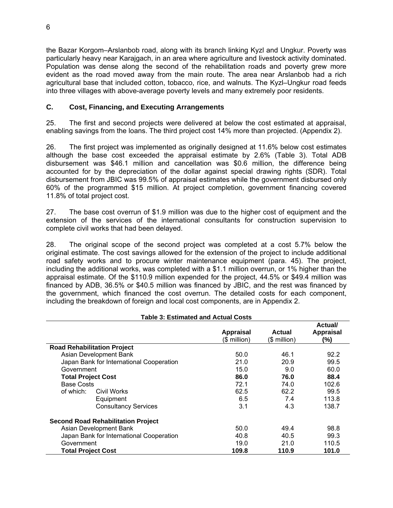the Bazar Korgom–Arslanbob road, along with its branch linking Kyzl and Ung kur. Poverty was particularly heavy near Karajgach, in an area where agriculture and livestock ac tivity dominated. Population was dense along the second of the rehabilitation roads and pov erty grew more evident as the road moved away from the main route. The area near Arslanbob had a rich agricultural base that included cotton, tobacco, rice, and walnuts. The Kyzl–Ungkur road feeds into three villages with above-average poverty levels and many extremely poor residents.

### <span id="page-19-0"></span>**C. Cost, Financing, and Executing Arrangements**

25. The first and second projects were delivered at below the cost estimated at appraisal, enabling savings from the loans. The third project cost 14% more than projected. (Appendix 2).

26. The first project was implemented as originally designed at 11.6% below cost estimates although the base cost exceeded the appraisal estimate by 2.6% (Table 3). Total ADB disbursement was \$46.1 million and cancellation was \$0.6 million, the difference being accounted for by the depreciation of the dollar against special drawing rights (SDR). Total disbursement from JBIC was 99.5% of appraisal estimates while the government disbursed only 60% of the programmed \$15 million. At project completion, government financing covered 11.8% of total project cost.

27. The base cost overrun of \$1.9 million was due to the higher cost of equipment and the extension of the services of the international consultants for construction supervision to complete civil works that had been delayed.

28. The original scope of the second project was completed at a cost 5.7% below the original estimate. The cost savings allowed for the extension of the project to include additional road safety works and to procure winter maintenance equipment (para. 45). The project, including the additional works, was completed with a \$1.1 million overrun, or 1% higher than the appraisal estimate. Of the \$110.9 million expended for the project, 44.5% or \$49.4 million was financed by ADB, 36.5% or \$40.5 million was financed by JBIC, and the rest was financed by the government, which financed the cost overrun. The detailed costs for each component, including the breakdown of foreign and local cost components, are in Appendix 2.

#### **Table 3: Estimated and Actual Costs**

|                                           |                  |              | Actual/          |
|-------------------------------------------|------------------|--------------|------------------|
|                                           | <b>Appraisal</b> | Actual       | <b>Appraisal</b> |
|                                           | (\$ million)     | (\$ million) | (%)              |
| <b>Road Rehabilitation Project</b>        |                  |              |                  |
| Asian Development Bank                    | 50.0             | 46.1         | 92.2             |
| Japan Bank for International Cooperation  | 21.0             | 20.9         | 99.5             |
| Government                                | 15.0             | 9.0          | 60.0             |
| <b>Total Project Cost</b>                 | 86.0             | 76.0         | 88.4             |
| <b>Base Costs</b>                         | 72.1             | 74.0         | 102.6            |
| of which:<br>Civil Works                  | 62.5             | 62.2         | 99.5             |
| Equipment                                 | 6.5              | 7.4          | 113.8            |
| <b>Consultancy Services</b>               | 3.1              | 4.3          | 138.7            |
| <b>Second Road Rehabilitation Project</b> |                  |              |                  |
| Asian Development Bank                    | 50.0             | 49.4         | 98.8             |
| Japan Bank for International Cooperation  | 40.8             | 40.5         | 99.3             |
| Government                                | 19.0             | 21.0         | 110.5            |
| <b>Total Project Cost</b>                 | 109.8            | 110.9        | 101.0            |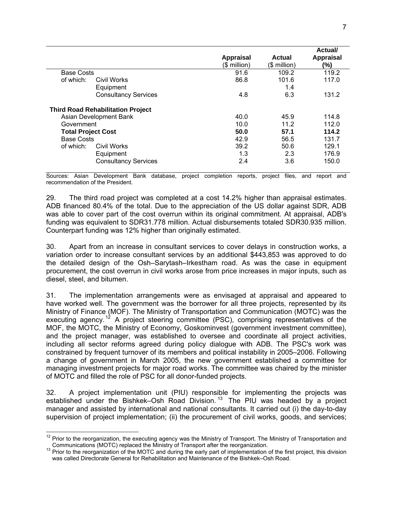|                           |                                          |                  |              | Actual/          |
|---------------------------|------------------------------------------|------------------|--------------|------------------|
|                           |                                          | <b>Appraisal</b> | Actual       | <b>Appraisal</b> |
|                           |                                          | (\$ million)     | (\$ million) | (%)              |
| <b>Base Costs</b>         |                                          | 91.6             | 109.2        | 119.2            |
| of which:                 | Civil Works                              | 86.8             | 101.6        | 117.0            |
|                           | Equipment                                |                  | 1.4          |                  |
|                           | <b>Consultancy Services</b>              | 4.8              | 6.3          | 131.2            |
|                           | <b>Third Road Rehabilitation Project</b> |                  |              |                  |
|                           | Asian Development Bank                   | 40.0             | 45.9         | 114.8            |
| Government                |                                          | 10.0             | 11.2         | 112.0            |
| <b>Total Project Cost</b> |                                          | 50.0             | 57.1         | 114.2            |
| <b>Base Costs</b>         |                                          | 42.9             | 56.5         | 131.7            |
| of which:                 | Civil Works                              | 39.2             | 50.6         | 129.1            |
|                           | Equipment                                | 1.3              | 2.3          | 176.9            |
|                           | <b>Consultancy Services</b>              | 2.4              | 3.6          | 150.0            |

Sources: Asian Development Bank database, project completion reports, project files , and report and recommendation of the President.

29. The third road project was completed at a cost 14.2% higher than appraisal estimates. ADB financed 80.4% of the total. Due to the appreciation of the US dollar against SDR, ADB was able to cover part of the cost overrun within its original commitment. At appraisal, ADB's funding was equivalent to SDR31.778 million. Actual disbursements totaled SDR30.935 million. Counterpart funding was 12% higher than originally estimated.

30. Apart from an increase in consultant services to cover delays in construction works, a variation order to increase consultant services by an additional \$443,853 was approved to do the detailed design of the Osh–Sarytash–Irkestham road. As was the case in equipment procurement, the cost overrun in civil works arose from price increases in major inputs, such as diesel, steel, and bitumen.

31. The implementation arrangements were as envisaged at appraisal and appeared to have worked well. The government was the borrower for all three projects, represented by its executing agency.<sup>[12](#page-20-0)</sup> A project steering committee (PSC), comprising representatives of the MOF, the MOTC, the Ministry of Economy, Goskominvest (government investment committee), and the project manager, was established to oversee and coordinate all project activities, including all sector reforms agreed during policy dialogue with ADB. The PSC's work was constrained by frequent turnover of its members and political instability in 2005–2006. Following a change of government in March 2005, the new government established a committee for managing investment projects for major road works. The committee was chaired by the minister Ministry of Finance (MOF). The Ministry of Transportation and Communication (MOTC) was the of MOTC and filled the role of PSC for all donor-funded projects.

32. A project implementation unit (PIU) responsible for implementing the projects was established under the Bishkek–Osh Road Division.<sup>13</sup> The PIU was headed by a project manager and assisted by international and national consultants. It carried out (i) the day-to-day supervision of project implementation; (ii) the procurement of civil works, goods, and services;

<span id="page-20-0"></span> $12$  Prior to the reorganization, the executing agency was the Ministry of Transport. The Ministry of Transportation and Communications (MOTC) replaced the Ministry of Transport after the reorganization.<br><sup>13</sup> Prior to the reorganization of the MOTC and during the early part of implementation of the first project, this division

was called Directorate General for Rehabilitation and Maintenance of the Bishkek–Osh Road.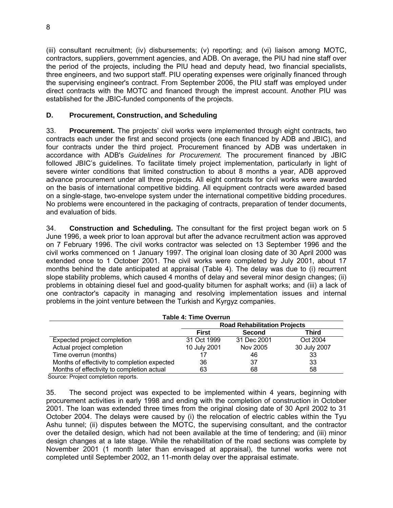(iii) consultant recruitment; (iv) disbursements; (v) reporting; and (vi) liaison among MOTC, contractors, suppliers, government agencies, and ADB. On average, the PIU ha d nine staff over the period of the projects, including the PIU head and deputy head, two fina ncial specialists, three engineers, and two support staff. PIU operating expenses were originally f inanced through the supervising engineer's contract. From Septem ber 2006, the PIU staff was employed under direct contracts with the MOTC and financed through the imprest account. Another PIU was established for the JBIC-funded components of the projects.

# <span id="page-21-0"></span>**D. Procurement, Construction, and Scheduling**

33. Procurement. The projects' civil works were implemented through eight contracts, two contracts each under the first and second projects (one each financed by ADB and JBIC), and four contracts under the third project. Procurement financed by ADB was undertaken in accordance with ADB's *Guidelines for Procurement*. The procurement financed by JBIC followed JBIC's guidelines. To facilitate timely project implementation, particularly in light of severe winter conditions that limited construction to about 8 months a year, ADB approved advance procurement under all three projects. All eight contracts for civil works were awarded on the basis of international competitive bidding. All equipment contracts were awarded based on a single-stage, two-envelope system under the international competitive bidding procedures. No problems were encountered in the packaging of contracts, preparation of tender documents, and evaluation of bids.

34. **Construction and Scheduling.** The consultant for the first project began work on 5 June 1996, a week prior to loan approval but after the advance recruitment action was approved on 7 February 1996. The civil works contractor was selected on 13 September 1996 and the civil works commenced on 1 January 1997. The original loan closing date of 30 April 2000 was extended once to 1 October 2001. The civil works were completed by July 2001, about 17 months behind the date anticipated at appraisal (Table 4). The delay was due to (i) recurrent slope stability problems, which caused 4 months of delay and several minor design changes; (ii) problems in obtaining diesel fuel and good-quality bitumen for asphalt works; and (iii) a lack of one contractor's capacity in managing and resolving implementation issues and internal problems in the joint venture between the Turkish and Kyrgyz companies.

| <b>Table 4: Time Overrun</b>                 |                                     |               |              |  |
|----------------------------------------------|-------------------------------------|---------------|--------------|--|
|                                              | <b>Road Rehabilitation Projects</b> |               |              |  |
|                                              | <b>First</b>                        | <b>Second</b> | Third        |  |
| Expected project completion                  | 31 Oct 1999                         | 31 Dec 2001   | Oct 2004     |  |
| Actual project completion                    | 10 July 2001                        | Nov 2005      | 30 July 2007 |  |
| Time overrun (months)                        |                                     | 46            | 33           |  |
| Months of effectivity to completion expected | 36                                  | 37            | 33           |  |
| Months of effectivity to completion actual   | 63                                  | 68            | 58           |  |

Source: Project completion reports.

35. The second project was expected to be implemented within 4 years, beginning with procurement activities in early 1998 and ending with the completion of construction in October 2001. The loan was extended three times from the original closing date of 30 April 2002 to 31 October 2004. The delays were caused by (i) the relocation of electric cables within the Tyu Ashu tunnel; (ii) disputes between the MOTC, the supervising consultant, and the contractor over the detailed design, which had not been available at the time of tendering; and (iii) minor design changes at a late stage. While the rehabilitation of the road sections was complete by November 2001 (1 month later than envisaged at appraisal), the tunnel works were not completed until September 2002, an 11-month delay over the appraisal estimate.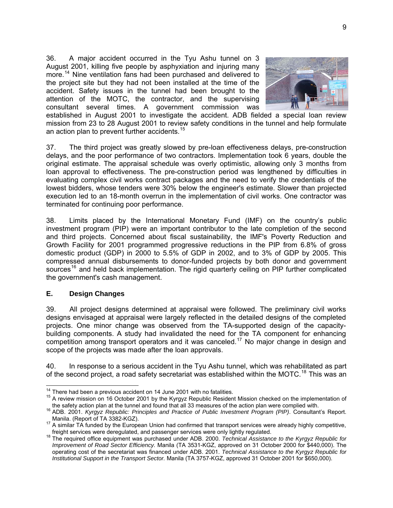36. A major accident occurred in the Tyu Ashu t unnel on 3 August 2001, killing five people by asphyxiation and in juring many more.14 Nine ventilation fans had been purchased and delivered to the project site but they had not been installed at the time of the accident. Safety issues in the tunnel had been brou ght to the attention of the MOTC, the contractor, and the supervising consultant several times. A government commission was



established in August 2001 to investigate the accident. ADB fielded a special loan review mission from 23 to 28 August 2001 to review safety conditions in the tunnel and help formulate an action plan to prevent further accidents.<sup>15</sup>

37. The third project was greatly slowed by pre-loan effectiveness delays, pre-construction delays, and the poor performance of two contractors. Implementation took 6 years, double the original estimate. The appraisal schedule was overly optimistic, allowing only 3 months from loan approval to effectiveness. The pre-construction period was lengthened by difficulties in lowest bidders, whose tenders were 30% below the engineer's estimate. Slower than projected execution led to an 18-month overrun in the implementation of civil works. One contractor was evaluating complex civil works contract packages and the need to verify the credentials of the terminated for continuing poor performance.

38. Limits placed by the International Monetary Fund (IMF) on the country's public investment program (PIP) were an important contributor to the late completion of the second and third projects. Concerned about fiscal sustainability, the IMF's Poverty Reduction and Growth Facility for 2001 programmed progressive reductions in the PIP from 6.8% of gross domestic product (GDP) in 2000 to 5.5% of GDP in 2002, and to 3% of GDP by 2005. This compressed annual disbursements to donor-funded projects by both donor and government sources<sup>[16](#page-22-1)</sup> and held back implementation. The rigid quarterly ceiling on PIP further complicated the government's cash management.

#### <span id="page-22-0"></span>**E. Design Changes**

39. All project designs determined at appraisal were followed. The preliminary civil works designs envisaged at appraisal were largely reflected in the detailed designs of the completed projects. One minor change was observed from the TA-supported design of the capacitybuilding components. A study had invalidated the need for the TA component for enhancing competition among transport operators and it was canceled.<sup>17</sup> No major change in design and scope of the projects was made after the loan approvals.

40. In response to a serious accident in the Tyu Ashu tunnel, which was rehabilitated as part of the second project, a road safety secretariat was established within the MOTC.<sup>18</sup> This was an

<sup>&</sup>lt;sup>14</sup> There had been a previous accident on 14 June 2001 with no fatalities.<br><sup>15</sup> A review mission on 16 October 2001 by the Kyrgyz Republic Resident Mission checked on the implementation of<br>the safety action plan at the t

<sup>&</sup>lt;sup>16</sup> ADB. 2001. Kyrgyz Republic: Principles and Practice of Public Investment Program (PIP). Consultant's Report. Manila. (Report of TA 3382-KGZ).<br><sup>17</sup> A similar TA funded by the European Union had confirmed that transport services were already highly competitive,

<span id="page-22-1"></span>freight services were deregulated, and passenger services were only lightly regulated. 18 The required office equipment was purchased under ADB. 2000. *Technical Assistance to the Kyrgyz Republic for Improvement of Road Sector Efficiency.* Manila (TA 3531-KGZ, approved on 31 October 2000 for \$440,000). The operating cost of the secretariat was financed under ADB. 2001. *Technical Assistance to the Kyrgyz Republic for Institutional Support in the Transport Sector.* Manila (TA 3757-KGZ, approved 31 October 2001 for \$650,000).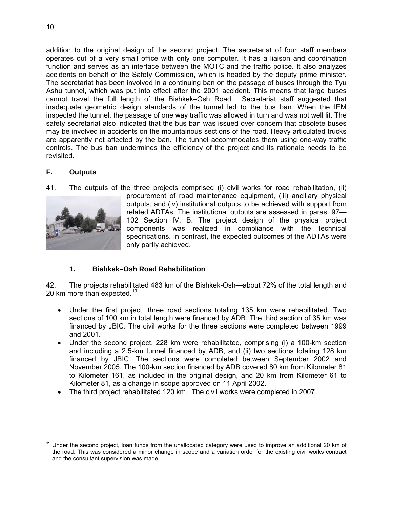addition to the original design of the second project. The secretariat of fou r staff members operates out of a very small office with only one computer. It has a liaison and coordination function and serves as an interface between the MOTC and the traffic police. It also analyzes accidents on behalf of the Safety Commission, which is headed by the deputy prime minister. The secretariat has been involved in a continuing ban on the passage of buses through the Tyu Ashu tunnel, which was put into effect after the 2001 accident. This means t hat large buses cannot travel the full length of the Bishkek–Osh Road. Secretariat staff suggested that inadequate geometric design standards of the tunnel led to the bus ban. When the IEM inspected the tunnel, the passage of one way traffic was allowed in turn and wa s not well lit. The safety secretariat also indicated that the bus ban was issued over concern tha t obsolete buses may be involved in accidents on the mountainous sections of the road. Heavy articulated trucks are apparently not affected by the ban. The tunnel accommodates them using one-way traffic controls. The bus ban undermines the efficiency of the project and its rationale needs to be revisited.

# <span id="page-23-0"></span>**F. Outputs**

41. The outputs of the three projects comprised (i) civil works for road rehabilitation, (ii)



procurement of road maintenance equipment, (iii) ancillary physical outputs, and (iv) institutional outputs to be achieved with support from related ADTAs. The institutional outputs are assessed in paras. 97— 102 Section IV. B. The project design of the physical project components was realized in compliance with the technical specifications. In contrast, the expected outcomes of the ADTAs were only partly achieved.

# **1. Bishkek–Osh Road Rehabilitation**

42. The projects rehabilitated 483 km of the Bishkek-Osh—about 72% of the total length and 20 km more than expected.<sup>19</sup>

- Under the first project, three road sections totaling 135 km were rehabilitated. Two sections of 100 km in total length were financed by ADB. The third section of 35 km was financed by JBIC. The civil works for the three sections were completed between 1999 and 2001.
- Under the second project, 228 km were rehabilitated, comprising (i) a 100-km section and including a 2.5-km tunnel financed by ADB, and (ii) two sections totaling 128 km financed by JBIC. The sections were completed between September 2002 and November 2005. The 100-km section financed by ADB covered 80 km from Kilometer 81 to Kilometer 161, as included in the original design, and 20 km from Kilometer 61 to Kilometer 81, as a change in scope approved on 11 April 2002.
- The third project rehabilitated 120 km. The civil works were completed in 2007.

 $\overline{a}$ <sup>19</sup> Under the second project, loan funds from the unallocated category were used to improve an additional 20 km of the road. This was considered a minor change in scope and a variation order for the existing civil works contract and the consultant supervision was made.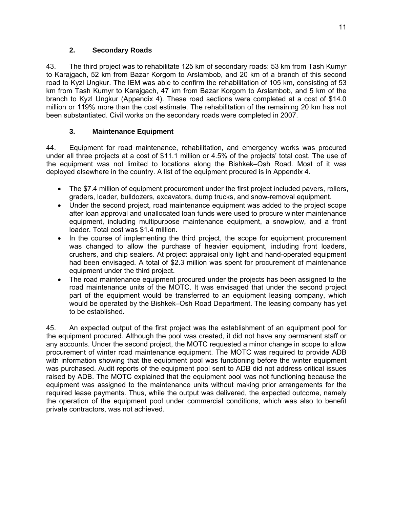# **2. Secondary Roads**

43. The third project was to rehabilitate 125 km of secondary roads: 53 km f rom Tash Kumyr to Karajgach, 52 km from Bazar Korgom to Arslambob, and 20 km of a branc h of this second road to Kyzl Ungkur. The IEM was able to confirm the rehabilitation of 105 km, consisting of 53 km from Tash Kumyr to Karajgach, 47 km from Bazar Korgom to Arslambob, and 5 km of the branch to Kyzl Ungkur (Appendix 4). These road sections were completed at a cost of \$14.0 million or 119% more than the cost estimate. The rehabilitation of the remaining 20 km has not been substantiated. Civil works on the secondary roads were completed in 2007.

# **3. Maintenance Equipment**

44. Equipment for road maintenance, rehabilitation, and emergency works was procured under all three projects at a cost of \$11.1 million or 4.5% of the projects' total cost. The use of the equipment was not limited to locations along the Bishkek–Osh Road. Most of it was deployed elsewhere in the country. A list of the equipment procured is in Appendix 4.

- The \$7.4 million of equipment procurement under the first project included pavers, rollers, graders, loader, bulldozers, excavators, dump trucks, and snow-removal equipment.
- Under the second project, road maintenance equipment was added to the project scope after loan approval and unallocated loan funds were used to procure winter maintenance equipment, including multipurpose maintenance equipment, a snowplow, and a front loader. Total cost was \$1.4 million.
- In the course of implementing the third project, the scope for equipment procurement was changed to allow the purchase of heavier equipment, including front loaders, crushers, and chip sealers. At project appraisal only light and hand-operated equipment had been envisaged. A total of \$2.3 million was spent for procurement of maintenance equipment under the third project.
- The road maintenance equipment procured under the projects has been assigned to the road maintenance units of the MOTC. It was envisaged that under the second project part of the equipment would be transferred to an equipment leasing company, which would be operated by the Bishkek–Osh Road Department. The leasing company has yet to be established.

45. An expected output of the first project was the establishment of an equipment pool for the equipment procured. Although the pool was created, it did not have any permanent staff or any accounts. Under the second project, the MOTC requested a minor change in scope to allow procurement of winter road maintenance equipment. The MOTC was required to provide ADB with information showing that the equipment pool was functioning before the winter equipment was purchased. Audit reports of the equipment pool sent to ADB did not address critical issues raised by ADB. The MOTC explained that the equipment pool was not functioning because the equipment was assigned to the maintenance units without making prior arrangements for the required lease payments. Thus, while the output was delivered, the expected outcome, namely the operation of the equipment pool under commercial conditions, which was also to benefit private contractors, was not achieved.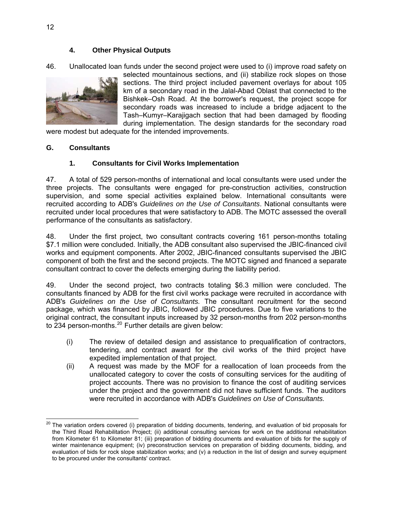# **4. Other Physical Outputs**

46. Unallocated loan funds under the second project were used to (i) improve road safety on



selected mountainous sections, and (ii) stabilize rock slopes on those sections. The third project included pavement overlay s for about 105 km of a secondary road in the Jalal-Abad Oblast that c onnected to the Bishkek–Osh Road. At the borrower's request, the p roject scope for secondary roads was increased to include a bridge adjacent to the Tash–Kumyr–Karajigach sect ion that had been damaged by flooding during implementation. The design standards for the secondary road

were modest but adequate for the intended improvements.

#### <span id="page-25-0"></span>**. G Consultants**

### **1. Consultants for Civil Works Implementation**

47. A total of 529 person-months of international and local consultants were used under the three projects. The consultants were engaged for pre-construction activities, construction supervision, and some special activities explained below. International consultants were recruited according to ADB's *Guidelines on the Use of Consultants*. National consultants were recruited under local procedures that were satisfactory to ADB. The MOTC assessed the overall performance of the consultants as satisfactory.

48. Under the first project, two consultant contracts covering 161 person-months totaling \$7.1 million were concluded. Initially, the ADB consultant also supervised the JBIC-financed civil works and equipment components. After 2002, JBIC-financed consultants supervised the JBIC component of both the first and the second projects. The MOTC signed and financed a separate consultant contract to cover the defects emerging during the liability period.

49. Under the second project, two contracts totaling \$6.3 million were concluded. The consultants financed by ADB for the first civil works package were recruited in accordance with ADB's Guidelines on the Use of Consultants. The consultant recruitment for the second package, which was financed by JBIC, followed JBIC procedures. Due to five variations to the original contract, the consultant inputs increased by 32 person-months from 202 person-months to 234 person-months.<sup>20</sup> Further details are given below:

- (i) The review of detailed design and assistance to prequalification of contractors, tendering, and contract award for the civil works of the third project have expedited implementation of that project.
- $(ii)$  A request was made by the MOF for a reallocation of loan proceeds from the unallocated category to cover the costs of consulting services for the auditing of under the project and the government did not have sufficient funds. The auditors were recruited in accordance with ADB's *Guidelines on Use of Consultants.* project accounts. There was no provision to finance the cost of auditing services

<sup>-</sup><sup>20</sup> The variation orders covered (i) preparation of bidding documents, tendering, and evaluation of bid proposals for the Third Road Rehabilitation Project; (ii) additional consulting services for work on the additional rehabilitation from Kilometer 61 to Kilometer 81; (iii) preparation of bidding documents and evaluation of bids for the supply of winter maintenance equipment; (iv) preconstruction services on preparation of bidding documents, bidding, and evaluation of bids for rock slope stabilization works; and (v) a reduction in the list of design and survey equipment to be procured under the consultants' contract.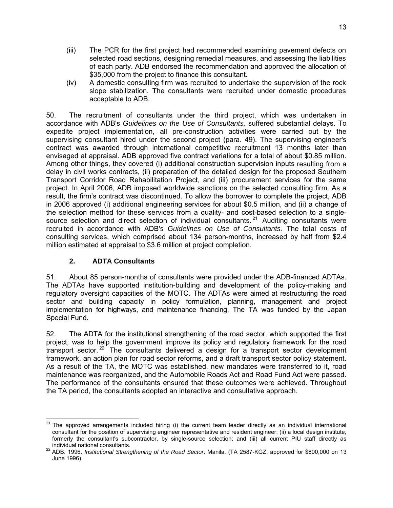- (iii) The PCR for the first project had recommended examining pave ment defects on selected road sections, designing remedial measures, and assess ing the liabilities of each party. ADB endorsed the recommendation and approved the allocation of \$35,000 from the project to finance this consultant.
- $(iv)$  A domestic consulting firm was recruited to undertake the supervision of the rock slope stabilization. The consultants were recruited under domestic procedures acceptable to ADB.

50. The recruitment of consultants under the third project, which was undertaken in accordance with ADB's *Guidelines on the Use of Consultants*, suffered substantial delays. To expedite project implementation, all pre-construction activities were carried out by the supervising consultant hired under the second project (para. 49). The supervising engineer's contract was awarded through international competitive recruitment 13 months later than envisaged at appraisal. ADB approved five contract variations for a total of about \$0.85 million. Among other things, they covered (i) additional construction supervision inputs resulting from a delay in civil works contracts, (ii) preparation of the detailed design for the proposed Southern Transport Corridor Road Rehabilitation Project, and (iii) procurement services for the same project. In April 2006, ADB imposed worldwide sanctions on the selected consulting firm. As a result, the firm's contract was discontinued. To allow the borrower to complete the project, ADB in 2006 approved (i) additional engineering services for about \$0.5 million, and (ii) a change of the selection method for these services from a quality- and cost-based selection to a single source selection and direct selection of individual consultants.<sup>21</sup> Auditing consultants were recruited in accordance with ADB's *Guidelines on Use of Consultants*. The total costs of consulting services, which comprised about 134 person-months, increased by half from \$2.4 million estimated at appraisal to \$3.6 million at project completion.

# **2. ADTA Consultants**

51. About 85 person-months of consultants were provided under the ADB-financed ADTAs. The ADTAs have supported institution-building and development of the policy-making and regulatory oversight capacities of the MOTC. The ADTAs were aimed at restructuring the road sector and building capacity in policy formulation, planning, management and project implementation for highways, and maintenance financing. The TA was funded by the Japan Special Fund.

52. The ADTA for the institutional strengthening of the road sector, which supported the first project, was to help the government improve its policy and regulatory framework for the road transport sector.<sup>22</sup> The consultants delivered a design for a transport sector development framework, an action plan for road sector reforms, and a draft transport sector policy statement. As a result of the TA, the MOTC was established, new mandates were transferred to it, road The performance of the consultants ensured that these outcomes were achieved. Throughout the TA period, the consultants adopted an interactive and consultative approach. maintenance was reorganized, and the Automobile Roads Act and Road Fund Act were passed.

  $21$  The approved arrangements included hiring (i) the current team leader directly as an individual international consultant for the position of supervising engineer representative and resident engineer; (ii) a local design institute, formerly the consultant's subcontractor, by single-source selection; and (iii) all current PIU staff directly as

individual national consultants. 22 ADB. 1996. *Institutional Strengthening of the Road Sector*. Manila. (TA 2587-KGZ, approved for \$800,000 on 13 June 1996).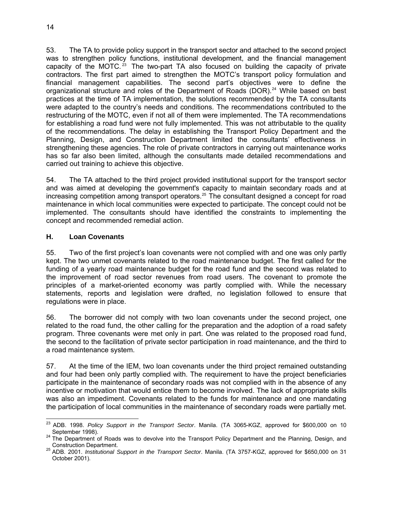53. The TA to provide policy support in the transport sector and attached to th e second project was to strengthen policy functions, institutional development, and the financ ial management capacity of the MOTC.<sup>[23](#page-27-1)</sup> The two-part TA also focused on building the capacity of private contractors. The first part aimed to strengthen the MOTC's transport policy formulation and financial management capabilities. The second part's objectives were to define the organizational structure and roles of the Department of Roads (DOR).<sup>[24](#page-27-2)</sup> While based on best practices at the time of TA implementation, the solutions recommended by the TA consultants were adapted to the country's needs and conditions. The recommendations contributed to the restructuring of the MOTC, even if not all of them were implemented. The TA recommendations for establishing a road fund were not fully implemented. This was not attributable to the quality of the recommendations. The delay in establishing the Transport Policy Department and the Planning, Design, and Construction Department limited the consultants' effectiveness in strengthening these agencies. The role of private contractors in carrying out maintenance works has so far also been limited, although the consultants made detailed recommendations and carried out training to achieve this objective.

54. The TA attached to the third project provided institutional support for the transport sector and was aimed at developing the government's capacity to maintain secondary roads and at increasing competition among transport operators.<sup>25</sup> The consultant designed a concept for road maintenance in which local communities were expected to participate. The concept could not be implemented. The consultants should have identified the constraints to implementing the concept and recommended remedial action.

#### <span id="page-27-0"></span>**H. Loan Covenants**

55. Two of the first project's loan covenants were not complied with and one was only partly kept. The two unmet covenants related to the road maintenance budget. The first called for the funding of a yearly road maintenance budget for the road fund and the second was related to the improvement of road sector revenues from road users. The covenant to promote the principles of a market-oriented economy was partly complied with. While the necessary statements, reports and legislation were drafted, no legislation followed to ensure that regulations were in place.

56. The borrower did not comply with two loan covenants under the second project, one related to the road fund, the other calling for the preparation and the adoption of a road safety program. Three covenants were met only in part. One was related to the proposed road fund, the second to the facilitation of private sector participation in road maintenance, and the third to a road maintenance system.

57. At the time of the IEM, two loan covenants under the third project remained outstanding and four had been only partly complied with. The requirement to have the project beneficiaries incentive or motivation that would entice them to become involved. The lack of appropriate skills was also an impediment. Covenants related to the funds for maintenance and one mandating the participation of local communities in the maintenance of secondary roads were partially met. participate in the maintenance of secondary roads was not complied with in the absence of any

<sup>-</sup>23 ADB. 1998. *Policy Support in the Transport Sector*. Manila. (TA 3065-KGZ, approved for \$600,000 on 10

<span id="page-27-2"></span><span id="page-27-1"></span>September 1998).<br><sup>24</sup> The Department of Roads was to devolve into the Transport Policy Department and the Planning, Design, and

Construction Department. 25 ADB. 2001. *Institutional Support in the Transport Sector*. Manila. (TA 3757-KGZ, approved for \$650,000 on 31 October 2001).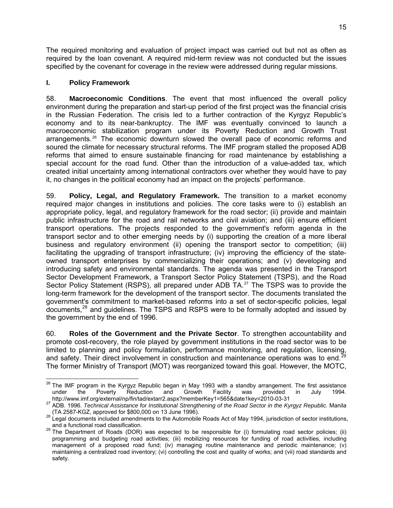The required monitoring and evaluation of project impact was carried out but not as often as required by the loan covenant. A required mid-term review was not conduc ted but the issues specified by the covenant for coverage in the review were addressed during regular missions.

### <span id="page-28-0"></span>**I. Policy Framework**

environment during the preparation and start-up period of the first project was the financial crisis in the Russian Federation. The crisis led to a further contraction of the Kyrgyz Republic's economy and to its near-bankruptcy. The IMF was eventually convinced to launch a macroeconomic stabilization program under its Poverty Reduction and Growth Trust arrangements.<sup>[26](#page-28-1)</sup> The economic downturn slowed the overall pace of economic reforms and soured the climate for necessary structural reforms. The IMF program stalled the proposed ADB special account for the road fund. Other than the introduction of a value-added tax, which created initial uncertainty among international contractors over whether they would have to pay it, no changes in the political economy had an impact on the projects' performance. 58. **Macroeconomic Conditions**. The event that most influenced the overall policy reforms that aimed to ensure sustainable financing for road maintenance by establishing a

59. **Policy, Legal, and Regulatory Framework.** The transition to a market economy required major changes in institutions and policies. The core tasks were to (i) establish an appropriate policy, legal, and regulatory framework for the road sector; (ii) provide and maintain public infrastructure for the road and rail networks and civil aviation; and (iii) ensure efficient transport operations. The projects responded to the government's reform agenda in the transport sector and to other emerging needs by (i) supporting the creation of a more liberal business and regulatory environment (ii) opening the transport sector to competition; (iii) facilitating the upgrading of transport infrastructure; (iv) improving the efficiency of the stateowned transport enterprises by commercializing their operations; and (v) developing and introducing safety and environmental standards. The agenda was presented in the Transport Sector Development Framework, a Transport Sector Policy Statement (TSPS), and the Road Sector Policy Statement (RSPS), all prepared under ADB TA.<sup>[27](#page-28-2)</sup> The TSPS was to provide the long-term framework for the development of the transport sector. The documents translated the government's commitment to market-based reforms into a set of sector-specific policies, legal documents, $^{28}$  $^{28}$  $^{28}$  and guidelines. The TSPS and RSPS were to be formally adopted and issued by the government by the end of 1996.

60. **Roles of the Government and the Private Sector**. To strengthen accountability and promote cost-recovery, the role played by government institutions in the road sector was to be limited to planning and policy formulation, performance monitoring, and regulation, licensing,<br>and safety, Their direct involvement in construction and maintenance operations was to end <sup>29</sup> The former Ministry of Transport (MOT) was reorganized toward this goal. However, the MOTC, and safety. Their direct involvement in construction and maintenance operations was to end.

<span id="page-28-1"></span><sup>-</sup> $^{26}$  The IMF program in the Kyrgyz Republic began in May 1993 with a standby arrangement. The first assistance under the Poverty Reduction and Growth Facility was provided in July 1994.<br>http://www.imf.org/external/np/fin/tad/extarr2.aspx?memberKey1=565&date1key=2010-03-31

http://www.imminergrenceman.princetal.com/finatelextarria.com<br><sup>27</sup> ADB. 1996. Technical Assistance for Institutional Strengthening of the Road Sector in the Kyrgyz Republic. Manila (TA 2587-KGZ, approved for \$800,000 on 13 June 1996). 28 Legal documents included amendments to the Automobile Roads Act of May 1994, jurisdiction of sector institutions,

<span id="page-28-2"></span>and a functional road classification.<br><sup>29</sup> The Department of Roads (DOR) was expected to be responsible for (i) formulating road sector policies; (ii) programming and budgeting road activities; (iii) mobilizing resources for funding of road activities, including management of a proposed road fund; (iv) managing routine maintenance and periodic maintenance; (v) maintaining a centralized road inventory; (vi) controlling the cost and quality of works; and (vii) road standards and safety.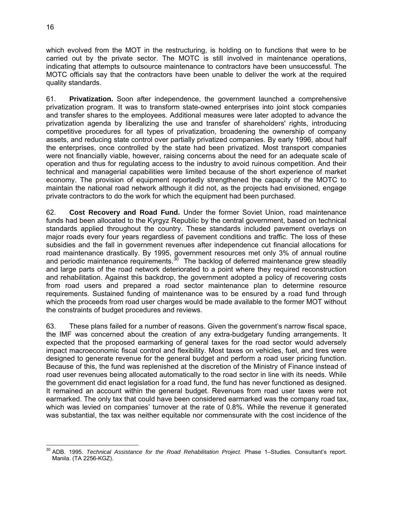which evolved from the MOT in the restructuring, is holding on to functions that were to be carried out by the private sector. The MOTC is still involved in maintena nce operations, indicating that attempts to outsource maintenance to contractors have been un successful. The MOTC officials say that the contractors have been unable to deliver the work at the required quality standards.

61. **Privatization.** Soon after independence, the government launched a comprehensive privatization program. It was to transform state-owned enterprises into joint s tock companies and transfer shares to the employees. Additional measures were later adopted to advance the privatization agenda by liberalizing the use and transfer of shareholders' rig hts, introducing competitive procedures for all types of privatization, broadening the owners hip of company assets, and reducing state control over partially privatized companies. By early 1996, about half the enterprises, once controlled by the state had been privatized. Most trans port companies were not financially viable, however, raising concerns about the need for an a dequate scale of operation and thus for regulating access to the industry to avoid r uinous competition. And their technical and managerial capabilities were limited because of the short experience of market economy. The provision of equipment reportedly strengthened the capacity of the MOTC to maintain the national road network although it did not, as the projects had envisioned, engage . private contractors to do the work for which the equipment had been purchased

62. **Cost Recovery and Road Fund.** Under the former Soviet Union, road maintenance funds had been allocated to the Kyrgyz Republic by the central government, based on technical standards applied throughout the country. These standards included pavement overlays on major roads every four years regardless of pavement conditions and traffic. The loss of these subsidies and the fall in government revenues after independence cut financial allocations for road maintenance drastically. By 1995, government resources met only 3% of annual routine and periodic maintenance requirements. $30$  The backlog of deferred maintenance grew steadily and large parts of the road network deteriorated to a point where they required reconstruction and rehabilitation. Against this backdrop, the government adopted a policy of recovering costs from road users and prepared a road sector maintenance plan to determine resource requirements. Sustained funding of maintenance was to be ensured by a road fund through which the proceeds from road user charges would be made available to the former MOT without the constraints of budget procedures and reviews.

63. These plans failed for a number of reasons. Given the government's narrow fiscal space, the IMF was concerned about the creation of any extra-budgetary funding arrangements. It expected that the proposed earmarking of general taxes for the road sector would adversely impact macroeconomic fiscal control and flexibility. Most taxes on vehicles, fuel, and tires were designed to generate revenue for the general budget and perform a road user pricing function. Because of this, the fund was replenished at the discretion of the Ministry of Finance instead of road user revenues being allocated automatically to the road sector in line with its needs. While the government did enact legislation for a road fund, the fund has never functioned as designed. It remained an account within the general budget. Revenues from road user taxes were not earmarked. The only tax that could have been considered earmarked was the company road tax, which was levied on companies' turnover at the rate of 0.8%. While the revenue it generated was substantial, the tax was neither equitable nor commensurate with the cost incidence of the

<span id="page-29-0"></span> 30 ADB. 1995. *Technical Assistance for the Road Rehabilitation Project.* Phase 1–Studies. Consultant's report. Manila. (TA 2256-KGZ).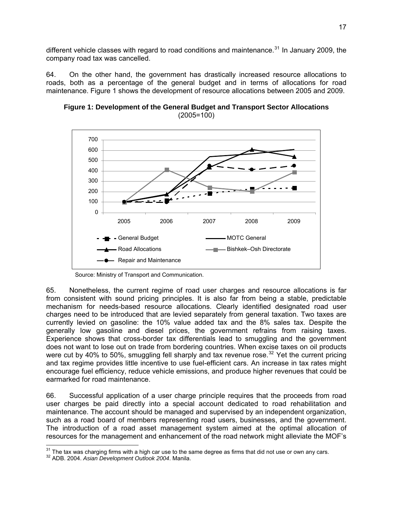different vehicle classes with regard to road conditions and maintenance.<sup>31</sup> In January 2009, the company road tax was cancelled.

64. On the other hand, the government has drastically increased resource allocations to roads, both as a percentage of the general budget and in terms of allocations for road maintenance. Figure 1 shows the development of resource allocations between 2005 and 2009.



**Figure 1: Development of the General Budget and Transport Sector Allocations**  (2005=100)

65. Nonetheless, the current regime of road user charges and resource allocations is far from consistent with sound pricing principles. It is also far from being a stable, predictable mechanism for needs-based resource allocations. Clearly identified designated road user charges need to be introduced that are levied separately from general taxation. Two taxes are currently levied on gasoline: the 10% value added tax and the 8% sales tax. Despite the generally low gasoline and diesel prices, the government refrains from raising taxes. Experience shows that cross-border tax differentials lead to smuggling and the government does not want to lose out on trade from bordering countries. When excise taxes on oil products were cut by 40% to 50%, smuggling fell sharply and tax revenue rose.<sup>32</sup> Yet the current pricing and tax regime provides little incentive to use fuel-efficient cars. An increase in tax rates might encourage fuel efficiency, reduce vehicle emissions, and produce higher revenues that could be earmarked for road maintenance.

66. Successful application of a user charge principle requires that the proceeds from road user charges be paid directly into a special account dedicated to road rehabilitation and maintenance. The account should be managed and supervised by an independent organization, such as a road board of members representing road users, businesses, and the government. The introduction of a road asset management system aimed at the optimal allocation of resources for the management and enhancement of the road network might alleviate the MOF's

Source: Ministry of Transport and Communication.

<sup>-</sup><sup>31</sup> The tax was charging firms with a high car use to the same degree as firms that did not use or own any cars.<br><sup>32</sup> ADB. 2004. *Asian Development Outlook 2004*. Manila.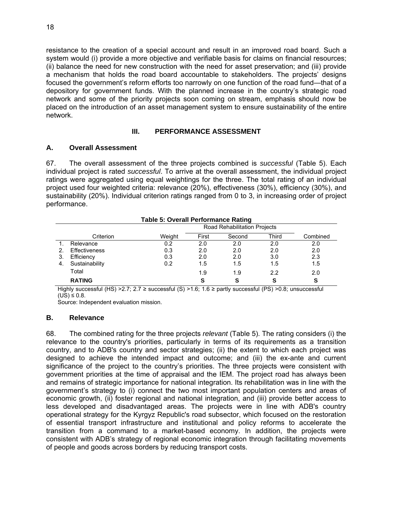resistance to the creation of a special account and result in an improved roa d board. Such a system would (i) provide a more objective and verifiable basis for claims on financial resources; (ii) balance the need for new construction with the need for asset preservation; and (iii) provide a mechanism that holds the road board accountable to stakeholders. The p rojects' designs focused the government's reform efforts too narrowly on one function of the roa d fund—that of a depository for government funds. With the planned increase in the country 's strategic road netwo rk and some of the priority projects soon coming on stream, emphasis should now be placed on the introduction of an asset management system to ensure sustainability of the entire network.

# **III. PERFORMANCE ASSESSMENT**

### <span id="page-31-1"></span><span id="page-31-0"></span>**A. Overall Assessment**

67. The overall assessment of the three projects combined is *successful* (Table 5). Each individual project is rated *successful*. To arrive at the overall assessment, the individual project ratings were aggregated using equal weightings for the three. The total rating of an individual project used four weighted criteria: relevance (20%), effectiveness (30%), efficiency (30%), and sustainability (20%). Individual criterion ratings ranged from 0 to 3, in increasing order of project performance.

|    | <b>Table 5: Overall Performance Rating</b> |                              |       |        |       |          |
|----|--------------------------------------------|------------------------------|-------|--------|-------|----------|
|    |                                            | Road Rehabilitation Projects |       |        |       |          |
|    | Criterion                                  | Weight                       | First | Second | Third | Combined |
|    | Relevance                                  | 0.2                          | 2.0   | 2.0    | 2.0   | 2.0      |
|    | <b>Effectiveness</b>                       | 0.3                          | 2.0   | 2.0    | 2.0   | 2.0      |
| 3. | Efficiency                                 | 0.3                          | 2.0   | 2.0    | 3.0   | 2.3      |
| 4. | Sustainability                             | 0.2                          | 1.5   | 1.5    | 1.5   | 1.5      |
|    | Total                                      |                              | 1.9   | 1.9    | 2.2   | 2.0      |
|    | <b>RATING</b>                              |                              | S     | S      | S     | S        |

Highly successful (HS) >2.7; 2.7 ≥ successful (S) >1.6; 1.6 ≥ partly successful (PS) >0.8; un successful  $(US) ≤ 0.8$ .

Source: Independent evaluation mission.

# <span id="page-31-2"></span>**B. Relevance**

68. The combined rating for the three projects *relevant* (Table 5). The rating considers (i) the relevance to the country's priorities, particularly in terms of its requirements as a transition country, and to ADB's country and sector strategies; (ii) the extent to which e ach project was designed to achieve the intended impact and outcome; and (iii) the ex-ante and current significance of the project to the country's priorities. The three projects were consistent with government priorities at the time of appraisal and th e IEM. The project road has always been and remains of strategic importance for national integration. Its rehabilitation was in line with the government's strategy to (i) connect the two most important population centers and areas of economic growth, (ii) foster regional and national integration, and (iii) provide better access to less developed and disadvantaged areas. The projects were in line with ADB's country operational strategy for the Kyrgyz Republic's road subsector, which focused on the restoration of essential transport infrastructure and institutional and policy reforms to accelerate the transition from a command to a market-based economy. In addition, the projects were consistent with ADB's strategy of regional economic integration through facilitating movements of people and goods across borders by reducing transport costs.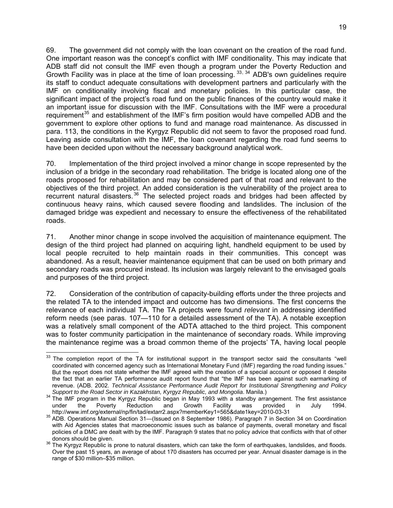69. The government did not comply with the loan covenant on the creation of the road fund. One important reason was the concept's conflict with IMF conditionality. This m ay indicate that ADB staff did not consult the IMF even though a program under the Poverty Reduction and Growth Facility was in place at the time of loan processing.  $33, 34$  $33, 34$  $33, 34$  ADB's own guidelines require its staff to conduct adequate consultations with development partners and particularly with the IMF on conditionality involving fiscal and monetary policies. In this particular case, the significant impact of the project's road fund on the public finances of the country would make it an important issue for discussion with the IMF. Consultations with the IMF were a procedural requirement<sup>[35](#page-32-2)</sup> and establishment of the IMF's firm position would have compelled ADB and the government to explore other options to fund and manage road maintenance. As discussed in para. 113, the conditions in the Kyrgyz Republic did not seem to favor the proposed road fund. Leaving aside consultation with the IMF, the loan covenant regarding the road fund seems to have been decided upon without the necessary background analytical work.

70. Implementation of the third project involved a minor change in scope represented by the inclusion of a bridge in the secondary road rehabilitation. The bridge is located along one of the roads proposed for rehabilitation and may be considered part of that road and relevant to the objectives of the third project. An added consideration is the vulnerability of the project area to recurrent natural disasters.<sup>36</sup> The selected project roads and bridges had been affected by continuous heavy rains, which caused severe flooding and landslides. The inclusion of the damaged bridge was expedient and necessary to ensure the effectiveness of the rehabilitated roads.

71. Another minor change in scope involved the acquisition of maintenance equipment. The design of the third project had planned on acquiring light, handheld equipment to be used by local people recruited to help maintain roads in their communities. This concept was abandoned. As a result, heavier maintenance equipment that can be used on both primary and secondary roads was procured instead. Its inclusion was largely relevant to the envisaged goals and purposes of the third project.

72. Consideration of the contribution of capacity-building efforts under the three projects and the related TA to the intended impact and outcome has two dimensions. The first concerns the relevance of each individual TA. The TA projects were found *relevant* in addressing identified reform needs (see paras. 107—110 for a detailed assessment of the TA). A notable exception was a relatively small component of the ADTA attached to the third project. This component was to foster community participation in the maintenance of secondary roads. While improving the maintenance regime was a broad common theme of the projects' TA, having local people

<span id="page-32-0"></span>  $33$  The completion report of the TA for institutional support in the transport sector said the consultants "well coordinated with concerned agency such as International Monetary Fund (IMF) regarding the ro ad funding issues." But the report does not state whether the IMF agreed with the creation of a special account or opposed it despite the fact that an earlier TA performance audit report found that "the IMF has been against such earmarking of *chnical Assistance Performance Audit Report for Institutional Strengthening and Policy*  revenue. (ADB. 2002. *Te*

<span id="page-32-1"></span>*Support to the Road Sector in Kazakhstan, Kyrgyz Republic, and Mongolia*. Manila.) 34 The IMF program in the Kyrgyz Republic began in May 1993 with a standby arrangement. The first assistance under the Poverty Reduction and Growth Facility was provided in July 1994.

<span id="page-32-2"></span>http://www.imf.org/external/np/fin/tad/extarr2.aspx?memberKey1=565&date1key=2010-03-31<br><sup>35</sup> ADB. Operations Manual Section 31—(Issued on 8 September 1986). Paragraph 7 in Section 34 on Coordination with Aid Agencies states that macroeconomic issues such as balance of payments, overall monetary and fiscal policies of a DMC are dealt with by the IMF. Paragraph 9 states that no policy advice that conflicts with that of other

donors should be given.<br><sup>36</sup> The Kyrgyz Republic is prone to natural disasters, which can take the form of earthquakes, landslides, and floods. Over the past 15 years, an average of about 170 disasters has occurred per year. Annual disaster damage is in the range of \$30 million–\$35 million.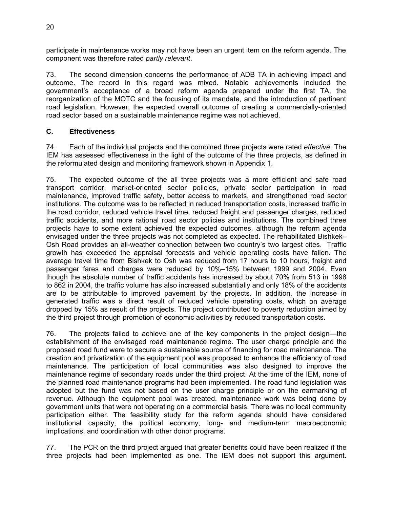participate in maintenance works may not have been an urgent item on the reform agenda. The component was therefore rated *partly relevant*.

73. The second dimension concerns the performance of ADB TA in achieving impact and outcome. The record in this regard was mixed. Notable achievements included the government's acceptance of a broad reform agenda prepared under the first TA, the reorganization of the MOTC and the focusing of its mandate, and the introduction of pertinent road legislation. However, the expected overall outcome of creating a commercially-oriented road sector based on a sustainable maintenance regime was not achieved.

### <span id="page-33-0"></span>**C. Effectiveness**

74. Each of the individual projects and the combined three projects were rated *effective*. The IEM has assessed effectiveness in the light of the outcome of the three projects, as defined in the reformulated design and monitoring framework shown in Appendix 1.

75. The expected outcome of the all three projects was a more efficient and safe road transport corridor, market-oriented sector policies, private sector participation in road maintenance, improved traffic safety, better access to markets, and strengthened road sector institutions. The outcome was to be reflected in reduced transportation costs, increased traffic in the road corridor, reduced vehicle travel time, reduced freight and passenger charges, reduced traffic accidents, and more rational road sector policies and institutions. The combined three projects have to some extent achieved the expected outcomes, although the reform agenda envisaged under the three projects was not completed as expected. The rehabilitated Bishkek– Osh Road provides an all-weather connection between two country's two largest cites. Traffic growth has exceeded the appraisal forecasts and vehicle operating costs have fallen. The average travel time from Bishkek to Osh was reduced from 17 hours to 10 hours, freight and passenger fares and charges were reduced by 10%–15% between 1999 and 2004. Even though the absolute number of traffic accidents has increased by about 70% from 513 in 1998 to 862 in 2004, the traffic volume has also increased substantially and only 18% of the accidents are to be attributable to improved pavement by the projects. In addition, the increase in generated traffic was a direct result of reduced vehicle operating costs, which on average dropped by 15% as result of the projects. The project contributed to poverty reduction aimed by the third project through promotion of economic activities by reduced transportation costs.

76. The projects failed to achieve one of the key components in the project design—the establishment of the envisaged road maintenance regime. The user charge principle and the proposed road fund were to secure a sustainable source of financing for road maintenance. The creation and privatization of the equipment pool was proposed to enhance the efficiency of road maintenance. The participation of local communities was also designed to improve the maintenance regime of secondary roads under the third project. At the time of the IEM, none of the planned road maintenance programs had been implemented. The road fund legislation was adopted but the fund was not based on the user charge principle or on the earmarking of revenue. Although the equipment pool was created, maintenance work was being done by government units that were not operating on a commercial basis. There was no local community participation either. The feasibility study for the reform agenda should have considered institutional capacity, the political economy, long- and medium-term macroeconomic implications, and coordination with other donor programs.

77. The PCR on the third project argued that greater benefits could have been realized if the three projects had been implemented as one. The IEM does not support this argument.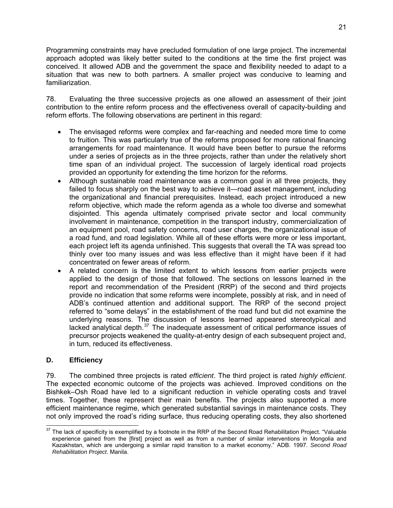Programming constraints may have precluded formulation of one large project. The incremental approach adopted was likely better suited to the conditions at the time the first project was conceived. It allowed ADB and the government the space and flexibility neede d to adapt to a situation th at was new to both partners. A smaller project was conducive to learning and familiarization.

78. Evaluating the three successive projects as one allowed an assessment of their joint contribution to the entire reform process and the effectiveness overall of capacity-building and reform efforts. The following observations are pertinent in this regard:

- The envisaged reforms were complex and far-reaching and needed more time to come to fruition. This was particularly true of the reforms proposed for more rational financing arrangements for road maintenance. It would have been better to pursue the reforms under a series of projects as in the three projects, rather than under the relatively short time span of an individual project. The succession of largely identical road projects provided an opportunity for extending the time horizon for the reforms.
- Although sustainable road maintenance was a common goal in all three projects, they failed to focus sharply on the best way to achieve it—road asset management, including the organizational and financial prerequisites. Instead, each project introduced a new reform objective, which made the reform agenda as a whole too diverse and somewhat disjointed. This agenda ultimately comprised private sector and local community involvement in maintenance, competition in the transport industry, commercialization of an equipment pool, road safety concerns, road user charges, the organizational issue of a road fund, and road legislation. While all of these efforts were more or less important, each project left its agenda unfinished. This suggests that overall the TA was spread too thinly over too many issues and was less effective than it might have been if it had concentrated on fewer areas of reform.
- A related concern is the limited extent to which lessons from earlier projects were applied to the design of those that followed. The sections on lessons learned in the report and recommendation of the President (RRP) of the second and third projects provide no indication that some reforms were incomplete, possibly at risk, and in need of ADB's continued attention and additional support. The RRP of the second project referred to "some delays" in the establishment of the road fund but did not examine the underlying reasons. The discussion of lessons learned appeared stereotypical and lacked analytical depth. $37$  The inadequate assessment of critical performance issues of precursor projects weakened the quality-at-entry design of each subsequent project and, in turn, reduced its effectiveness.

# <span id="page-34-0"></span>**D. Efficiency**

*highly efficient*. 79. The combined three projects is rated *efficient*. The third project is rated The expected economic outcome of the projects was achieved. Improved conditions on the Bishkek–Osh Road have led to a significant reduction in vehicle operating costs and travel times. Together, these represent their main benefits. The projects also supported a more efficient maintenance regime, which generated substantial savings in maintenance costs. They not only improved the road's riding surface, thus reducing operating costs, they also shortened

 $\overline{a}$  $37$  The lack of specificity is exemplified by a footnote in the RRP of the Second Road Rehabilitation Project. "Valuable experience gained from the [first] project as well as from a number of similar interventions in Mongolia and Kazakhstan, which are undergoing a similar rapid transition to a market economy." ADB. 1997. *Second Road Rehabilitation Project*. Manila.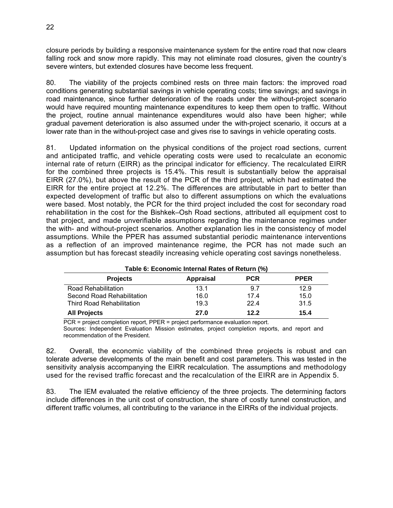closure periods by building a responsive maintenance system for the entire road that now clears falling rock and snow more rapidly. This may not eliminate road closures, given the country's severe winters, but extended closures have become less frequent.

80. The viability of the projects combined rests on three main factors: the improved road conditions generating substantial savings in vehicle operating costs; time saving s; and savings in road maintenance, since further deterioration of the roads under the without-project scenario would have required mounting maintenance expenditures to keep them open t o traffic. Without the project, routine annual maintenance expenditures would also have been hi gher; while gradual pavement deterioration is also assumed under the with-project scenario, it occurs at a lower rate than in the without-project case and gives rise to savings in vehicle operating costs.

81. Updated information on the physical conditions of the project road sections, current and anticipated traffic, and vehicle operating costs were used to recalculate an economic internal rate of return (EIRR) as the principal indicator for efficiency. The recalculated EIRR for the combined three projects is 15.4%. This result is substantially below the appraisal EIRR (27.0%), but above the result of the PCR of the third project, which had estimated the EIRR for the entire project at 12.2%. The differences are attributable in part to better than expected development of traffic but also to different assumptions on which the evaluations were based. Most notably, the PCR for the third project included the cost for secondary road rehabilitation in the cost for the Bishkek–Osh Road sections, attributed all equipment cost to that project, and made unverifiable assumptions regarding the maintenance regimes under the with- and without-project scenarios. Another explanation lies in the consistency of model assumptions. While the PPER has assumed substantial periodic maintenance interventions as a reflection of an improved maintenance regime, the PCR has not made such an assumption but has forecast steadily increasing vehicle operating cost savings nonetheless.

| Table 6: Economic Internal Rates of Return (%) |                  |            |             |  |  |
|------------------------------------------------|------------------|------------|-------------|--|--|
| <b>Projects</b>                                | <b>Appraisal</b> | <b>PCR</b> | <b>PPER</b> |  |  |
| Road Rehabilitation                            | 13.1             | 9.7        | 12.9        |  |  |
| Second Road Rehabilitation                     | 16.0             | 17.4       | 15.0        |  |  |
| <b>Third Road Rehabilitation</b>               | 19.3             | 22.4       | 31.5        |  |  |
| <b>All Projects</b>                            | 27.0             | 12.2       | 15.4        |  |  |

PCR = project completion report, PPER = project performance evaluation report. Sources: Independent Evaluation Mission estimates, project completion reports, and report and recommendation of the President.

82. Overall, the economic viability of the combined three projects is robust and can tolerate adverse developments of the main benefit and cost parameters. This was tested in the sensitivity analysis accompanying the EIRR recalculation. The assumptions and methodology used for the revised traffic forecast and the recalculation of the EIRR are in Appendix 5.

83. The IEM evaluated the relative efficiency of the three projects. The determining factors include differences in the unit cost of construction, the share of costly tunnel construction, and different traffic volumes, all contributing to the variance in the EIRRs of the individual projects.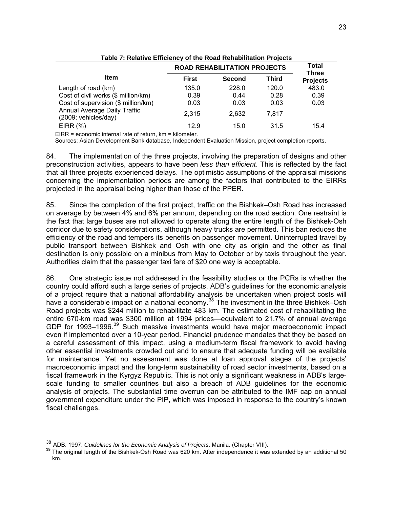| Table 7: Relative Efficiency of the Road Rehabilitation Projects |                                     |                              |       |                 |  |  |
|------------------------------------------------------------------|-------------------------------------|------------------------------|-------|-----------------|--|--|
|                                                                  | <b>ROAD REHABILITATION PROJECTS</b> | <b>Total</b><br><b>Three</b> |       |                 |  |  |
| <b>Item</b>                                                      | <b>First</b>                        | <b>Second</b>                | Third | <b>Projects</b> |  |  |
| Length of road (km)                                              | 135.0                               | 228.0                        | 120.0 | 483.0           |  |  |
| Cost of civil works (\$ million/km)                              | 0.39                                | 0.44                         | 0.28  | 0.39            |  |  |
| Cost of supervision (\$ million/km)                              | 0.03                                | 0.03                         | 0.03  | 0.03            |  |  |
| Annual Average Daily Traffic<br>(2009; vehicles/day)             | 2,315                               | 2,632                        | 7.817 |                 |  |  |
| EIRR $(%)$<br>$\blacksquare$<br>.                                | 12.9                                | 15.0                         | 31.5  | 15.4            |  |  |

Table 7: Relative Efficiency of the Road Rehabilitation Projects **e Efficiency of the Road Rehabilitation Pro** 

EIRR = economic internal rate of return, km = kilometer.

Sources: Asian Development Bank database, Independent Evaluation Mission, project comple tion reports.

84. The implementation of the three projects, involving the preparation of d esigns and other preconstruction activities, appears to have been *less than efficient*. This is reflected by the fact that all three projects experienced delays. The optimistic assumptions of the appraisal missions concerning the implementation periods are among the factors that contributed to the EIRRs projected in the appraisal being higher than those of the PPER.

85. Since the completion of the first project, traffic on the Bishkek–Osh Road has increased on average by between 4% and 6% per annum, depending on the road section. One restraint is the fact that large buses are not allowed to operate along the entire length of the Bishkek-Osh corridor due to safety considerations, although heavy trucks are permitted. This ban reduces the efficiency of the road and tempers its benefits on passenger movement. Uninterrupted travel by public transport between Bishkek and Osh with one city as origin and the other as final destination is only possible on a minibus from May to October or by taxis throughout the year. Authorities claim that the passenger taxi fare of \$20 one way is acceptable.

86. One strategic issue not addressed in the feasibility studies or the PCRs is whether the country could afford such a large series of projects. ADB's guidelines for the economic analysis of a project require that a national affordability analysis be undertaken when project costs will have a considerable impact on a national economy.<sup>[38](#page-36-0)</sup> The investment in the three Bishkek–Osh Road projects was \$244 million to rehabilitate 483 km. The estimated cost of rehabilitating the entire 670-km road was \$300 million at 1994 prices—equivalent to 21.7% of annual average GDP for 1993–1996.<sup>[39](#page-36-1)</sup> Such massive investments would have major macroeconomic impact even if implemented over a 10-year period. Financial prudence mandates that they be based on a careful assessment of this impact, using a medium-term fiscal framework to avoid having other essential investments crowded out and to ensure that adequate funding will be available for maintenance. Yet no assessment was done at loan approval stages of the projects' macroeconomic impact and the long-term sustainability of road sector investments, based on a fiscal framework in the Kyrgyz Republic. This is not only a significant weakness in ADB's largescale funding to smaller countries but also a breach of ADB guidelines for the economic analysis of projects. The substantial time overrun can be attributed to the IMF cap on annual government expenditure under the PIP, which was imposed in response to the country's known fiscal challenges.

<span id="page-36-0"></span><sup>&</sup>lt;sup>38</sup> ADB. 1997. Guidelines for the Economic Analysis of Projects. Manila. (Chapter VIII).

<span id="page-36-1"></span><sup>&</sup>lt;sup>39</sup> The original length of the Bishkek-Osh Road was 620 km. After independence it was extended by an additional 50 km.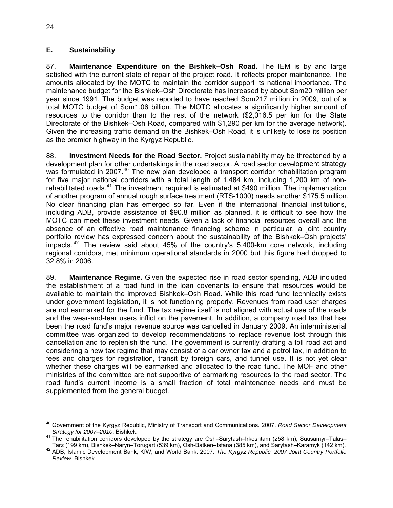#### <span id="page-37-0"></span>**E. Sustainability**

87. **Maintenance Expenditure on the Bishkek–Osh Road.** The IEM is by and large satisfied with the current state of repair of the project road. It reflects proper m aintenance. The amounts allocated by the MOTC to maintain the corridor support its national importance. The maintenance budget for the Bishkek–Osh Directorate has increased by about S om20 million per year since 1991. The budget was reported to have reached Som217 million in 2009, out of a total MOTC budget of Som1.06 billion. The MOTC allocates a significantly h igher amount of resources to the corridor than to the rest of the network (\$2,016.5 per km for the Stat e Directorate of the Bishkek–Osh Road, compared with \$1,290 per km for the average network). Given the increasing traffic demand on the Bishkek–Osh Road, it is unlikely to lose its position as the premier highway in the Kyrgyz Republic.

88. **Investment Needs for the Road Sector.** Project sustainability may be threatened by a development plan for other undertakings in the road sector. A road sector development strategy was formulated in 2007.<sup>[40](#page-37-1)</sup> The new plan developed a transport corridor rehabilitation program for five major national corridors with a total length of 1,484 km, including 1,200 km of non-rehabilitated roads.<sup>[41](#page-37-2)</sup> The investment required is estimated at \$490 million. The implementation of another program of annual rough surface treatment (RTS-1000) needs another \$175.5 million. No clear financing plan has emerged so far. Even if the international financial institutions, including ADB, provide assistance of \$90.8 million as planned, it is difficult to see how the MOTC can meet these investment needs. Given a lack of financial resources overall and the absence of an effective road maintenance financing scheme in particular, a joint country portfolio review has expressed concern about the sustainability of the Bishkek–Osh projects' impacts.  $42$  The review said about 45% of the country's 5,400-km core network, including regional corridors, met minimum operational standards in 2000 but this figure had dropped to 32.8% in 2006.

89. Maintenance Regime. Given the expected rise in road sector spending, ADB included the establishment of a road fund in the loan covenants to ensure that resources would be available to maintain the improved Bishkek–Osh Road. While this road fund technically exists under government legislation, it is not functioning properly. Revenues from road user charges are not earmarked for the fund. The tax regime itself is not aligned with actual use of the roads and the wear-and-tear users inflict on the pavement. In addition, a company road tax that has committee was organized to develop recommendations to replace revenue lost through this cancellation and to replenish the fund. The government is currently drafting a toll road act and considering a new tax regime that may consist of a car owner tax and a petrol tax, in addition to fees and charges for registration, transit by foreign cars, and tunnel use. It is not yet clear whether these charges will be earmarked and allocated to the road fund. The MOF and other ministries of the committee are not supportive of earmarking resources to the road sector. The road fund's current income is a small fraction of total maintenance needs and must be supplemented from the general budget. been the road fund's major revenue source was cancelled in January 2009. An interministerial

 40 Government of the Kyrgyz Republic, Ministry of Transport and Communications. 2007. *Road Sector Development* 

<span id="page-37-2"></span><span id="page-37-1"></span>*Strategy for 2007–2010*. Bishkek. 41 The rehabilitation corridors developed by the strategy are Osh–Sarytash–Irkeshtam (258 km), Suusamyr–Talas–

<sup>42</sup> ADB, Islamic Development Bank, KfW, and World Bank. 2007. The Kyrgyz Republic: 2007 Joint Country Portfolio *Review*. Bishkek.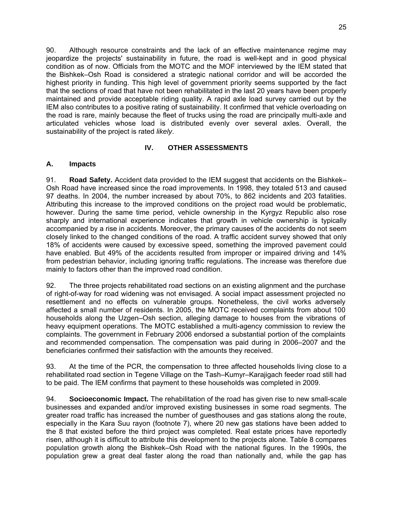90. Although resource constraints and the lack of an effective maintenan ce regime may jeopardize the projects' sustainability in future, the road is well-kept and in good physical condition as of now. Officials from the MOTC and the MOF interviewed by the IEM stated that the Bishkek–Osh Road is considered a strategic national corridor and will be accorded the highest priority in funding. This high level of government priority seems supported by the fact that the sections of road that have not been rehabilitated in the last 20 years have been properly maintained and provide acceptable riding quality. A rapid axle load survey ca rried out by the IEM also contributes to a positive rating of sustainability. It confirmed that vehicle overloading on the road is rare, mainly because the fleet of trucks using the road are principally multi-axle and articulated vehicles whose load is distributed evenly over several axles. Overall, the sustainability of the project is rated *likely*.

# **IV. OTHER ASSESSMENTS**

### <span id="page-38-1"></span><span id="page-38-0"></span>**A. Impacts**

91. **Road Safety.** Accident data provided to the IEM suggest that accidents on the Bishkek– Osh Road have increased since the road improvements. In 1998, they totaled 513 and caused 97 deaths. In 2004, the number increased by about 70%, to 862 incidents and 203 fatalities. Attributing this increase to the improved conditions on the project road would be problematic, however. During the same time period, vehicle ownership in the Kyrgyz Republic also rose sharply and international experience indicates that growth in vehicle ownership is typically accompanied by a rise in accidents. Moreover, the primary causes of the accidents do not seem closely linked to the changed conditions of the road. A traffic accident survey showed that only 18% of accidents were caused by excessive speed, something the improved pavement could have enabled. But 49% of the accidents resulted from improper or impaired driving and 14% from pedestrian behavior, including ignoring traffic regulations. The increase was therefore due mainly to factors other than the improved road condition.

92. The three projects rehabilitated road sections on an existing alignment and the purchase of right-of-way for road widening was not envisaged. A social impact assessment projected no affected a small number of residents. In 2005, the MOTC received complaints from about 100 households along the Uzgen–Osh section, alleging damage to houses from the vibrations of complaints. The government in February 2006 endorsed a substantial portion of the complaints and recommended compensation. The compensation was paid during in 2006–2007 and the resettlement and no effects on vulnerable groups. Nonetheless, the civil works adversely heavy equipment operations. The MOTC established a multi-agency commission to review the beneficiaries confirmed their satisfaction with the amounts they received.

93. At the time of the PCR, the compensation to three affected households living close to a rehabilitated road section in Tegene Village on the Tash–Kumyr–Karajigach feeder road still had to be paid. The IEM confirms that payment to these households was completed in 2009.

94. **Socioeconomic Impact.** The rehabilitation of the road has given rise to new small-scale businesses and expanded and/or improved existing businesses in some road segments. The greater road traffic has increased the number of guesthouses and gas stations along the route, especially in the Kara Suu rayon (footnote 7), where 20 new gas stations have been added to the 8 that existed before the third project was completed. Real estate prices have reportedly risen, although it is difficult to attribute this development to the projects alone. Table 8 compares population growth along the Bishkek–Osh Road with the national figures. In the 1990s, the population grew a great deal faster along the road than nationally and, while the gap has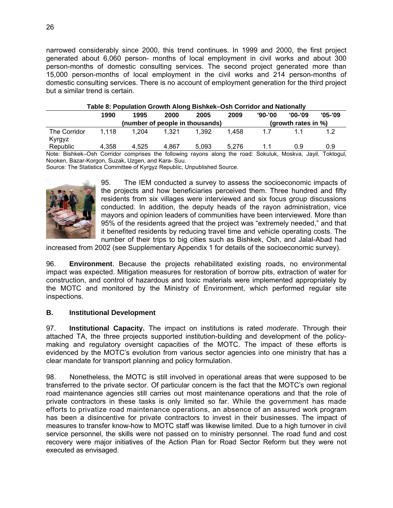narrowed considerably since 2000, this trend continues. In 1999 and 2000, the first project generated about 6,060 person- months of local employment in civil works and about 300 person-months of domestic consulting services. The second project generated more than 15,000 person-months of local employment in the civil works and 214 perso n-months of domestic consulting services. There is no account of employment generation for the third project but a sim ilar trend is certain.

| Table 8: Population Growth Along Bishkek–Osh Corridor and Nationally |       |       |       |       |       |         |         |            |
|----------------------------------------------------------------------|-------|-------|-------|-------|-------|---------|---------|------------|
|                                                                      | 1990  | 1995  | 2000  | 2005  | 2009  | '90-'00 | '00-'09 | $'05 - 09$ |
| (number of people in thousands)<br>(growth rates in %)               |       |       |       |       |       |         |         |            |
| The Corridor<br>Kyrgyz                                               | 1.118 | 1.204 | 1.321 | 1.392 | 1.458 | 17      |         |            |
| Republic<br>$\cdots$ $\cdots$                                        | 4.358 | 4.525 | 4.867 | 5.093 | 5.276 | 11      | 0.9     | 0.9        |

Note: Bishkek–Osh Corridor comprises the following rayons along the road: Sokuluk, Moskva, Jayil, Toktogul,

Nooken, Bazar -Korgon, Suzak, Uzgen, and Kara- Suu.

Source: The Statistics Committee of Kyrgyz Republic, Unpublished Source.



95. The IEM conducted a survey to assess the socioeconomic impacts of the projects and how beneficiaries perceived them. Three hundred and fifty residents from six villages were interviewed and six focus group discussions conducted. In addition, the deputy heads of the rayon administration, vice mayors and opinion leaders of communities have been interviewed. More than 95% of the residents agreed that the project was "extremely needed," and that it benefited residents by reducing travel time and vehicle operating costs. The number of their trips to big cities such as Bishkek, Osh, and Jalal-Abad had

increased from 2002 (see Supplementary Appendix 1 for details of the socioeconomic survey).

96. **Environment**. Because the projects rehabilitated existing roads, no environmental impact was expected. Mitigation measures for restoration of borrow pits, extraction of water for construction, and control of hazardous and toxic materials were implemented appropriately by the MOTC and monitored by the Ministry of Environment, which performed regular site inspections.

#### **. B Institutional Development**

97. **Institutional Capacity.** The impact on institutions is rated *moderate*. Through their attached TA, the three projects supported institution-building and development of the policymaking and regulatory oversight capacities of the MOTC. The impact of these efforts is evidenced by the MOTC's evolution from various sector agencies into one ministry that has a clear mandate for transport planning and policy formulation.

98. Nonetheless, the MOTC is still involved in operational areas that were supposed to be transferred to the private sector. Of particular concern is the fact that the MOTC's own regional road maintenance agencies still carries out most maintenance operations and that the role of private contractors in these tasks is only limited so far. While the government has made efforts to privatize road maintenance operations, an absence of an assured work program has been a disincentive for private contractors to invest in their businesses. The impact of measures to transfer know-how to MOTC staff was likewise limited. Due to a high turnover in civil service personnel, the skills were not passed on to ministry personnel. The road fund and cost recovery were major initiatives of the Action Plan for Road Sector Reform but they were not executed as envisaged.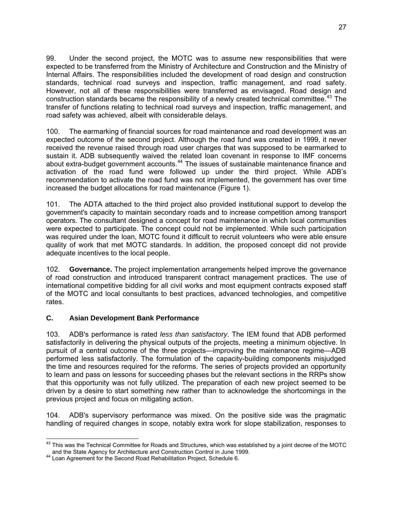99. Under the second project, the MOTC was to assume new responsib ilities that were expected to be transferred from the Ministry of Architecture and Construction an d the Ministry of Internal Affairs. The responsibilities included the development of road design and construction standards, technical road surveys and inspection, traffic management, a nd road safety. However, not all of these responsibilities were transferred as envisaged. Road design and construction standards became the responsibility of a newly created technical committee.<sup>43</sup> The transfer of functions relating to technical road surveys and inspection, traffic management, and road safety was achieved, albeit with considerable delays.

100. The earmarking of financial sources for road maintenance and road development was an expected outcome of the second project. Although the road fund was created in 1999, it never received the revenue raised through road user charges that was supposed to be earmarked to sustain it. ADB subsequently waived the related loan covenant in response to IMF concerns about extra-budget government accounts. $44$  The issues of sustainable maintenance finance and activation of the road fund were followed up under the third project. While ADB's recommendation to activate the road fund was not implemented, the government has over time increased the budget allocations for road maintenance (Figure 1).

101. The ADTA attached to the third project also provided institutional support to develop the government's capacity to maintain secondary roads and to increase competition among transport operators. The consultant designed a concept for road maintenance in which local communities were expected to participate. The concept could not be implemented. While such participation was required under the loan, MOTC found it difficult to recruit volunteers who were able ensure quality of work that met MOTC standards. In addition, the proposed concept did not provide adequate incentives to the local people.

102. **Governance.** The project implementation arrangements helped improve the governance of road construction and introduced transparent contract management practices. The use of international competitive bidding for all civil works and most equipment contracts exposed staff of the MOTC and local consultants to best practices, advanced technologies, and competitive rates.

# <span id="page-40-0"></span>**C. Asian Development Bank Performance**

103. ADB's performance is rated *less than satisfactory*. The IEM found that ADB performed satisfactorily in delivering the physical outputs of the projects, meeting a minimum objective. In pursuit of a central outcome of the three projects—improving the maintenance regime—ADB performed less satisfactorily. The formulation of the capacity-building components misjudged the time and resources required for the reforms. The series of projects provided an opportunity to learn and pass on lessons for succeeding phases but the relevant sections in the RRPs show that this opportunity was not fully utilized. The preparation of each new project seemed to be driven by a desire to start something new rather than to acknowledge the shortcomings in the previous project and focus on mitigating action.

104. ADB's supervisory performance was mixed. On the positive side was the pragmatic handling of required changes in scope, notably extra work for slope stabilization, responses to

 $\overline{a}$  $^{43}$  This was the Technical Committee for Roads and Structures, which was established by a joint decree of the MOTC and the State Agency for Architecture and Construction Control in June 1999. 44 Loan Agreement for the Second Road Rehabilitation Project, Schedule 6.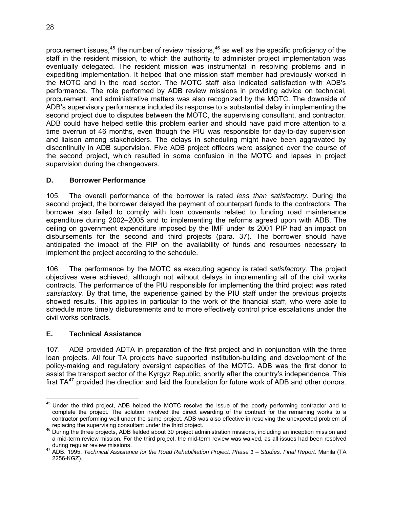procurement issues,<sup>[45](#page-41-2)</sup> the number of review missions,<sup>[46](#page-41-3)</sup> as well as the specific proficiency of the staff in the resident mission, to which the authority to administer project implementation was eventually delegated. The resident mission was instrumental in resolving problems and in expediting implementation. It helped that one mission staff member had prev iously worked in the MOTC and in the road sector. The MOTC staff also indicated satisfac tion with ADB's performance. The role performed by ADB review missions in providing adv ice on technical, procurement, and administrative matters was also recognized by the MOTC. T he downside of ADB's supervisory performance included its response to a substantial delay in i mplementing the second project due to disputes between the MOTC, the supervising consultant , and contractor. ADB could have helped settle this problem earlier and should have paid mo re attention to a time overrun of 46 months, even though the PIU was responsible for day-to-day supervision and liaison among stakehol ders. The delays in scheduling might have been aggravated by discontinuity in ADB supervision. Five ADB project officers were assigned over the course of the second project, which resulted in some confusion in the MOTC and lapses in project supervision during the changeovers.

### <span id="page-41-0"></span>**D. Borrower Performance**

105. The overall performance of the borrower is rated *less than satisfactory*. During the second project, the borrower delayed the payment of counterpart funds to the contractors. The borrower also failed to comply with loan covenants related to funding road maintenance expenditure during 2002–2005 and to implementing the reforms agreed upon with ADB. The ceiling on government expenditure imposed by the IMF under its 2001 PIP had an impact on disbursements for the second and third projects (para. 37). The borrower should have anticipated the impact of the PIP on the availability of funds and resources necessary to implement the project according to the schedule.

106. The performance by the MOTC as executing agency is rated *satisfactory*. The project objectives were achieved, although not without delays in implementing all of the civil works contracts. The performance of the PIU responsible for implementing the third project was rated satisfactory. By that time, the experience gained by the PIU staff under the previous projects showed results. This applies in particular to the work of the financial staff, who were able to schedule more timely disbursements and to more effectively control price escalations under the civil works contracts.

#### <span id="page-41-1"></span>**E. Technical Assistance**

107. ADB provided ADTA in preparation of the first project and in conjunction with the three policy-making and regulatory oversight capacities of the MOTC. ADB was the first donor to first TA $47$  provided the direction and laid the foundation for future work of ADB and other donors. loan projects. All four TA projects have supported institution-building and development of the assist the transport sector of the Kyrgyz Republic, shortly after the country's independence. This

<span id="page-41-2"></span><sup>-</sup><sup>45</sup> Under the third project, ADB helped the MOTC resolve the issue of the poorly performing contractor and to complete the project. The solution involved the direct awarding of the contract for the remaining works to a contractor performing well under the same project. ADB was also effective in resolving the unexpected problem of

<span id="page-41-3"></span>replacing the supervising consultant under the third project.<br><sup>46</sup> During the three projects, ADB fielded about 30 project administration missions, including an inception mission and a mid-term review mission. For the third project, the mid-term review was waived, as all issues had been resolved

during regular review missions. 47 ADB. 1995. *Technical Assistance for the Road Rehabilitation Project. Phase 1 – Studies. Final Report*. Manila (TA 2256-KGZ).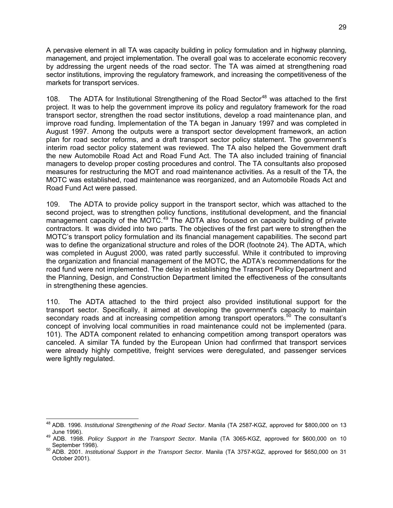A pervasive element in all TA was capacity building in policy formulation and in h ighway planning, management, and project implementation. The overall goal was to accelerate ec onomic recovery by addressing the urgent needs of the road sector. The TA was aimed at str engthening road sector institutions, improving the regulatory framework, and increasing the competitiveness of the markets for transport services.

108. The ADTA for Institutional Strengthening of the Road Sector<sup>[48](#page-42-0)</sup> was attached to the first project. It was to help the government improve its policy and regulatory framework for the road transport sector, strengthen the road sector institutions, develop a road maintenance plan, and improve road funding. Implementation of the TA began in January 1997 and was completed in August 1997. Among the outputs were a transport sector development framework, an action plan for road sector reforms, and a draft transport sector policy statement. The government's interim road sector policy statement was reviewed. The TA also helped the Government draft the new Automobile Road Act and Road Fund Act. The TA also included training of financial managers to develop proper costing procedures and control. The TA consultants also proposed measures for restructuring the MOT and road maintenance activities. As a result of the TA, the MOTC was established, road maintenance was reorganized, and an Automobile Roads Act and Road Fund Act were passed.

109. The ADTA to provide policy support in the transport sector, which was attached to the second project, was to strengthen policy functions, institutional development, and the financial management capacity of the MOTC.<sup>[49](#page-42-1)</sup> The ADTA also focused on capacity building of private contractors. It was divided into two parts. The objectives of the first part were to strengthen the MOTC's transport policy formulation and its financial management capabilities. The second part was to define the organizational structure and roles of the DOR (footnote 24). The ADTA, which was completed in August 2000, was rated partly successful. While it contributed to improving the organization and financial management of the MOTC, the ADTA's recommendations for the road fund were not implemented. The delay in establishing the Transport Policy Department and the Planning, Design, and Construction Department limited the effectiveness of the consultants in strengthening these agencies.

110. The ADTA attached to the third project also provided institutional support for the transport sector. Specifically, it aimed at developing the government's capacity to maintain secondary roads and at increasing competition among transport operators.<sup>50</sup> The consultant's concept of involving local communities in road maintenance could not be implemented (para. 101). The ADTA component related to enhancing competition among transport operators was canceled. A similar TA funded by the European Union had confirmed that transport services were already highly competitive, freight services were deregulated, and passenger services were lightly regulated.

-

<span id="page-42-0"></span><sup>48</sup> ADB. 1996. *Institutional Strengthening of the Road Sector*. Manila (TA 2587-KGZ, approved for \$800,000 on 13

<span id="page-42-1"></span>June 1996). 49 ADB. 1998. *Policy Support in the Transport Sector*. Manila (TA 3065-KGZ, approved for \$600,000 on 10

September 1998). 50 ADB. 2001. *Institutional Support in the Transport Sector*. Manila (TA 3757-KGZ, approved for \$650,000 on 31 October 2001).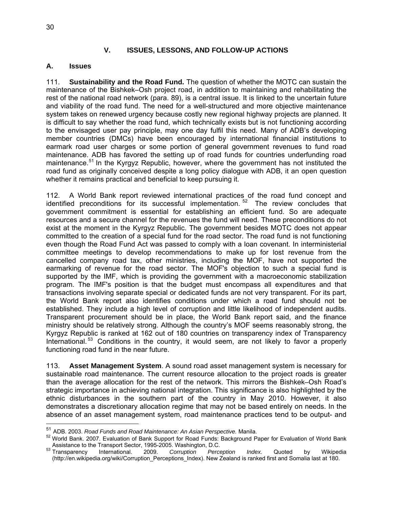#### **V. ISSUES, LESSONS, AND FOLLOW-UP ACTIONS**

#### <span id="page-43-1"></span><span id="page-43-0"></span>**A. Issues**

111. **Sustainability and the Road Fund.** The question of whether the MOTC can sustain the maintenance of the Bishkek–Osh project road, in addition to maintaining and rehabilitating the rest of the national road network (para. 89), is a central issue. It is linked to the uncertain future and viability of the road fund. The need for a well-structured and more objective maintenance system takes on renewed urgency because costly new regional highway projects are planned. It is difficult to say whether the road fund, which technically exists but is not functioning according to the envisaged user pay principle, may one day fulfil this need. Many of ADB's developing member countries (DMCs) have been encouraged by international financial institutions to earmark road user charges or some portion of general government revenues to fund road maintenance. ADB has favored the setting up of road funds for countries underfunding road maintenance.<sup>[51](#page-43-2)</sup> In the Kyrgyz Republic, however, where the government has not instituted the road fund as originally conceived despite a long policy dialogue with ADB, it an open question whether it remains practical and beneficial to keep pursuing it.

112. A World Bank report reviewed international practices of the road fund concept and identified preconditions for its successful implementation.  $52$  The review concludes that government commitment is essential for establishing an efficient fund. So are adequate resources and a secure channel for the revenues the fund will need. These preconditions do not exist at the moment in the Kyrgyz Republic. The government besides MOTC does not appear committed to the creation of a special fund for the road sector. The road fund is not functioning even though the Road Fund Act was passed to comply with a loan covenant. In interministerial committee meetings to develop recommendations to make up for lost revenue from the cancelled company road tax, other ministries, including the MOF, have not supported the earmarking of revenue for the road sector. The MOF's objection to such a special fund is supported by the IMF, which is providing the government with a macroeconomic stabilization program. The IMF's position is that the budget must encompass all expenditures and that transactions involving separate special or dedicated funds are not very transparent. For its part, the World Bank report also identifies conditions under which a road fund should not be established. They include a high level of corruption and little likelihood of independent audits. Transparent procurement should be in place, the World Bank report said, and the finance ministry should be relatively strong. Although the country's MOF seems reasonably strong, the Kyrgyz Republic is ranked at 162 out of 180 countries on transparency index of Transparency International.<sup>53</sup> Conditions in the country, it would seem, are not likely to favor a properly functioning road fund in the near future.

113. Asset Management System. A sound road asset management system is necessary for sustainable road maintenance. The current resource allocation to the project roads is greater than the average allocation for the rest of the network. This mirrors the Bishkek–Osh Road's strategic importance in achieving national integration. This significance is also highlighted by the ethnic disturbances in the southern part of the country in May 2010. However, it also demonstrates a discretionary allocation regime that may not be based entirely on needs. In the absence of an asset management system, road maintenance practices tend to be output- and

<sup>&</sup>lt;sup>51</sup> ADB. 2003. *Road Funds and Road Maintenance: An Asian Perspective.* Manila.<br><sup>52</sup> World Bank. 2007. Evaluation of Bank Support for Road Funds: Background Paper for Evaluation of World Bank

<span id="page-43-3"></span><span id="page-43-2"></span>Assistance to the Transport Sector, 1995-2005. Washington, D.C. **Follow Index.** Quoted by Wikipedia by Wikipedia (http://en.wikipedia.org/wiki/Corruption\_Perceptions\_Index). New Zealand is ranked first and Somalia last at 180.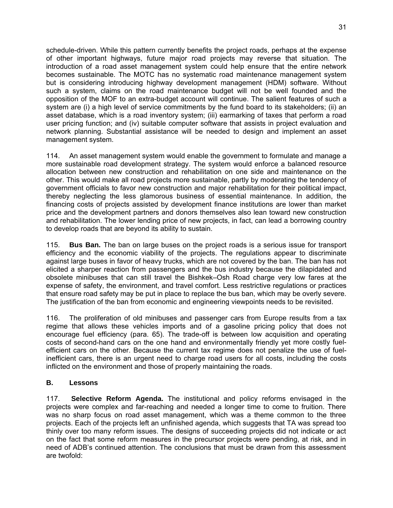schedule-driven. While this pattern currently benefits the project roads, perhaps at the expense of other important highways, future major road projects may reverse tha t situation. The introduction of a road asset management system could help ensure that the entire network becomes sustainable. The MOTC has no systematic road maintenance mana gement system but is considering introducing highway development management (HDM) s oftware. Without such a system, claims on the road maintenance budget will not be well founded and the opposition of the MOF to an extra-budget account will continue. The salient fe atures of such a system are (i) a high level of service commitments by the fund board to its stakeholders; (ii) an asset database, which is a road inventory system; (iii) earmarking of taxes that per form a road user pricing function; and (iv) suitable computer software that assists in project evaluation and network planning. Substantial assistance will be needed to design and implement an asset management system.

114. An asset management system would enable the government to formulate and manage a more sustainable road development strategy. The system would enforce a balanced resource allocation between new construction and rehabilitation on one side and maintenance on the other. This would make all road projects more sustainable, partly by moderating the tendency of government officials to favor new construction and major rehabilitation for their political impact, thereby neglecting the less glamorous business of essential maintenance. In addition, the financing costs of projects assisted by development finance institutions are lower than market price and the development partners and donors themselves also lean toward new construction and rehabilitation. The lower lending price of new projects, in fact, can lead a borrowing country to develop roads that are beyond its ability to sustain.

115. **Bus Ban.** The ban on large buses on the project roads is a serious issue for transport efficiency and the economic viability of the projects. The regulations appear to discriminate against large buses in favor of heavy trucks, which are not covered by the ban. The ban has not elicited a sharper reaction from passengers and the bus industry because the dilapidated and obsolete minibuses that can still travel the Bishkek–Osh Road charge very low fares at the expense of safety, the environment, and travel comfort. Less restrictive regulations or practices that ensure road safety may be put in place to replace the bus ban, which may be overly severe. The justification of the ban from economic and engineering viewpoints needs to be revisited.

116. The proliferation of old minibuses and passenger cars from Europe results from a tax regime that allows these vehicles imports and of a gasoline pricing policy that does not encourage fuel efficiency (para. 65). The trade-off is between low acquisition and operating costs of second-hand cars on the one hand and environmentally friendly yet more costly fuelefficient cars on the other. Because the current tax regime does not penalize the use of fuelinefficient cars, there is an urgent need to charge road users for all costs, including the costs inflicted on the environment and those of properly maintaining the roads.

#### <span id="page-44-0"></span>**essons B. L**

117. **Selective Reform Agenda.** The institutional and policy reforms envisaged in the projects were complex and far-reaching and needed a longer time to come to fruition. There was no sharp focus on road asset management, which was a theme common to the three projects. Each of the projects left an unfinished agenda, which suggests that TA was spread too thinly over too many reform issues. The designs of succeeding projects did not indicate or act on the fact that some reform measures in the precursor projects were pending, at risk, and in need of ADB's continued attention. The conclusions that must be drawn from this assessment are twofold: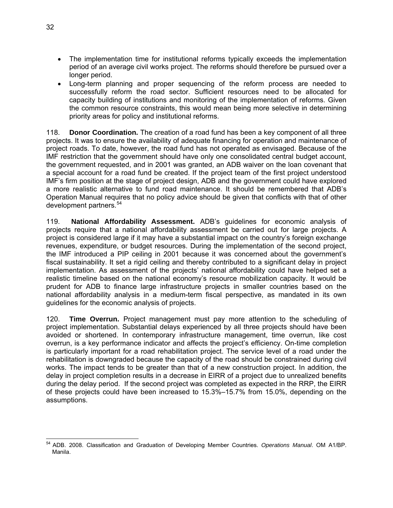- The implementation time for institutional reforms typically exceeds the implementation period of an average civil works project. The reforms should therefore be pursued over a longer period.
- Long-term planning and proper sequencing of the reform process are needed to successfully reform the road sector. Sufficient resources need to be allocated for capacity building of institutions and monitoring of the implementation of reforms. Given the common resource constraints, this would mean being more selective in determining priority areas for policy and institutional reforms.

118. **Donor Coordination.** The creation of a road fund has been a key component of all three projects. It was to ensure the availability of adequate financing for operation and maintenance of project roads. To date, however, the road fund has not operated as envisaged. Because of the IMF restriction that the government should have only one consolidated central budget account, the government requested, and in 2001 was granted, an ADB waiver on the loan covenant that a special account for a road fund be created. If the project team of the first project understood IMF's firm position at the stage of project design, ADB and the government could have explored a more realistic alternative to fund road maintenance. It should be remembered that ADB's Operation Manual requires that no policy advice should be given that conflicts with that of other development partners.<sup>54</sup>

119. **National Affordability Assessment.** ADB's guidelines for economic analysis of projects require that a national affordability assessment be carried out for large projects. A project is considered large if it may have a substantial impact on the country's foreign exchange revenues, expenditure, or budget resources. During the implementation of the second project, the IMF introduced a PIP ceiling in 2001 because it was concerned about the government's fiscal sustainability. It set a rigid ceiling and thereby contributed to a significant delay in project implementation. As assessment of the projects' national affordability could have helped set a realistic timeline based on the national economy's resource mobilization capacity. It would be prudent for ADB to finance large infrastructure projects in smaller countries based on the national affordability analysis in a medium-term fiscal perspective, as mandated in its own guidelines for the economic analysis of projects.

120. **Time Overrun.** Project management must pay more attention to the scheduling of project implementation. Substantial delays experienced by all three projects should have been avoided or shortened. In contemporary infrastructure management, time overrun, like cost overrun, is a key performance indicator and affects the project's efficiency. On-time completion is particularly important for a road rehabilitation project. The service level of a road under the rehabilitation is downgraded because the capacity of the road should be constrained during civil works. The impact tends to be greater than that of a new construction project. In addition, the delay in project completion results in a decrease in EIRR of a project due to unrealized benefits during the delay period. If the second project was completed as expected in the RRP, the EIRR of these projects could have been increased to 15.3%–15.7% from 15.0%, depending on the assumptions.

 $\overline{a}$ 54 ADB. 2008. Classification and Graduation of Developing Member Countries. *Operations Manual*. OM A1/BP. Manila.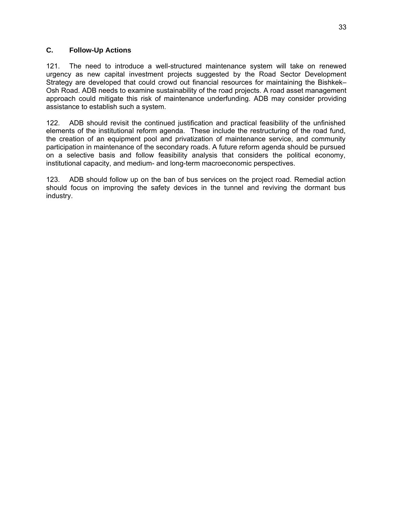#### <span id="page-46-0"></span>**C. Follow-Up Actions**

121. The need to introduce a well-structured maintenance system will take on renewed urgency as new capital investment projects suggested by the Road Sector Development Strategy are developed that could crowd out financial resources for maintaining the Bishkek– Osh Road. ADB needs to examine sustainability of the road projects. A road asset management approach could mitigate this risk of maintenance underfunding. ADB may consider providing assistance to establish such a system.

122. ADB should revisit the continued justification and practical feasibility of the unfinished elements of the institutional reform agenda. These include the restructuring of the road fund, the creation of an equipment pool and privatization of maintenance service, and community participation in maintenance of the secondary roads. A future reform agenda should be pursued on a selective basis and follow feasibility analysis that considers the political economy, institutional capacity, and medium- and long-term macroeconomic perspectives.

123. ADB should follow up on the ban of bus services on the project road. Remedial action should focus on improving the safety devices in the tunnel and reviving the dormant bus industry.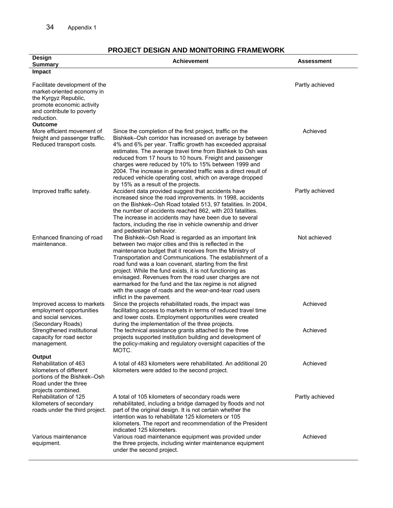| Design<br><b>Summary</b>                                                                                                                                                      | FROJECT DEJIGN AND MONTORING FRAMEWORK<br><b>Achievement</b>                                                                                                                                                                                                                                                                                                                                                                                                                                                                                                                | <b>Assessment</b> |
|-------------------------------------------------------------------------------------------------------------------------------------------------------------------------------|-----------------------------------------------------------------------------------------------------------------------------------------------------------------------------------------------------------------------------------------------------------------------------------------------------------------------------------------------------------------------------------------------------------------------------------------------------------------------------------------------------------------------------------------------------------------------------|-------------------|
| Impact                                                                                                                                                                        |                                                                                                                                                                                                                                                                                                                                                                                                                                                                                                                                                                             |                   |
| Facilitate development of the<br>market-oriented economy in<br>the Kyrgyz Republic,<br>promote economic activity<br>and contribute to poverty<br>reduction.<br><b>Outcome</b> |                                                                                                                                                                                                                                                                                                                                                                                                                                                                                                                                                                             | Partly achieved   |
| More efficient movement of<br>freight and passenger traffic.<br>Reduced transport costs.                                                                                      | Since the completion of the first project, traffic on the<br>Bishkek–Osh corridor has increased on average by between<br>4% and 6% per year. Traffic growth has exceeded appraisal<br>estimates. The average travel time from Bishkek to Osh was<br>reduced from 17 hours to 10 hours. Freight and passenger<br>charges were reduced by 10% to 15% between 1999 and<br>2004. The increase in generated traffic was a direct result of<br>reduced vehicle operating cost, which on average dropped<br>by 15% as a result of the projects.                                    | Achieved          |
| Improved traffic safety.                                                                                                                                                      | Accident data provided suggest that accidents have<br>increased since the road improvements. In 1998, accidents<br>on the Bishkek-Osh Road totaled 513, 97 fatalities. In 2004,<br>the number of accidents reached 862, with 203 fatalities.<br>The increase in accidents may have been due to several<br>factors, including the rise in vehicle ownership and driver<br>and pedestrian behavior.                                                                                                                                                                           | Partly achieved   |
| Enhanced financing of road<br>maintenance.                                                                                                                                    | The Bishkek-Osh Road is regarded as an important link<br>between two major cities and this is reflected in the<br>maintenance budget that it receives from the Ministry of<br>Transportation and Communications. The establishment of a<br>road fund was a loan covenant, starting from the first<br>project. While the fund exists, it is not functioning as<br>envisaged. Revenues from the road user charges are not<br>earmarked for the fund and the tax regime is not aligned<br>with the usage of roads and the wear-and-tear road users<br>inflict in the pavement. | Not achieved      |
| Improved access to markets<br>employment opportunities<br>and social services.<br>(Secondary Roads)                                                                           | Since the projects rehabilitated roads, the impact was<br>facilitating access to markets in terms of reduced travel time<br>and lower costs. Employment opportunities were created<br>during the implementation of the three projects.                                                                                                                                                                                                                                                                                                                                      | Achieved          |
| Strengthened institutional<br>capacity for road sector<br>management.<br>Output                                                                                               | The technical assistance grants attached to the three<br>projects supported institution building and development of<br>the policy-making and regulatory oversight capacities of the<br>MOTC.                                                                                                                                                                                                                                                                                                                                                                                | Achieved          |
| Rehabilitation of 463<br>kilometers of different<br>portions of the Bishkek-Osh<br>Road under the three<br>projects combined.                                                 | A total of 483 kilometers were rehabilitated. An additional 20<br>kilometers were added to the second project.                                                                                                                                                                                                                                                                                                                                                                                                                                                              | Achieved          |
| Rehabilitation of 125<br>kilometers of secondary<br>roads under the third project.                                                                                            | A total of 105 kilometers of secondary roads were<br>rehabilitated, including a bridge damaged by floods and not<br>part of the original design. It is not certain whether the<br>intention was to rehabilitate 125 kilometers or 105<br>kilometers. The report and recommendation of the President<br>indicated 125 kilometers.                                                                                                                                                                                                                                            | Partly achieved   |
| Various maintenance<br>equipment.                                                                                                                                             | Various road maintenance equipment was provided under<br>the three projects, including winter maintenance equipment<br>under the second project.                                                                                                                                                                                                                                                                                                                                                                                                                            | Achieved          |

#### **PROJECT DESIGN AND MONITORING FRAMEWORK**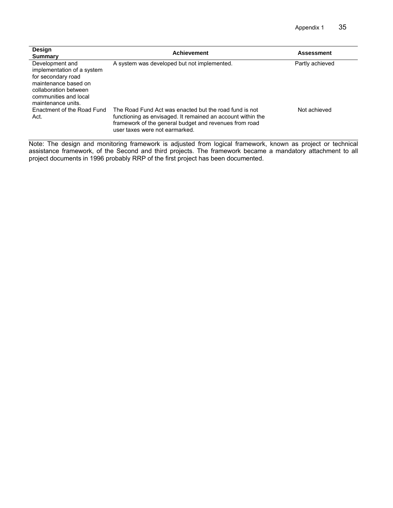| <b>Design</b><br><b>Summary</b>                                                                                                                                     | <b>Achievement</b>                                                                                                                                                                                                | <b>Assessment</b> |
|---------------------------------------------------------------------------------------------------------------------------------------------------------------------|-------------------------------------------------------------------------------------------------------------------------------------------------------------------------------------------------------------------|-------------------|
| Development and<br>implementation of a system<br>for secondary road<br>maintenance based on<br>collaboration between<br>communities and local<br>maintenance units. | A system was developed but not implemented.                                                                                                                                                                       | Partly achieved   |
| Enactment of the Road Fund<br>Act.                                                                                                                                  | The Road Fund Act was enacted but the road fund is not<br>functioning as envisaged. It remained an account within the<br>framework of the general budget and revenues from road<br>user taxes were not earmarked. | Not achieved      |

Note: The design and monitoring framework is adjusted from logical framework, known as project or technical assistance framework, of the Second and third projects. The framework became a mandatory attachment to all project documents in 1996 probably RRP of the first project has been documented.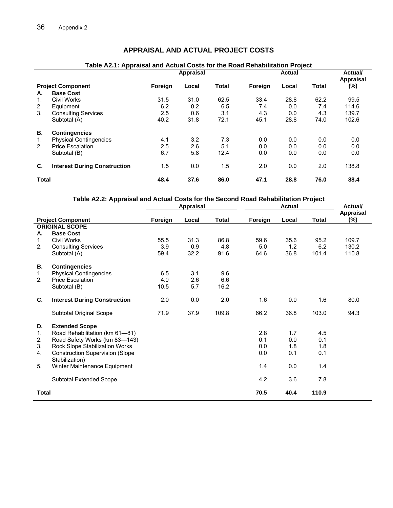# **APPRAISAL AND ACTUAL PROJECT COSTS**

#### **Actual Appraisal P ponent F gn cal tal For l Total roject Com orei Lo To eign Loca (%) Actual/ Appraisal A. Base Cost**  1. Civil orks 5 1 62.2 99.5 t 6.2 0.2 6.5 7.4 .0 7.4 114.6 3 5 0.6 3.1 4.3 139.7 . Consulting Services 2. 4.3 0.0 Subtotal (A) 40.2 31.8 72.1 45.1 28.8 74.0 102.6 1. Ph 1 3.2 7.3 0.0 0.0 ysical Contingencies Price Escalation 5 2.6 5.1 0.0 0.0 2. 2. 0.0 0.0 Subtotal (B) 6.7 5.8 12.4 0.0 0.0 0.0 0.0 **C Inte** 2.0 138.8 **. rest During Construction** 1.5 0 1. .0 5 2.0 0.0 **4 7. .0 8 76.0 88.4**  W 31. 3 .0 62.5 33 4 . 2 .8 8 2. Equipment<br>
3. Consulting Services<br>
2.5 0.6 3.1 4.3 0.0  $(A)$  40.2 31.8 72.1 **B. Contingencies**  4.1 3.2 7.3 0.0 0.0 **Total 48. 3 6 86 47.1 28.**

#### **Table A2.1: Appraisal and Actual Costs for the Road Rehabilitation Project**

|       |                                                          |         | <b>Appraisal</b> |              |         | <b>Actual</b> |              | Actual/                 |
|-------|----------------------------------------------------------|---------|------------------|--------------|---------|---------------|--------------|-------------------------|
|       | <b>Project Component</b>                                 | Foreign | Local            | <b>Total</b> | Foreign | Local         | <b>Total</b> | <b>Appraisal</b><br>(%) |
|       | <b>ORIGINAL SCOPE</b>                                    |         |                  |              |         |               |              |                         |
| А.    | <b>Base Cost</b>                                         |         |                  |              |         |               |              |                         |
| 1.    | Civil Works                                              | 55.5    | 31.3             | 86.8         | 59.6    | 35.6          | 95.2         | 109.7                   |
| 2.    | <b>Consulting Services</b>                               | 3.9     | 0.9              | 4.8          | 5.0     | 1.2           | 6.2          | 130.2                   |
|       | Subtotal (A)                                             | 59.4    | 32.2             | 91.6         | 64.6    | 36.8          | 101.4        | 110.8                   |
| В.    | <b>Contingencies</b>                                     |         |                  |              |         |               |              |                         |
| 1.    | <b>Physical Contingencies</b>                            | 6.5     | 3.1              | 9.6          |         |               |              |                         |
| 2.    | <b>Price Escalation</b>                                  | 4.0     | 2.6              | 6.6          |         |               |              |                         |
|       | Subtotal (B)                                             | 10.5    | 5.7              | 16.2         |         |               |              |                         |
| C.    | <b>Interest During Construction</b>                      | 2.0     | 0.0              | 2.0          | 1.6     | 0.0           | 1.6          | 80.0                    |
|       | <b>Subtotal Original Scope</b>                           | 71.9    | 37.9             | 109.8        | 66.2    | 36.8          | 103.0        | 94.3                    |
| D.    | <b>Extended Scope</b>                                    |         |                  |              |         |               |              |                         |
| 1.    | Road Rehabilitation (km 61-81)                           |         |                  |              | 2.8     | 1.7           | 4.5          |                         |
| 2.    | Road Safety Works (km 83-143)                            |         |                  |              | 0.1     | 0.0           | 0.1          |                         |
| 3.    | Rock Slope Stabilization Works                           |         |                  |              | 0.0     | 1.8           | 1.8          |                         |
| 4.    | <b>Construction Supervision (Slope</b><br>Stabilization) |         |                  |              | 0.0     | 0.1           | 0.1          |                         |
| 5.    | Winter Maintenance Equipment                             |         |                  |              | 1.4     | 0.0           | 1.4          |                         |
|       | <b>Subtotal Extended Scope</b>                           |         |                  |              | 4.2     | 3.6           | 7.8          |                         |
| Total |                                                          |         |                  |              | 70.5    | 40.4          | 110.9        |                         |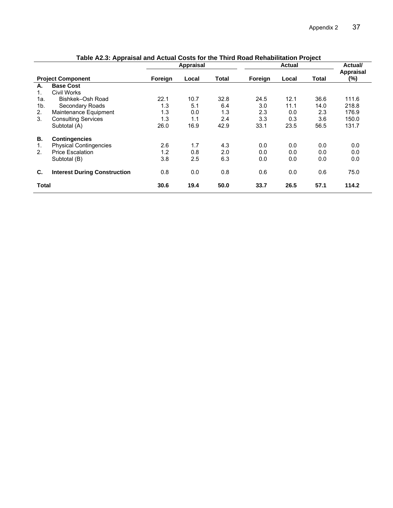|                |                                     | <b>Appraisal</b><br><b>Actual</b> |       |              | Actual/ |       |              |                  |
|----------------|-------------------------------------|-----------------------------------|-------|--------------|---------|-------|--------------|------------------|
|                | <b>Project Component</b>            | Foreign                           | Local | <b>Total</b> | Foreign | Local | <b>Total</b> | Appraisal<br>(%) |
| А.             | <b>Base Cost</b>                    |                                   |       |              |         |       |              |                  |
| 1.             | Civil Works                         |                                   |       |              |         |       |              |                  |
| 1a.            | Bishkek-Osh Road                    | 22.1                              | 10.7  | 32.8         | 24.5    | 12.1  | 36.6         | 111.6            |
| 1 <sub>b</sub> | Secondary Roads                     | 1.3                               | 5.1   | 6.4          | 3.0     | 11.1  | 14.0         | 218.8            |
| 2.             | Maintenance Equipment               | 1.3                               | 0.0   | 1.3          | 2.3     | 0.0   | 2.3          | 176.9            |
| 3.             | <b>Consulting Services</b>          | 1.3                               | 1.1   | 2.4          | 3.3     | 0.3   | 3.6          | 150.0            |
|                | Subtotal (A)                        | 26.0                              | 16.9  | 42.9         | 33.1    | 23.5  | 56.5         | 131.7            |
| В.             | <b>Contingencies</b>                |                                   |       |              |         |       |              |                  |
| 1.             | <b>Physical Contingencies</b>       | 2.6                               | 1.7   | 4.3          | 0.0     | 0.0   | 0.0          | 0.0              |
| 2.             | <b>Price Escalation</b>             | 1.2                               | 0.8   | 2.0          | 0.0     | 0.0   | 0.0          | 0.0              |
|                | Subtotal (B)                        | 3.8                               | 2.5   | 6.3          | 0.0     | 0.0   | 0.0          | 0.0              |
| C.             | <b>Interest During Construction</b> | 0.8                               | 0.0   | 0.8          | 0.6     | 0.0   | 0.6          | 75.0             |
| Total          |                                     | 30.6                              | 19.4  | 50.0         | 33.7    | 26.5  | 57.1         | 114.2            |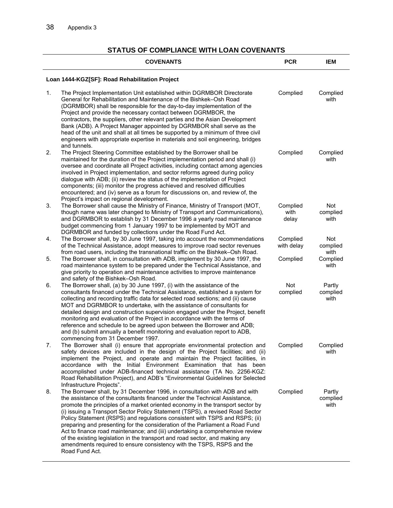#### **STATUS OF COMPLIANCE WITH LOAN COVENANTS**

|    | <b>COVENANTS</b>                                                                                                                                                                                                                                                                                                                                                                                                                                                                                                                                                                                                                                                                                                                                       | <b>PCR</b>                | <b>IEM</b>                 |
|----|--------------------------------------------------------------------------------------------------------------------------------------------------------------------------------------------------------------------------------------------------------------------------------------------------------------------------------------------------------------------------------------------------------------------------------------------------------------------------------------------------------------------------------------------------------------------------------------------------------------------------------------------------------------------------------------------------------------------------------------------------------|---------------------------|----------------------------|
|    | Loan 1444-KGZ[SF]: Road Rehabilitation Project                                                                                                                                                                                                                                                                                                                                                                                                                                                                                                                                                                                                                                                                                                         |                           |                            |
| 1. | The Project Implementation Unit established within DGRMBOR Directorate<br>General for Rehabilitation and Maintenance of the Bishkek-Osh Road<br>(DGRMBOR) shall be responsible for the day-to-day implementation of the<br>Project and provide the necessary contact between DGRMBOR, the<br>contractors, the suppliers, other relevant parties and the Asian Development<br>Bank (ADB). A Project Manager appointed by DGRMBOR shall serve as the<br>head of the unit and shall at all times be supported by a minimum of three civil<br>engineers with appropriate expertise in materials and soil engineering, bridges<br>and tunnels.                                                                                                              | Complied                  | Complied<br>with           |
| 2. | The Project Steering Committee established by the Borrower shall be<br>maintained for the duration of the Project implementation period and shall (i)<br>oversee and coordinate all Project activities, including contact among agencies<br>involved in Project implementation, and sector reforms agreed during policy<br>dialogue with ADB; (ii) review the status of the implementation of Project<br>components; (iii) monitor the progress achieved and resolved difficulties<br>encountered; and (iv) serve as a forum for discussions on, and review of, the<br>Project's impact on regional development.                                                                                                                                       | Complied                  | Complied<br>with           |
| 3. | The Borrower shall cause the Ministry of Finance, Ministry of Transport (MOT,<br>though name was later changed to Ministry of Transport and Communications),<br>and DGRMBOR to establish by 31 December 1996 a yearly road maintenance<br>budget commencing from 1 January 1997 to be implemented by MOT and<br>DGRMBOR and funded by collections under the Road Fund Act.                                                                                                                                                                                                                                                                                                                                                                             | Complied<br>with<br>delay | Not<br>complied<br>with    |
| 4. | The Borrower shall, by 30 June 1997, taking into account the recommendations<br>of the Technical Assistance, adopt measures to improve road sector revenues<br>from road users, including the transnational traffic on the Bishkek-Osh Road.                                                                                                                                                                                                                                                                                                                                                                                                                                                                                                           | Complied<br>with delay    | Not<br>complied<br>with    |
| 5. | The Borrower shall, in consultation with ADB, implement by 30 June 1997, the<br>road maintenance system to be prepared under the Technical Assistance, and<br>give priority to operation and maintenance activities to improve maintenance<br>and safety of the Bishkek-Osh Road.                                                                                                                                                                                                                                                                                                                                                                                                                                                                      | Complied                  | Complied<br>with           |
| 6. | The Borrower shall, (a) by 30 June 1997, (i) with the assistance of the<br>consultants financed under the Technical Assistance, established a system for<br>collecting and recording traffic data for selected road sections; and (ii) cause<br>MOT and DGRMBOR to undertake, with the assistance of consultants for<br>detailed design and construction supervision engaged under the Project, benefit<br>monitoring and evaluation of the Project in accordance with the terms of<br>reference and schedule to be agreed upon between the Borrower and ADB;<br>and (b) submit annually a benefit monitoring and evaluation report to ADB,<br>commencing from 31 December 1997.                                                                       | Not<br>complied           | Partly<br>complied<br>with |
| 7. | The Borrower shall (i) ensure that appropriate environmental protection and<br>safety devices are included in the design of the Project facilities; and (ii)<br>implement the Project, and operate and maintain the Project facilities, in<br>accordance with the Initial Environment Examination that has been<br>accomplished under ADB-financed technical assistance (TA No. 2256-KGZ:<br>Road Rehabilitation Project), and ADB's "Environmental Guidelines for Selected<br>Infrastructure Projects".                                                                                                                                                                                                                                               | Complied                  | Complied<br>with           |
| 8. | The Borrower shall, by 31 December 1996, in consultation with ADB and with<br>the assistance of the consultants financed under the Technical Assistance,<br>promote the principles of a market oriented economy in the transport sector by<br>(i) issuing a Transport Sector Policy Statement (TSPS), a revised Road Sector<br>Policy Statement (RSPS) and regulations consistent with TSPS and RSPS; (ii)<br>preparing and presenting for the consideration of the Parliament a Road Fund<br>Act to finance road maintenance; and (iii) undertaking a comprehensive review<br>of the existing legislation in the transport and road sector, and making any<br>amendments required to ensure consistency with the TSPS, RSPS and the<br>Road Fund Act. | Complied                  | Partly<br>complied<br>with |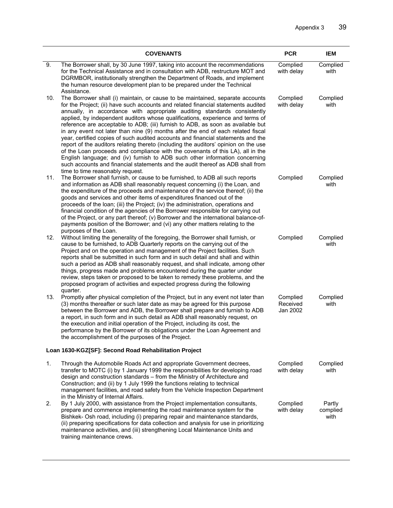|                | <b>COVENANTS</b>                                                                                                                                                                                                                                                                                                                                                                                                                                                                                                                                                                                                                                                                                                                                                                                                                                                                                                                                                          | <b>PCR</b>                       | <b>IEM</b>                 |
|----------------|---------------------------------------------------------------------------------------------------------------------------------------------------------------------------------------------------------------------------------------------------------------------------------------------------------------------------------------------------------------------------------------------------------------------------------------------------------------------------------------------------------------------------------------------------------------------------------------------------------------------------------------------------------------------------------------------------------------------------------------------------------------------------------------------------------------------------------------------------------------------------------------------------------------------------------------------------------------------------|----------------------------------|----------------------------|
| 9.             | The Borrower shall, by 30 June 1997, taking into account the recommendations<br>for the Technical Assistance and in consultation with ADB, restructure MOT and<br>DGRMBOR, institutionally strengthen the Department of Roads, and implement<br>the human resource development plan to be prepared under the Technical<br>Assistance.                                                                                                                                                                                                                                                                                                                                                                                                                                                                                                                                                                                                                                     | Complied<br>with delay           | Complied<br>with           |
| 10.            | The Borrower shall (i) maintain, or cause to be maintained, separate accounts<br>for the Project; (ii) have such accounts and related financial statements audited<br>annually, in accordance with appropriate auditing standards consistently<br>applied, by independent auditors whose qualifications, experience and terms of<br>reference are acceptable to ADB; (iii) furnish to ADB, as soon as available but<br>in any event not later than nine (9) months after the end of each related fiscal<br>year, certified copies of such audited accounts and financial statements and the<br>report of the auditors relating thereto (including the auditors' opinion on the use<br>of the Loan proceeds and compliance with the covenants of this LA), all in the<br>English language; and (iv) furnish to ADB such other information concerning<br>such accounts and financial statements and the audit thereof as ADB shall from<br>time to time reasonably request. | Complied<br>with delay           | Complied<br>with           |
| 11.            | The Borrower shall furnish, or cause to be furnished, to ADB all such reports<br>and information as ADB shall reasonably request concerning (i) the Loan, and<br>the expenditure of the proceeds and maintenance of the service thereof; (ii) the<br>goods and services and other items of expenditures financed out of the<br>proceeds of the loan; (iii) the Project; (iv) the administration, operations and<br>financial condition of the agencies of the Borrower responsible for carrying out<br>of the Project, or any part thereof; (v) Borrower and the international balance-of-<br>payments position of the Borrower; and (vi) any other matters relating to the<br>purposes of the Loan.                                                                                                                                                                                                                                                                      | Complied                         | Complied<br>with           |
| 12.            | Without limiting the generality of the foregoing, the Borrower shall furnish, or<br>cause to be furnished, to ADB Quarterly reports on the carrying out of the<br>Project and on the operation and management of the Project facilities. Such<br>reports shall be submitted in such form and in such detail and shall and within<br>such a period as ADB shall reasonably request, and shall indicate, among other<br>things, progress made and problems encountered during the quarter under<br>review, steps taken or proposed to be taken to remedy these problems, and the<br>proposed program of activities and expected progress during the following<br>quarter.                                                                                                                                                                                                                                                                                                   | Complied                         | Complied<br>with           |
| 13.            | Promptly after physical completion of the Project, but in any event not later than<br>(3) months thereafter or such later date as may be agreed for this purpose<br>between the Borrower and ADB, the Borrower shall prepare and furnish to ADB<br>a report, in such form and in such detail as ADB shall reasonably request, on<br>the execution and initial operation of the Project, including its cost, the<br>performance by the Borrower of its obligations under the Loan Agreement and<br>the accomplishment of the purposes of the Project.                                                                                                                                                                                                                                                                                                                                                                                                                      | Complied<br>Received<br>Jan 2002 | Complied<br>with           |
|                | Loan 1630-KGZ[SF]: Second Road Rehabilitation Project                                                                                                                                                                                                                                                                                                                                                                                                                                                                                                                                                                                                                                                                                                                                                                                                                                                                                                                     |                                  |                            |
| $\mathbf{1}$ . | Through the Automobile Roads Act and appropriate Government decrees,<br>transfer to MOTC (i) by 1 January 1999 the responsibilities for developing road<br>design and construction standards - from the Ministry of Architecture and<br>Construction; and (ii) by 1 July 1999 the functions relating to technical<br>management facilities, and road safety from the Vehicle Inspection Department<br>in the Ministry of Internal Affairs.                                                                                                                                                                                                                                                                                                                                                                                                                                                                                                                                | Complied<br>with delay           | Complied<br>with           |
| 2.             | By 1 July 2000, with assistance from the Project implementation consultants,<br>prepare and commence implementing the road maintenance system for the<br>Bishkek- Osh road, including (i) preparing repair and maintenance standards,<br>(ii) preparing specifications for data collection and analysis for use in prioritizing<br>maintenance activities, and (iii) strengthening Local Maintenance Units and<br>training maintenance crews.                                                                                                                                                                                                                                                                                                                                                                                                                                                                                                                             | Complied<br>with delay           | Partly<br>complied<br>with |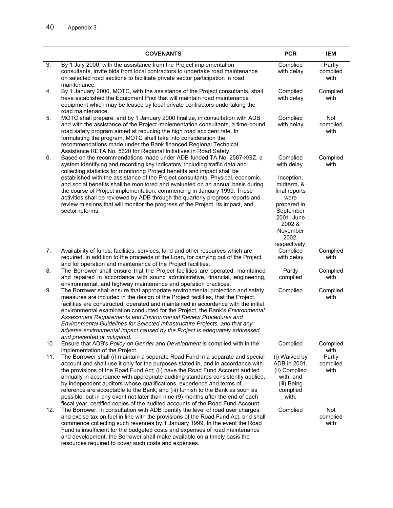|     | <b>COVENANTS</b>                                                                                                                                                                                                                                                                                                                                                                                                                                                                                                                                                                                                                                                         | <b>PCR</b>                                                                                                                                            | <b>IEM</b>                 |
|-----|--------------------------------------------------------------------------------------------------------------------------------------------------------------------------------------------------------------------------------------------------------------------------------------------------------------------------------------------------------------------------------------------------------------------------------------------------------------------------------------------------------------------------------------------------------------------------------------------------------------------------------------------------------------------------|-------------------------------------------------------------------------------------------------------------------------------------------------------|----------------------------|
| 3.  | By 1 July 2000, with the assistance from the Project implementation<br>consultants, invite bids from local contractors to undertake road maintenance<br>on selected road sections to facilitate private sector participation in road<br>maintenance.                                                                                                                                                                                                                                                                                                                                                                                                                     | Complied<br>with delay                                                                                                                                | Partly<br>complied<br>with |
| 4.  | By 1 January 2000, MOTC, with the assistance of the Project consultants, shall<br>have established the Equipment Pool that will maintain road maintenance<br>equipment which may be leased by local private contractors undertaking the<br>road maintenance.                                                                                                                                                                                                                                                                                                                                                                                                             | Complied<br>with delay                                                                                                                                | Complied<br>with           |
| 5.  | MOTC shall prepare, and by 1 January 2000 finalize, in consultation with ADB<br>and with the assistance of the Project implementation consultants, a time-bound<br>road safety program aimed at reducing the high road accident rate. In<br>formulating the program, MOTC shall take into consideration the<br>recommendations made under the Bank financed Regional Technical<br>Assistance RETA No. 5620 for Regional Initiatives in Road Safety.                                                                                                                                                                                                                      | Complied<br>with delay                                                                                                                                | Not<br>complied<br>with    |
| 6.  | Based on the recommendations made under ADB-funded TA No. 2587-KGZ, a<br>system identifying and recording key indicators, including traffic data and<br>collecting statistics for monitoring Project benefits and impact shall be<br>established with the assistance of the Project consultants. Physical, economic,<br>and social benefits shall be monitored and evaluated on an annual basis during<br>the course of Project implementation, commencing in January 1999. These<br>activities shall be reviewed by ADB through the quarterly progress reports and<br>review missions that will monitor the progress of the Project, its impact, and<br>sector reforms. | Complied<br>with delay.<br>Inception,<br>midterm, &<br>final reports<br>were<br>prepared in<br>September<br>2001, June<br>2002 &<br>November<br>2002, | Complied<br>with           |
| 7.  | Availability of funds, facilities, services, land and other resources which are<br>required, in addition to the proceeds of the Loan, for carrying out of the Project<br>and for operation and maintenance of the Project facilities.                                                                                                                                                                                                                                                                                                                                                                                                                                    | respectively.<br>Complied<br>with delay                                                                                                               | Complied<br>with           |
| 8.  | The Borrower shall ensure that the Project facilities are operated, maintained<br>and repaired in accordance with sound administrative, financial, engineering,<br>environmental, and highway maintenance and operation practices.                                                                                                                                                                                                                                                                                                                                                                                                                                       | Partly<br>complied                                                                                                                                    | Complied<br>with           |
| 9.  | The Borrower shall ensure that appropriate environmental protection and safety<br>measures are included in the design of the Project facilities, that the Project<br>facilities are constructed, operated and maintained in accordance with the initial<br>environmental examination conducted for the Project, the Bank's Environmental<br>Assessment Requirements and Environmental Review Procedures and<br>Environmental Guidelines for Selected Infrastructure Projects, and that any<br>adverse environmental impact caused by the Project is adequately addressed<br>and prevented or mitigated.                                                                  | Complied                                                                                                                                              | Complied<br>with           |
| 10. | Ensure that ADB's Policy on Gender and Development is complied with in the<br>implementation of the Project.                                                                                                                                                                                                                                                                                                                                                                                                                                                                                                                                                             | Complied                                                                                                                                              | Complied<br>with           |
| 11. | The Borrower shall (i) maintain a separate Road Fund in a separate and special<br>account and shall use it only for the purposes stated in, and in accordance with<br>the provisions of the Road Fund Act; (ii) have the Road Fund Account audited<br>annually in accordance with appropriate auditing standards consistently applied,<br>by independent auditors whose qualifications, experience and terms of<br>reference are acceptable to the Bank; and (iii) furnish to the Bank as soon as<br>possible, but in any event not later than nine (9) months after the end of each<br>fiscal year, certified copies of the audited accounts of the Road Fund Account.  | (i) Waived by<br>ADB in 2001,<br>(ii) Complied<br>with, and<br>(iii) Being<br>complied<br>with.                                                       | Partly<br>complied<br>with |
| 12. | The Borrower, in consultation with ADB identify the level of road user charges<br>and excise tax on fuel in line with the provisions of the Road Fund Act, and shall<br>commence collecting such revenues by 1 January 1999. In the event the Road<br>Fund is insufficient for the budgeted costs and expenses of road maintenance<br>and development, the Borrower shall make available on a timely basis the                                                                                                                                                                                                                                                           | Complied                                                                                                                                              | Not<br>complied<br>with    |

resources required to cover such costs and expenses.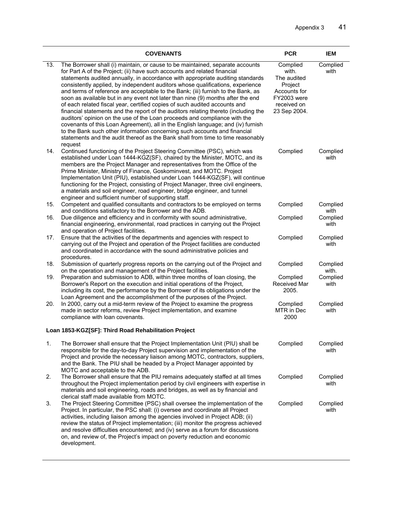|     | <b>COVENANTS</b>                                                                                                                                                                                                                                                                                                                                                                                                                                                                                                                                                                                                                                                                                                                                                                                                                                                                                                                                                                                                      | <b>PCR</b>                                                                                                | <b>IEM</b>        |
|-----|-----------------------------------------------------------------------------------------------------------------------------------------------------------------------------------------------------------------------------------------------------------------------------------------------------------------------------------------------------------------------------------------------------------------------------------------------------------------------------------------------------------------------------------------------------------------------------------------------------------------------------------------------------------------------------------------------------------------------------------------------------------------------------------------------------------------------------------------------------------------------------------------------------------------------------------------------------------------------------------------------------------------------|-----------------------------------------------------------------------------------------------------------|-------------------|
| 13. | The Borrower shall (i) maintain, or cause to be maintained, separate accounts<br>for Part A of the Project; (ii) have such accounts and related financial<br>statements audited annually, in accordance with appropriate auditing standards<br>consistently applied, by independent auditors whose qualifications, experience<br>and terms of reference are acceptable to the Bank; (iii) furnish to the Bank, as<br>soon as available but in any event not later than nine (9) months after the end<br>of each related fiscal year, certified copies of such audited accounts and<br>financial statements and the report of the auditors relating thereto (including the<br>auditors' opinion on the use of the Loan proceeds and compliance with the<br>covenants of this Loan Agreement), all in the English language; and (iv) furnish<br>to the Bank such other information concerning such accounts and financial<br>statements and the audit thereof as the Bank shall from time to time reasonably<br>request | Complied<br>with.<br>The audited<br>Project<br>Accounts for<br>FY2003 were<br>received on<br>23 Sep 2004. | Complied<br>with  |
| 14. | Continued functioning of the Project Steering Committee (PSC), which was<br>established under Loan 1444-KGZ(SF), chaired by the Minister, MOTC, and its<br>members are the Project Manager and representatives from the Office of the<br>Prime Minister, Ministry of Finance, Goskominvest, and MOTC. Project<br>Implementation Unit (PIU), established under Loan 1444-KGZ(SF), will continue<br>functioning for the Project, consisting of Project Manager, three civil engineers,<br>a materials and soil engineer, road engineer, bridge engineer, and tunnel<br>engineer and sufficient number of supporting staff.                                                                                                                                                                                                                                                                                                                                                                                              | Complied                                                                                                  | Complied<br>with  |
| 15. | Competent and qualified consultants and contractors to be employed on terms<br>and conditions satisfactory to the Borrower and the ADB.                                                                                                                                                                                                                                                                                                                                                                                                                                                                                                                                                                                                                                                                                                                                                                                                                                                                               | Complied                                                                                                  | Complied<br>with  |
| 16. | Due diligence and efficiency and in conformity with sound administrative,<br>financial engineering, environmental, road practices in carrying out the Project<br>and operation of Project facilities.                                                                                                                                                                                                                                                                                                                                                                                                                                                                                                                                                                                                                                                                                                                                                                                                                 | Complied                                                                                                  | Complied<br>with  |
| 17. | Ensure that the activities of the departments and agencies with respect to<br>carrying out of the Project and operation of the Project facilities are conducted<br>and coordinated in accordance with the sound administrative policies and<br>procedures.                                                                                                                                                                                                                                                                                                                                                                                                                                                                                                                                                                                                                                                                                                                                                            | Complied                                                                                                  | Complied<br>with  |
| 18. | Submission of quarterly progress reports on the carrying out of the Project and<br>on the operation and management of the Project facilities.                                                                                                                                                                                                                                                                                                                                                                                                                                                                                                                                                                                                                                                                                                                                                                                                                                                                         | Complied                                                                                                  | Complied<br>with. |
| 19. | Preparation and submission to ADB, within three months of loan closing, the<br>Borrower's Report on the execution and initial operations of the Project,<br>including its cost, the performance by the Borrower of its obligations under the<br>Loan Agreement and the accomplishment of the purposes of the Project.                                                                                                                                                                                                                                                                                                                                                                                                                                                                                                                                                                                                                                                                                                 | Complied<br>Received Mar<br>2005.                                                                         | Complied<br>with  |
| 20. | In 2000, carry out a mid-term review of the Project to examine the progress<br>made in sector reforms, review Project implementation, and examine<br>compliance with loan covenants.                                                                                                                                                                                                                                                                                                                                                                                                                                                                                                                                                                                                                                                                                                                                                                                                                                  | Complied<br>MTR in Dec<br>2000                                                                            | Complied<br>with  |
|     | Loan 1853-KGZ[SF]: Third Road Rehabilitation Project                                                                                                                                                                                                                                                                                                                                                                                                                                                                                                                                                                                                                                                                                                                                                                                                                                                                                                                                                                  |                                                                                                           |                   |
| 1.  | The Borrower shall ensure that the Project Implementation Unit (PIU) shall be<br>responsible for the day-to-day Project supervision and implementation of the<br>Project and provide the necessary liaison among MOTC, contractors, suppliers,<br>and the Bank. The PIU shall be headed by a Project Manager appointed by<br>MOTC and acceptable to the ADB.                                                                                                                                                                                                                                                                                                                                                                                                                                                                                                                                                                                                                                                          | Complied                                                                                                  | Complied<br>with  |
| 2.  | The Borrower shall ensure that the PIU remains adequately staffed at all times<br>throughout the Project implementation period by civil engineers with expertise in<br>materials and soil engineering, roads and bridges, as well as by financial and<br>clerical staff made available from MOTC.                                                                                                                                                                                                                                                                                                                                                                                                                                                                                                                                                                                                                                                                                                                     | Complied                                                                                                  | Complied<br>with  |
| 3.  | The Project Steering Committee (PSC) shall oversee the implementation of the<br>Project. In particular, the PSC shall: (i) oversee and coordinate all Project<br>activities, including liaison among the agencies involved in Project ADB; (ii)<br>review the status of Project implementation; (iii) monitor the progress achieved<br>and resolve difficulties encountered; and (iv) serve as a forum for discussions<br>on, and review of, the Project's impact on poverty reduction and economic<br>development.                                                                                                                                                                                                                                                                                                                                                                                                                                                                                                   | Complied                                                                                                  | Complied<br>with  |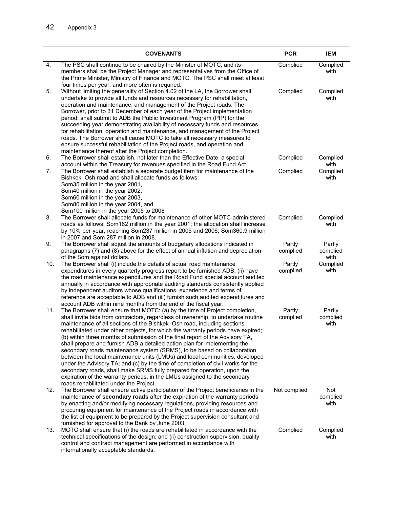|     | <b>COVENANTS</b>                                                                                                                                                                                                                                                                                                                                                                                                                                                                                                                                                                                                                                                                                                                                                                                                                                                                                                                             | <b>PCR</b>         | <b>IEM</b>                 |
|-----|----------------------------------------------------------------------------------------------------------------------------------------------------------------------------------------------------------------------------------------------------------------------------------------------------------------------------------------------------------------------------------------------------------------------------------------------------------------------------------------------------------------------------------------------------------------------------------------------------------------------------------------------------------------------------------------------------------------------------------------------------------------------------------------------------------------------------------------------------------------------------------------------------------------------------------------------|--------------------|----------------------------|
| 4.  | The PSC shall continue to be chaired by the Minister of MOTC, and its<br>members shall be the Project Manager and representatives from the Office of<br>the Prime Minister, Ministry of Finance and MOTC. The PSC shall meet at least<br>four times per year, and more often is required.                                                                                                                                                                                                                                                                                                                                                                                                                                                                                                                                                                                                                                                    | Complied           | Complied<br>with           |
| 5.  | Without limiting the generality of Section 4.02 of the LA, the Borrower shall<br>undertake to provide all funds and resources necessary for rehabilitation,<br>operation and maintenance, and management of the Project roads. The<br>Borrower, prior to 31 December of each year of the Project implementation<br>period, shall submit to ADB the Public Investment Program (PIP) for the<br>succeeding year demonstrating availability of necessary funds and resources<br>for rehabilitation, operation and maintenance, and management of the Project<br>roads. The Borrower shall cause MOTC to take all necessary measures to<br>ensure successful rehabilitation of the Project roads, and operation and<br>maintenance thereof after the Project completion.                                                                                                                                                                         | Complied           | Complied<br>with           |
| 6.  | The Borrower shall establish, not later than the Effective Date, a special<br>account within the Treasury for revenues specified in the Road Fund Act.                                                                                                                                                                                                                                                                                                                                                                                                                                                                                                                                                                                                                                                                                                                                                                                       | Complied           | Complied<br>with           |
| 7.  | The Borrower shall establish a separate budget item for maintenance of the<br>Bishkek-Osh road and shall allocate funds as follows:<br>Som35 million in the year 2001,<br>Som40 million in the year 2002,<br>Som60 million in the year 2003,<br>Som80 million in the year 2004, and<br>Som100 million in the year 2005 to 2008                                                                                                                                                                                                                                                                                                                                                                                                                                                                                                                                                                                                               | Complied           | Complied<br>with           |
| 8.  | The Borrower shall allocate funds for maintenance of other MOTC-administered<br>roads as follows: Som162 million in the year 2001; the allocation shall increase<br>by 10% per year, reaching Som237 million in 2005 and 2006; Som360.9 million<br>in 2007 and Som 287 million in 2008.                                                                                                                                                                                                                                                                                                                                                                                                                                                                                                                                                                                                                                                      | Complied           | Complied<br>with           |
| 9.  | The Borrower shall adjust the amounts of budgetary allocations indicated in<br>paragraphs (7) and (8) above for the effect of annual inflation and depreciation<br>of the Som against dollars.                                                                                                                                                                                                                                                                                                                                                                                                                                                                                                                                                                                                                                                                                                                                               | Partly<br>complied | Partly<br>complied<br>with |
| 10. | The Borrower shall (i) include the details of actual road maintenance<br>expenditures in every quarterly progress report to be furnished ADB; (ii) have<br>the road maintenance expenditures and the Road Fund special account audited<br>annually in accordance with appropriate auditing standards consistently applied<br>by independent auditors whose qualifications, experience and terms of<br>reference are acceptable to ADB and (iii) furnish such audited expenditures and<br>account ADB within nine months from the end of the fiscal year.                                                                                                                                                                                                                                                                                                                                                                                     | Partly<br>complied | Complied<br>with           |
| 11. | The Borrower shall ensure that MOTC: (a) by the time of Project completion,<br>shall invite bids from contractors, regardless of ownership, to undertake routine<br>maintenance of all sections of the Bishkek-Osh road, including sections<br>rehabilitated under other projects, for which the warranty periods have expired;<br>(b) within three months of submission of the final report of the Advisory TA,<br>shall prepare and furnish ADB a detailed action plan for implementing the<br>secondary roads maintenance system (SRMS), to be based on collaboration<br>between the local maintenance units (LMUs) and local communities, developed<br>under the Advisory TA; and (c) by the time of completion of civil works for the<br>secondary roads, shall make SRMS fully prepared for operation, upon the<br>expiration of the warranty periods, in the LMUs assigned to the secondary<br>roads rehabilitated under the Project. | Partly<br>complied | Partly<br>complied<br>with |
| 12. | The Borrower shall ensure active participation of the Project beneficiaries in the<br>maintenance of secondary roads after the expiration of the warranty periods<br>by enacting and/or modifying necessary regulations, providing resources and<br>procuring equipment for maintenance of the Project roads in accordance with<br>the list of equipment to be prepared by the Project supervision consultant and<br>furnished for approval to the Bank by June 2003.                                                                                                                                                                                                                                                                                                                                                                                                                                                                        | Not complied       | Not<br>complied<br>with    |
| 13. | MOTC shall ensure that (i) the roads are rehabilitated in accordance with the<br>technical specifications of the design; and (ii) construction supervision, quality<br>control and contract management are performed in accordance with<br>internationally acceptable standards.                                                                                                                                                                                                                                                                                                                                                                                                                                                                                                                                                                                                                                                             | Complied           | Complied<br>with           |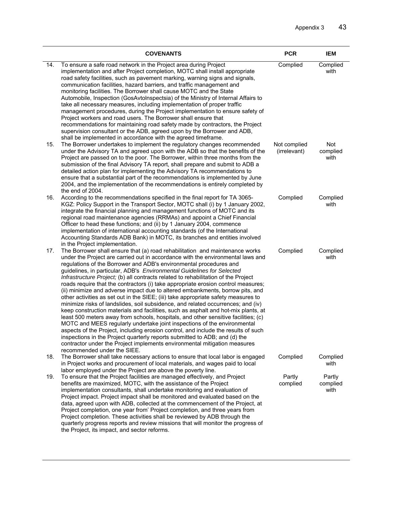|     | <b>COVENANTS</b>                                                                                                                                                                                                                                                                                                                                                                                                                                                                                                                                                                                                                                                                                                                                                                                                                                                                                                                                                                                                                                                                                                                                                                                                                                                                              | <b>PCR</b>                   | <b>IEM</b>                 |
|-----|-----------------------------------------------------------------------------------------------------------------------------------------------------------------------------------------------------------------------------------------------------------------------------------------------------------------------------------------------------------------------------------------------------------------------------------------------------------------------------------------------------------------------------------------------------------------------------------------------------------------------------------------------------------------------------------------------------------------------------------------------------------------------------------------------------------------------------------------------------------------------------------------------------------------------------------------------------------------------------------------------------------------------------------------------------------------------------------------------------------------------------------------------------------------------------------------------------------------------------------------------------------------------------------------------|------------------------------|----------------------------|
| 14. | To ensure a safe road network in the Project area during Project<br>implementation and after Project completion, MOTC shall install appropriate<br>road safety facilities, such as pavement marking, warning signs and signals,<br>communication facilities, hazard barriers, and traffic management and<br>monitoring facilities. The Borrower shall cause MOTC and the State<br>Automobile, Inspection (GosAvtoInspectsia) of the Ministry of Internal Affairs to<br>take all necessary measures, including implementation of proper traffic<br>management procedures, during the Project implementation to ensure safety of<br>Project workers and road users. The Borrower shall ensure that<br>recommendations for maintaining road safety made by contractors, the Project<br>supervision consultant or the ADB, agreed upon by the Borrower and ADB,<br>shall be implemented in accordance with the agreed timeframe.                                                                                                                                                                                                                                                                                                                                                                  | Complied                     | Complied<br>with           |
| 15. | The Borrower undertakes to implement the regulatory changes recommended<br>under the Advisory TA and agreed upon with the ADB so that the benefits of the<br>Project are passed on to the poor. The Borrower, within three months from the<br>submission of the final Advisory TA report, shall prepare and submit to ADB a<br>detailed action plan for implementing the Advisory TA recommendations to<br>ensure that a substantial part of the recommendations is implemented by June<br>2004, and the implementation of the recommendations is entirely completed by<br>the end of 2004.                                                                                                                                                                                                                                                                                                                                                                                                                                                                                                                                                                                                                                                                                                   | Not complied<br>(irrelevant) | Not<br>complied<br>with    |
| 16. | According to the recommendations specified in the final report for TA 3065-<br>KGZ: Policy Support in the Transport Sector, MOTC shall (i) by 1 January 2002,<br>integrate the financial planning and management functions of MOTC and its<br>regional road maintenance agencies (RRMAs) and appoint a Chief Financial<br>Officer to head these functions; and (ii) by 1 January 2004, commence<br>implementation of international accounting standards (of the International<br>Accounting Standards ADB Bank) in MOTC, its branches and entities involved<br>in the Project implementation.                                                                                                                                                                                                                                                                                                                                                                                                                                                                                                                                                                                                                                                                                                 | Complied                     | Complied<br>with           |
| 17. | The Borrower shall ensure that (a) road rehabilitation and maintenance works<br>under the Project are carried out in accordance with the environmental laws and<br>regulations of the Borrower and ADB's environmental procedures and<br>guidelines, in particular, ADB's Environmental Guidelines for Selected<br>Infrastructure Project; (b) all contracts related to rehabilitation of the Project<br>roads require that the contractors (i) take appropriate erosion control measures;<br>(ii) minimize and adverse impact due to altered embankments, borrow pits, and<br>other activities as set out in the SIEE; (iii) take appropriate safety measures to<br>minimize risks of landslides, soil subsidence, and related occurrences; and (iv)<br>keep construction materials and facilities, such as asphalt and hot-mix plants, at<br>least 500 meters away from schools, hospitals, and other sensitive facilities; (c)<br>MOTC and MEES regularly undertake joint inspections of the environmental<br>aspects of the Project, including erosion control, and include the results of such<br>inspections in the Project quarterly reports submitted to ADB; and (d) the<br>contractor under the Project implements environmental mitigation measures<br>recommended under the SIEE. | Complied                     | Complied<br>with           |
| 18. | The Borrower shall take necessary actions to ensure that local labor is engaged<br>in Project works and procurement of local materials, and wages paid to local<br>labor employed under the Project are above the poverty line.                                                                                                                                                                                                                                                                                                                                                                                                                                                                                                                                                                                                                                                                                                                                                                                                                                                                                                                                                                                                                                                               | Complied                     | Complied<br>with           |
| 19. | To ensure that the Project facilities are managed effectively, and Project<br>benefits are maximized, MOTC, with the assistance of the Project<br>implementation consultants, shall undertake monitoring and evaluation of<br>Project impact. Project impact shall be monitored and evaluated based on the<br>data, agreed upon with ADB, collected at the commencement of the Project, at<br>Project completion, one year from' Project completion, and three years from<br>Project completion. These activities shall be reviewed by ADB through the<br>quarterly progress reports and review missions that will monitor the progress of<br>the Project, its impact, and sector reforms.                                                                                                                                                                                                                                                                                                                                                                                                                                                                                                                                                                                                    | Partly<br>complied           | Partly<br>complied<br>with |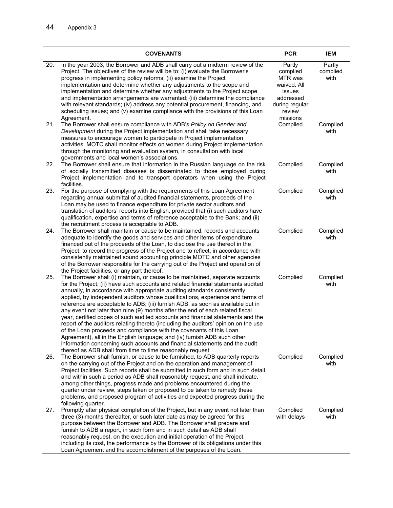|     | <b>COVENANTS</b>                                                                                                                                                                                                                                                                                                                                                                                                                                                                                                                                                                                                                                                                                                                                                                                                                                                                                                                                                               | <b>PCR</b>                                                                                                  | IEM                        |
|-----|--------------------------------------------------------------------------------------------------------------------------------------------------------------------------------------------------------------------------------------------------------------------------------------------------------------------------------------------------------------------------------------------------------------------------------------------------------------------------------------------------------------------------------------------------------------------------------------------------------------------------------------------------------------------------------------------------------------------------------------------------------------------------------------------------------------------------------------------------------------------------------------------------------------------------------------------------------------------------------|-------------------------------------------------------------------------------------------------------------|----------------------------|
| 20. | In the year 2003, the Borrower and ADB shall carry out a midterm review of the<br>Project. The objectives of the review will be to: (i) evaluate the Borrower's<br>progress in implementing policy reforms; (ii) examine the Project<br>implementation and determine whether any adjustments to the scope and<br>implementation and determine whether any adjustments to the Project scope<br>and implementation arrangements are warranted; (iii) determine the compliance<br>with relevant standards; (iv) address any potential procurement, financing, and<br>scheduling issues; and (v) examine compliance with the provisions of this Loan<br>Agreement.                                                                                                                                                                                                                                                                                                                 | Partly<br>complied<br>MTR was<br>waived. All<br>issues<br>addressed<br>during regular<br>review<br>missions | Partly<br>complied<br>with |
| 21. | The Borrower shall ensure compliance with ADB's Policy on Gender and<br>Development during the Project implementation and shall take necessary<br>measures to encourage women to participate in Project implementation<br>activities. MOTC shall monitor effects on women during Project implementation<br>through the monitoring and evaluation system, in consultation with local<br>governments and local women's associations.                                                                                                                                                                                                                                                                                                                                                                                                                                                                                                                                             | Complied                                                                                                    | Complied<br>with           |
| 22. | The Borrower shall ensure that information in the Russian language on the risk<br>of socially transmitted diseases is disseminated to those employed during<br>Project implementation and to transport operators when using the Project<br>facilities.                                                                                                                                                                                                                                                                                                                                                                                                                                                                                                                                                                                                                                                                                                                         | Complied                                                                                                    | Complied<br>with           |
| 23. | For the purpose of complying with the requirements of this Loan Agreement<br>regarding annual submittal of audited financial statements, proceeds of the<br>Loan may be used to finance expenditure for private sector auditors and<br>translation of auditors' reports into English, provided that (i) such auditors have<br>qualification, expertise and terms of reference acceptable to the Bank; and (ii)<br>the recruitment process is acceptable to ADB.                                                                                                                                                                                                                                                                                                                                                                                                                                                                                                                | Complied                                                                                                    | Complied<br>with           |
| 24. | The Borrower shall maintain or cause to be maintained, records and accounts<br>adequate to identify the goods and services and other items of expenditure<br>financed out of the proceeds of the Loan, to disclose the use thereof in the<br>Project, to record the progress of the Project and to reflect, in accordance with<br>consistently maintained sound accounting principle MOTC and other agencies<br>of the Borrower responsible for the carrying out of the Project and operation of<br>the Project facilities, or any part thereof.                                                                                                                                                                                                                                                                                                                                                                                                                               | Complied                                                                                                    | Complied<br>with           |
| 25. | The Borrower shall (i) maintain, or cause to be maintained, separate accounts<br>for the Project; (ii) have such accounts and related financial statements audited<br>annually, in accordance with appropriate auditing standards consistently<br>applied, by independent auditors whose qualifications, experience and terms of<br>reference are acceptable to ADB; (iii) furnish ADB, as soon as available but in<br>any event not later than nine (9) months after the end of each related fiscal<br>year, certified copes of such audited accounts and financial statements and the<br>report of the auditors relating thereto (including the auditors' opinion on the use<br>of the Loan proceeds and compliance with the covenants of this Loan<br>Agreement), all in the English language; and (iv) furnish ADB such other<br>information concerning such accounts and financial statements and the audit<br>thereof as ADB shall from time to time reasonably request. | Complied                                                                                                    | Complied<br>with           |
| 26. | The Borrower shall furnish, or cause to be furnished, to ADB quarterly reports<br>on the carrying out of the Project and on the operation and management of<br>Project facilities. Such reports shall be submitted in such form and in such detail<br>and within such a period as ADB shall reasonably request, and shall indicate,<br>among other things, progress made and problems encountered during the<br>quarter under review, steps taken or proposed to be taken to remedy these<br>problems, and proposed program of activities and expected progress during the<br>following quarter.                                                                                                                                                                                                                                                                                                                                                                               | Complied                                                                                                    | Complied<br>with           |
| 27. | Promptly after physical completion of the Project, but in any event not later than<br>three (3) months thereafter, or such later date as may be agreed for this<br>purpose between the Borrower and ADB. The Borrower shall prepare and<br>furnish to ADB a report, in such form and in such detail as ADB shall<br>reasonably request, on the execution and initial operation of the Project,<br>including its cost, the performance by the Borrower of its obligations under this<br>Loan Agreement and the accomplishment of the purposes of the Loan.                                                                                                                                                                                                                                                                                                                                                                                                                      | Complied<br>with delays                                                                                     | Complied<br>with           |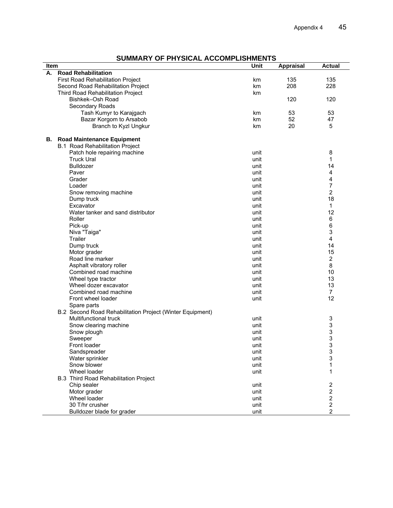| SUMMARY OF PHYSICAL ACCOMPLISHMENTS |  |  |  |  |
|-------------------------------------|--|--|--|--|
|-------------------------------------|--|--|--|--|

| Item |                                                           | Unit | <b>Appraisal</b> | <b>Actual</b>           |
|------|-----------------------------------------------------------|------|------------------|-------------------------|
| А.   | <b>Road Rehabilitation</b>                                |      |                  |                         |
|      | First Road Rehabilitation Project                         | km   | 135              | 135                     |
|      | Second Road Rehabilitation Project                        | km   | 208              | 228                     |
|      | Third Road Rehabilitation Project                         | km   |                  |                         |
|      | Bishkek-Osh Road                                          |      | 120              | 120                     |
|      | Secondary Roads                                           |      |                  |                         |
|      | Tash Kumyr to Karajgach                                   | km   | 53               | 53                      |
|      | Bazar Korgom to Arsabob                                   | km   | 52               | 47                      |
|      | Branch to Kyzl Ungkur                                     | km   | 20               | 5                       |
|      |                                                           |      |                  |                         |
| В.   | <b>Road Maintenance Equipment</b>                         |      |                  |                         |
|      | <b>B.1 Road Rehabilitation Project</b>                    |      |                  |                         |
|      | Patch hole repairing machine                              | unit |                  | 8                       |
|      | <b>Truck Ural</b>                                         | unit |                  | 1                       |
|      | Bulldozer                                                 | unit |                  | 14                      |
|      | Paver                                                     | unit |                  | 4                       |
|      | Grader                                                    | unit |                  | 4                       |
|      | Loader                                                    | unit |                  | 7                       |
|      | Snow removing machine                                     | unit |                  | $\overline{2}$          |
|      | Dump truck                                                | unit |                  | 18                      |
|      | Excavator                                                 | unit |                  | 1                       |
|      | Water tanker and sand distributor                         | unit |                  | 12                      |
|      | Roller                                                    | unit |                  | 6                       |
|      | Pick-up                                                   | unit |                  | 6                       |
|      | Niva "Taiga"                                              | unit |                  | 3                       |
|      | Trailer                                                   | unit |                  | $\overline{\mathbf{4}}$ |
|      | Dump truck                                                | unit |                  | 14                      |
|      | Motor grader                                              | unit |                  | 15                      |
|      | Road line marker                                          | unit |                  | $\overline{2}$          |
|      | Asphalt vibratory roller                                  | unit |                  | 8                       |
|      | Combined road machine                                     | unit |                  | 10                      |
|      | Wheel type tractor                                        | unit |                  | 13                      |
|      | Wheel dozer excavator                                     | unit |                  | 13                      |
|      | Combined road machine                                     | unit |                  | $\overline{7}$          |
|      | Front wheel loader                                        | unit |                  | 12                      |
|      | Spare parts                                               |      |                  |                         |
|      | B.2 Second Road Rehabilitation Project (Winter Equipment) |      |                  |                         |
|      | Multifunctional truck                                     | unit |                  | 3                       |
|      | Snow clearing machine                                     | unit |                  | 3                       |
|      | Snow plough                                               | unit |                  | 3                       |
|      | Sweeper                                                   | unit |                  | 3                       |
|      | Front loader                                              | unit |                  | 3                       |
|      |                                                           |      |                  |                         |
|      | Sandspreader                                              | unit |                  | 3<br>3                  |
|      | Water sprinkler<br>Snow blower                            | unit |                  |                         |
|      |                                                           | unit |                  | 1                       |
|      | Wheel loader                                              | unit |                  | 1                       |
|      | <b>B.3 Third Road Rehabilitation Project</b>              |      |                  |                         |
|      | Chip sealer                                               | unit |                  | $\overline{\mathbf{c}}$ |
|      | Motor grader                                              | unit |                  | $\boldsymbol{2}$        |
|      | Wheel loader                                              | unit |                  | $\boldsymbol{2}$        |
|      | 30 T/hr crusher                                           | unit |                  | $\overline{c}$          |
|      | Bulldozer blade for grader                                | unit |                  | $\overline{2}$          |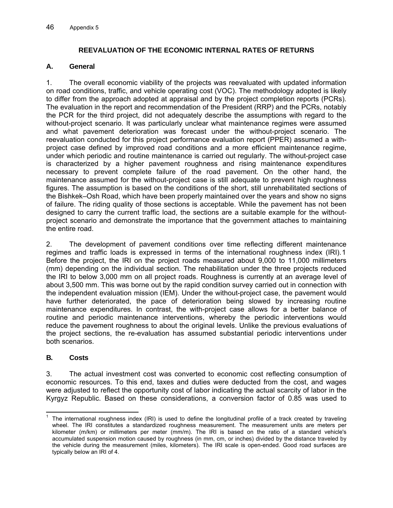### **REEVALUATION OF THE ECONOMIC INTERNAL RATES OF RETURNS**

#### **A. General**

1. The overall economic viability of the projects was reevaluated with upd ated information on road conditions, traffic, and vehicle operating cost (VOC). The methodology adopted is likely to differ from the approach adopted at appraisal and by the project completion reports (PCRs). The evaluation in the report and recommendation of the President (RRP) and th e PCRs, notably the PCR for the third project, did not adequately describe the assumptions w ith regard to the without-project scenario. It was particularly unclear what maintenance regimes were assumed and what pavement deterioration was forecast under the without-projec t scenario. The reevaluation conducted for this project performance evaluation report (PPER) a ssumed a withproject case defined by improved road conditions and a more efficient maint enance regime, under which periodic and routine maintenance is carried out regularly. The with out-project case is characterized by a higher pavement roughness and rising maintenan ce expenditures necessary to prevent complete failure of the road pavement. On the o ther hand, the maintenance assumed for the without-project case is still adequate to preven t high roughness figures. The assumption is based on the conditions of the short, still unrehabili tated sections of the Bishkek–Osh Road, which have been properly maintained over the years and show no signs of failure. The riding quality of those sections is acceptable. While the pavement has not been designed to carry the current traffic load, the sections are a suitable example for the withoutproject scenario and demonstrate the importance that the government attaches to maintaining the entire road.

2. The development of pavement conditions over time reflecting different maintenance regimes and traffic loads is expressed in terms of the international roughnes s index (IRI).1 Before the project, the IRI on the project roads measured about 9,000 to 11 ,000 millimeters (mm) depending on the individual section. The rehabilitation under the three p rojects reduced the IRI to below 3,000 mm on all project roads. Roughness is currently at an average level of about 3,500 mm. This was borne out by the rapid condition survey carried out in connection with the independent evaluation mission (IEM). Under the without-project case, the pavement would have further deteriorated, the pace of deterioration being slowed by increasing routine maintenance expenditures. In contrast, the with-project case allows for a better balance of routine and periodic maintenance interventions, whereby the periodic interventions would reduce the pavement roughness to about the original levels. Unlike the previous evaluations of the project sections, the re-evaluation has assumed substantial periodic interventions under both scenarios.

#### **B. Costs**

3. The actual investment cost was converted to economic cost reflecting consumption of economic resources. To this end, taxes and duties were deducted from the cost, and wages were adjusted to reflect the opportunity cost of labor indicating the actual scarcity of labor in the Kyrgyz Republic. Based on these considerations, a conversion factor of 0.85 was used to

 1 The international roughness index (IRI) is used to define the longitudinal profile of a track created by traveling wheel. The IRI constitutes a standardized roughness measurement. The measurement units are meters per kilometer (m/km) or millimeters per meter (mm/m). The IRI is based on the ratio of a standard vehicle's accumulated suspension motion caused by roughness (in mm, cm, or inches) divided by the distance traveled by the vehicle during the measurement (miles, kilometers). The IRI scale is open-ended. Good road surfaces are typically below an IRI of 4.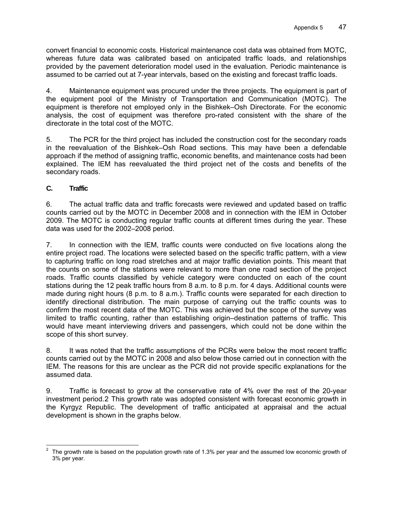convert financial to economic costs. Historical maintenance cost data was obtain ed from MOTC, whereas future data was calibrated based on anticipated traffic loads, a nd relationships provided by the pavement deterioration model used in the evaluation. Perio dic maintenance is assumed to be carried out at 7-year intervals, based on the existing and forecast traffic loads.

the equipment pool of the Ministry of Transportation and Communication (MOTC). The equipment is therefore not employed only in the Bishkek–Osh Directorate. For the economic analysis, the cost of equipment was therefore pro-rated consistent with the share of the 4. Maintenance equipment was procured under the three projects. The equipment is part of directorate in the total cost of the MOTC.

5. The PCR for the third project has included the construction cost for the secondary roads in the reevaluation of the Bishkek–Osh Road sections. This may have been a defendable approach if the method of assigning traffic, economic benefits, and maintenance costs had been explained. The IEM has reevaluated the third project net of the costs and benefits of the secondary roads.

# **C. Traffic**

6. The actual traffic data and traffic forecasts were reviewed and updated based on traffic counts carried out by the MOTC in December 2008 and in connection with the IEM in October 2009. The MOTC is conducting regular traffic counts at different times during the year. These data was used for the 2002–2008 period.

7. In connection with the IEM, traffic counts were conducted on five loc ations along the entire project road. The locations were selected based on the specific traffic pattern, with a view to capturing traffic on long road stretches and at major traffic deviation points. This meant that the counts on some of the stations were relevant to more than one road section of the project roads. Traffic counts classified by vehicle category were conducted on each of the count stations during the 12 peak traffic hours from 8 a.m. to 8 p.m. for 4 days. Additional counts were made during night hours (8 p.m. to 8 a.m.). Traffic counts were separated for each direction to identify directional distribution. The main purpose of carrying out the traffic counts was to confirm the most recent data of the MOTC. This was achieved but the scope of the survey was limited to traffic counting, rather than establishing origin–destination patterns of traffic. This would have meant interviewing drivers and passengers, which could not be done within the scope of this short survey.

8. It was noted that the traffic assumptions of the PCRs were below the most recent traffic counts carried out by the MOTC in 2008 and also below those carried out in connection with the IEM. The reasons for this are unclear as the PCR did not provide specific explanations for the assumed data.

9. Traffic is forecast to grow at the conservative rate of 4% over the rest of the 20-year investment period.2 This growth rate was adopted consistent with forecast economic growth in the Kyrgyz Republic. The development of traffic anticipated at appraisal and the actual development is shown in the graphs below.

<sup>-</sup>2 The growth rate is based on the population growth rate of 1.3% per year and the assumed low economic growth of 3% per year.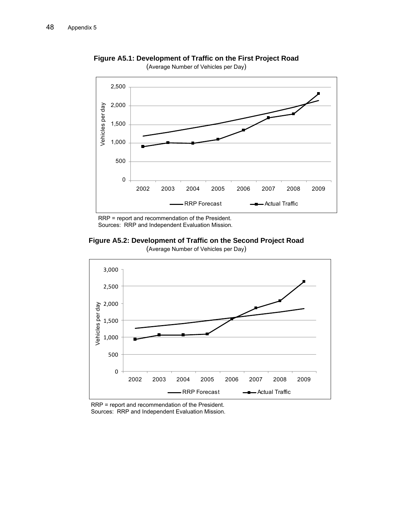

**Figure A5.1: Development of Traffic on the First Project Road**  (Average Number of Vehicles per Day)

RRP = report and recommendation of the President. Sources: RRP and Independent Evaluation Mission.

**Figure A5.2: Development of Traffic on the Second Project Road** 



(Average Number of Vehicles per Day)

RRP = report and recommendation of the President. Sources: RRP and Independent Evaluation Mission.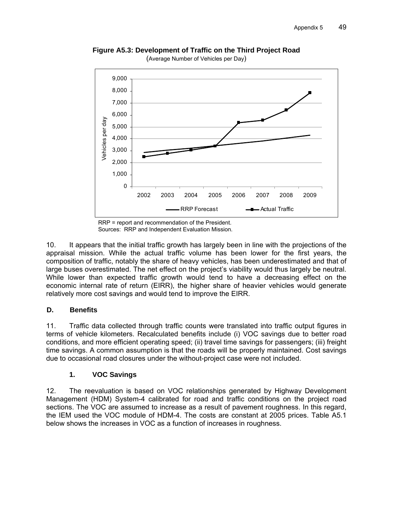

**Figure A5.3: Development of Traffic on the Third Project Road**  (Average Number of Vehicles per Day)

10. It appears that the initial traffic growth has largely been in line with the projections of the appraisal mission. While the actual traffic volume has been lower for the first years, the composition of traffic, notably the share of heavy vehicles, has been underestimated and that of large buses overestimated. The net effect on the project's viability would thus largely be neutral. While lower than expected traffic growth would tend to have a decreasing effect on the economic internal rate of return (EIRR), the higher share of heavier vehicles would generate relatively more cost savings and would tend to improve the EIRR.

#### **D. Benefits**

11. Traffic data collected through traffic counts were translated into traffic output figures in terms of vehicle kilometers. Recalculated benefits include (i) VOC savings due to better road conditions, and more efficient operating speed; (ii) travel time savings for passengers; (iii) freight time savings. A common assumption is that the roads will be properly maintained. Cost savings due to occasional road closures under the without-project case were not included.

# **1. VOC Savings**

12. The reevaluation is based on VOC relationships generated by Highway Development Management (HDM) System-4 calibrated for road and traffic conditions on the project road sections. The VOC are assumed to increase as a result of pavement roughness. In this regard, the IEM used the VOC module of HDM-4. The costs are constant at 2005 prices. Table A5.1 below shows the increases in VOC as a function of increases in roughness.

RRP = report and recommendation of the President. Sources: RRP and Independent Evaluation Mission.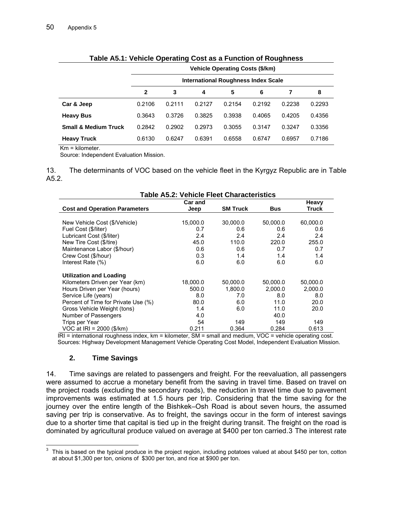| rapid Adir. Yomoid Operating Oost as a randaon or reagnitoso |        |                                            |        |        |        |        |        |  |  |  |  |  |
|--------------------------------------------------------------|--------|--------------------------------------------|--------|--------|--------|--------|--------|--|--|--|--|--|
|                                                              |        | <b>Vehicle Operating Costs (\$/km)</b>     |        |        |        |        |        |  |  |  |  |  |
|                                                              |        | <b>International Roughness Index Scale</b> |        |        |        |        |        |  |  |  |  |  |
|                                                              | 2      | 3                                          | 4      | 5      | 6      |        | 8      |  |  |  |  |  |
| Car & Jeep                                                   | 0.2106 | 0.2111                                     | 0.2127 | 0.2154 | 0.2192 | 0.2238 | 0.2293 |  |  |  |  |  |
| <b>Heavy Bus</b>                                             | 0.3643 | 0.3726                                     | 0.3825 | 0.3938 | 0.4065 | 0.4205 | 0.4356 |  |  |  |  |  |
| <b>Small &amp; Medium Truck</b>                              | 0.2842 | 0.2902                                     | 0.2973 | 0.3055 | 0.3147 | 0.3247 | 0.3356 |  |  |  |  |  |
| <b>Heavy Truck</b>                                           | 0.6130 | 0.6247                                     | 0.6391 | 0.6558 | 0.6747 | 0.6957 | 0.7186 |  |  |  |  |  |

#### **Table A5.1: Vehicle Operating Cost as a Function of Roughness**

Km = kilometer.

Source: Independent Evaluation Mission.

13. The determinants of VOC based on the vehicle fleet in the Kyrgyz Republic are in Table A 5.2.

|                                      | <b>Table A5.2: Vehicle Fleet Characteristics</b> |          |            |              |  |  |  |  |  |  |
|--------------------------------------|--------------------------------------------------|----------|------------|--------------|--|--|--|--|--|--|
| <b>Car and</b>                       |                                                  |          |            |              |  |  |  |  |  |  |
| <b>Cost and Operation Parameters</b> | <b>SM Truck</b><br>Jeep                          |          | <b>Bus</b> | <b>Truck</b> |  |  |  |  |  |  |
|                                      |                                                  |          |            |              |  |  |  |  |  |  |
| New Vehicle Cost (\$/Vehicle)        | 15,000.0                                         | 30,000.0 | 50,000.0   | 60,000.0     |  |  |  |  |  |  |
| Fuel Cost (\$/liter)                 | 0.7                                              | 0.6      | 0.6        | 0.6          |  |  |  |  |  |  |
| Lubricant Cost (\$/liter)            | 2.4                                              | 2.4      | 2.4        | 2.4          |  |  |  |  |  |  |
| New Tire Cost (\$/tire)              | 45.0                                             | 110.0    | 220.0      | 255.0        |  |  |  |  |  |  |
| Maintenance Labor (\$/hour)          | 0.6                                              | 0.6      | 0.7        | 0.7          |  |  |  |  |  |  |
| Crew Cost (\$/hour)                  | 0.3                                              | 1.4      | 1.4        | 1.4          |  |  |  |  |  |  |
| Interest Rate (%)                    | 6.0                                              | 6.0      | 6.0        | 6.0          |  |  |  |  |  |  |
| <b>Utilization and Loading</b>       |                                                  |          |            |              |  |  |  |  |  |  |
| Kilometers Driven per Year (km)      | 18,000.0                                         | 50,000.0 | 50,000.0   | 50,000.0     |  |  |  |  |  |  |
| Hours Driven per Year (hours)        | 500.0                                            | 1,800.0  | 2,000.0    | 2,000.0      |  |  |  |  |  |  |
| Service Life (years)                 | 8.0                                              | 7.0      | 8.0        | 8.0          |  |  |  |  |  |  |
| Percent of Time for Private Use (%)  | 80.0                                             | 6.0      | 11.0       | 20.0         |  |  |  |  |  |  |
| Gross Vehicle Weight (tons)          | 1.4                                              | 6.0      | 11.0       | 20.0         |  |  |  |  |  |  |
| Number of Passengers                 | 4.0                                              |          | 40.0       |              |  |  |  |  |  |  |
| Trips per Year                       | 54                                               | 149      | 149        | 149          |  |  |  |  |  |  |
| VOC at IRI = 2000 (\$/km)            | 0.211                                            | 0.364    | 0.284      | 0.613        |  |  |  |  |  |  |

IRI = international roughness index, km = kilometer, SM = small and medium, VOC = vehicle operating cost. Sources: Highway Development Management Vehicle Operating Cost Model, Independent E valuation Mission.

#### **2. Time Savings**

14. Time savings are related to passengers and freight. For the reevaluation, all passengers were assumed to accrue a monetary benefit from the saving in travel time. Based on travel on the project roads (excluding the secondary roads), the reduction in travel time due to pavement improvements was estimated at 1.5 hours per trip. Considering that the time saving for the journey over the entire length of the Bishkek–Osh Road is about seven hours, the assumed saving per trip is conservative. As to freight, the savings occur in the form of interest savings due to a shorter time that capital is tied up in the freight during transit. The freight on the road is dominated by agricultural produce valued on average at \$400 per ton carried.3 The interest rate

<sup>&</sup>lt;u>2003</u><br><sup>3</sup> This is based on the typical produce in the project region, including potatoes valued at about \$450 per ton, cotton at about \$1,300 per ton, onions of \$300 per ton, and rice at \$900 per ton.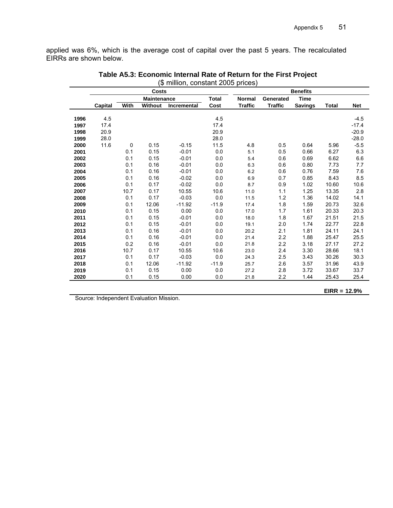applied was 6%, which is the average cost of capital over the past 5 years. The recalculated EIRRs are shown below.

|      | (φ millium, constant zuud prices) |      |                    |                    |              |                |                |                 |       |            |
|------|-----------------------------------|------|--------------------|--------------------|--------------|----------------|----------------|-----------------|-------|------------|
|      |                                   |      | <b>Costs</b>       |                    |              |                |                | <b>Benefits</b> |       |            |
|      |                                   |      | <b>Maintenance</b> |                    | <b>Total</b> | <b>Normal</b>  | Generated      | <b>Time</b>     |       |            |
|      | Capital                           | With | <b>Without</b>     | <b>Incremental</b> | Cost         | <b>Traffic</b> | <b>Traffic</b> | <b>Savings</b>  | Total | <b>Net</b> |
|      |                                   |      |                    |                    |              |                |                |                 |       |            |
| 1996 | 4.5                               |      |                    |                    | 4.5          |                |                |                 |       | $-4.5$     |
| 1997 | 17.4                              |      |                    |                    | 17.4         |                |                |                 |       | $-17.4$    |
| 1998 | 20.9                              |      |                    |                    | 20.9         |                |                |                 |       | $-20.9$    |
| 1999 | 28.0                              |      |                    |                    | 28.0         |                |                |                 |       | $-28.0$    |
| 2000 | 11.6                              | 0    | 0.15               | $-0.15$            | 11.5         | 4.8            | 0.5            | 0.64            | 5.96  | $-5.5$     |
| 2001 |                                   | 0.1  | 0.15               | $-0.01$            | 0.0          | 5.1            | 0.5            | 0.66            | 6.27  | 6.3        |
| 2002 |                                   | 0.1  | 0.15               | $-0.01$            | 0.0          | 5.4            | 0.6            | 0.69            | 6.62  | 6.6        |
| 2003 |                                   | 0.1  | 0.16               | $-0.01$            | 0.0          | 6.3            | 0.6            | 0.80            | 7.73  | 7.7        |
| 2004 |                                   | 0.1  | 0.16               | $-0.01$            | 0.0          | 6.2            | 0.6            | 0.76            | 7.59  | 7.6        |
| 2005 |                                   | 0.1  | 0.16               | $-0.02$            | 0.0          | 6.9            | 0.7            | 0.85            | 8.43  | 8.5        |
| 2006 |                                   | 0.1  | 0.17               | $-0.02$            | 0.0          | 8.7            | 0.9            | 1.02            | 10.60 | 10.6       |
| 2007 |                                   | 10.7 | 0.17               | 10.55              | 10.6         | 11.0           | 1.1            | 1.25            | 13.35 | 2.8        |
| 2008 |                                   | 0.1  | 0.17               | $-0.03$            | 0.0          | 11.5           | 1.2            | 1.36            | 14.02 | 14.1       |
| 2009 |                                   | 0.1  | 12.06              | $-11.92$           | $-11.9$      | 17.4           | 1.8            | 1.59            | 20.73 | 32.6       |
| 2010 |                                   | 0.1  | 0.15               | 0.00               | 0.0          | 17.0           | 1.7            | 1.61            | 20.33 | 20.3       |
| 2011 |                                   | 0.1  | 0.15               | $-0.01$            | 0.0          | 18.0           | 1.8            | 1.67            | 21.51 | 21.5       |
| 2012 |                                   | 0.1  | 0.15               | $-0.01$            | 0.0          | 19.1           | 2.0            | 1.74            | 22.77 | 22.8       |
| 2013 |                                   | 0.1  | 0.16               | $-0.01$            | 0.0          | 20.2           | 2.1            | 1.81            | 24.11 | 24.1       |
| 2014 |                                   | 0.1  | 0.16               | $-0.01$            | 0.0          | 21.4           | 2.2            | 1.88            | 25.47 | 25.5       |
| 2015 |                                   | 0.2  | 0.16               | $-0.01$            | 0.0          | 21.8           | 2.2            | 3.18            | 27.17 | 27.2       |
| 2016 |                                   | 10.7 | 0.17               | 10.55              | 10.6         | 23.0           | 2.4            | 3.30            | 28.66 | 18.1       |
| 2017 |                                   | 0.1  | 0.17               | $-0.03$            | 0.0          | 24.3           | 2.5            | 3.43            | 30.26 | 30.3       |
| 2018 |                                   | 0.1  | 12.06              | $-11.92$           | $-11.9$      | 25.7           | 2.6            | 3.57            | 31.96 | 43.9       |
| 2019 |                                   | 0.1  | 0.15               | 0.00               | 0.0          | 27.2           | 2.8            | 3.72            | 33.67 | 33.7       |
| 2020 |                                   | 0.1  | 0.15               | 0.00               | 0.0          | 21.8           | 2.2            | 1.44            | 25.43 | 25.4       |
|      |                                   |      |                    |                    |              |                |                |                 |       |            |

| Table A5.3: Economic Internal Rate of Return for the First Project |  |  |  |
|--------------------------------------------------------------------|--|--|--|
| (\$ million, constant 2005 prices)                                 |  |  |  |

**EIRR = 12.9%**

Source: Independent Evaluation Mission.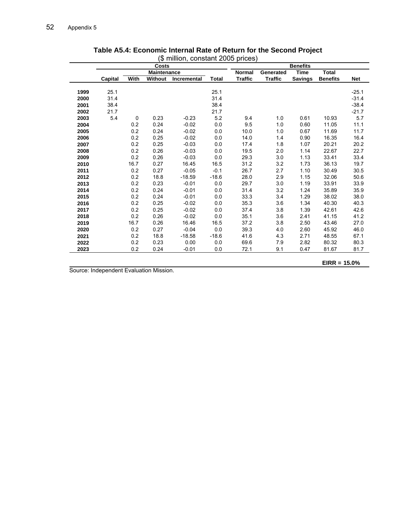|      | \$ million, constant 2005 prices) |      |                    |             |              |                |                |                 |                 |            |
|------|-----------------------------------|------|--------------------|-------------|--------------|----------------|----------------|-----------------|-----------------|------------|
|      |                                   |      | <b>Costs</b>       |             |              |                |                | <b>Benefits</b> |                 |            |
|      |                                   |      | <b>Maintenance</b> |             |              | <b>Normal</b>  | Generated      | Time            | <b>Total</b>    |            |
|      | <b>Capital</b>                    | With | <b>Without</b>     | Incremental | <b>Total</b> | <b>Traffic</b> | <b>Traffic</b> | <b>Savings</b>  | <b>Benefits</b> | <b>Net</b> |
| 1999 | 25.1                              |      |                    |             | 25.1         |                |                |                 |                 | $-25.1$    |
| 2000 | 31.4                              |      |                    |             | 31.4         |                |                |                 |                 | $-31.4$    |
| 2001 | 38.4                              |      |                    |             | 38.4         |                |                |                 |                 | $-38.4$    |
| 2002 | 21.7                              |      |                    |             | 21.7         |                |                |                 |                 | $-21.7$    |
| 2003 | 5.4                               | 0    | 0.23               | $-0.23$     | 5.2          | 9.4            | 1.0            | 0.61            | 10.93           | 5.7        |
| 2004 |                                   | 0.2  | 0.24               | $-0.02$     | 0.0          | 9.5            | 1.0            | 0.60            | 11.05           | 11.1       |
| 2005 |                                   | 0.2  | 0.24               | $-0.02$     | 0.0          | 10.0           | 1.0            | 0.67            | 11.69           | 11.7       |
| 2006 |                                   | 0.2  | 0.25               | $-0.02$     | 0.0          | 14.0           | 1.4            | 0.90            | 16.35           | 16.4       |
| 2007 |                                   | 0.2  | 0.25               | $-0.03$     | 0.0          | 17.4           | 1.8            | 1.07            | 20.21           | 20.2       |
| 2008 |                                   | 0.2  | 0.26               | $-0.03$     | 0.0          | 19.5           | 2.0            | 1.14            | 22.67           | 22.7       |
| 2009 |                                   | 0.2  | 0.26               | $-0.03$     | 0.0          | 29.3           | 3.0            | 1.13            | 33.41           | 33.4       |
| 2010 |                                   | 16.7 | 0.27               | 16.45       | 16.5         | 31.2           | 3.2            | 1.73            | 36.13           | 19.7       |
| 2011 |                                   | 0.2  | 0.27               | $-0.05$     | $-0.1$       | 26.7           | 2.7            | 1.10            | 30.49           | 30.5       |
| 2012 |                                   | 0.2  | 18.8               | $-18.59$    | $-18.6$      | 28.0           | 2.9            | 1.15            | 32.06           | 50.6       |
| 2013 |                                   | 0.2  | 0.23               | $-0.01$     | 0.0          | 29.7           | 3.0            | 1.19            | 33.91           | 33.9       |
| 2014 |                                   | 0.2  | 0.24               | $-0.01$     | 0.0          | 31.4           | 3.2            | 1.24            | 35.89           | 35.9       |
| 2015 |                                   | 0.2  | 0.24               | $-0.01$     | 0.0          | 33.3           | 3.4            | 1.29            | 38.02           | 38.0       |
| 2016 |                                   | 0.2  | 0.25               | $-0.02$     | 0.0          | 35.3           | 3.6            | 1.34            | 40.30           | 40.3       |
| 2017 |                                   | 0.2  | 0.25               | $-0.02$     | 0.0          | 37.4           | 3.8            | 1.39            | 42.61           | 42.6       |
| 2018 |                                   | 0.2  | 0.26               | $-0.02$     | 0.0          | 35.1           | 3.6            | 2.41            | 41.15           | 41.2       |
| 2019 |                                   | 16.7 | 0.26               | 16.46       | 16.5         | 37.2           | 3.8            | 2.50            | 43.46           | 27.0       |
| 2020 |                                   | 0.2  | 0.27               | $-0.04$     | 0.0          | 39.3           | 4.0            | 2.60            | 45.92           | 46.0       |
| 2021 |                                   | 0.2  | 18.8               | $-18.58$    | $-18.6$      | 41.6           | 4.3            | 2.71            | 48.55           | 67.1       |
| 2022 |                                   | 0.2  | 0.23               | 0.00        | 0.0          | 69.6           | 7.9            | 2.82            | 80.32           | 80.3       |
| 2023 |                                   | 0.2  | 0.24               | $-0.01$     | 0.0          | 72.1           | 9.1            | 0.47            | 81.67           | 81.7       |

| Table A5.4: Economic Internal Rate of Return for the Second Project |
|---------------------------------------------------------------------|
| $(0 \text{ million content} 2005 \text{ vir})$                      |

Source: Independent Evaluation Mission.

**EIRR = 15.0%**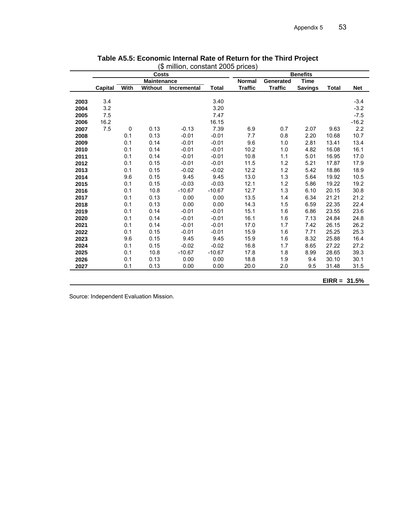|      |                |      | Costs              |                    |          |                |                | <b>Benefits</b> |               |            |
|------|----------------|------|--------------------|--------------------|----------|----------------|----------------|-----------------|---------------|------------|
|      |                |      | <b>Maintenance</b> |                    |          | <b>Normal</b>  | Generated      | <b>Time</b>     |               |            |
|      | <b>Capital</b> | With | <b>Without</b>     | <b>Incremental</b> | Total    | <b>Traffic</b> | <b>Traffic</b> | <b>Savings</b>  | <b>Total</b>  | <b>Net</b> |
|      |                |      |                    |                    |          |                |                |                 |               |            |
| 2003 | 3.4            |      |                    |                    | 3.40     |                |                |                 |               | $-3.4$     |
| 2004 | 3.2            |      |                    |                    | 3.20     |                |                |                 |               | $-3.2$     |
| 2005 | 7.5            |      |                    |                    | 7.47     |                |                |                 |               | $-7.5$     |
| 2006 | 16.2           |      |                    |                    | 16.15    |                |                |                 |               | $-16.2$    |
| 2007 | 7.5            | 0    | 0.13               | $-0.13$            | 7.39     | 6.9            | 0.7            | 2.07            | 9.63          | 2.2        |
| 2008 |                | 0.1  | 0.13               | $-0.01$            | $-0.01$  | 7.7            | 0.8            | 2.20            | 10.68         | 10.7       |
| 2009 |                | 0.1  | 0.14               | $-0.01$            | $-0.01$  | 9.6            | 1.0            | 2.81            | 13.41         | 13.4       |
| 2010 |                | 0.1  | 0.14               | $-0.01$            | $-0.01$  | 10.2           | 1.0            | 4.82            | 16.08         | 16.1       |
| 2011 |                | 0.1  | 0.14               | $-0.01$            | $-0.01$  | 10.8           | 1.1            | 5.01            | 16.95         | 17.0       |
| 2012 |                | 0.1  | 0.15               | $-0.01$            | $-0.01$  | 11.5           | 1.2            | 5.21            | 17.87         | 17.9       |
| 2013 |                | 0.1  | 0.15               | $-0.02$            | $-0.02$  | 12.2           | 1.2            | 5.42            | 18.86         | 18.9       |
| 2014 |                | 9.6  | 0.15               | 9.45               | 9.45     | 13.0           | 1.3            | 5.64            | 19.92         | 10.5       |
| 2015 |                | 0.1  | 0.15               | $-0.03$            | $-0.03$  | 12.1           | 1.2            | 5.86            | 19.22         | 19.2       |
| 2016 |                | 0.1  | 10.8               | $-10.67$           | $-10.67$ | 12.7           | 1.3            | 6.10            | 20.15         | 30.8       |
| 2017 |                | 0.1  | 0.13               | 0.00               | 0.00     | 13.5           | 1.4            | 6.34            | 21.21         | 21.2       |
| 2018 |                | 0.1  | 0.13               | 0.00               | 0.00     | 14.3           | 1.5            | 6.59            | 22.35         | 22.4       |
| 2019 |                | 0.1  | 0.14               | $-0.01$            | $-0.01$  | 15.1           | 1.6            | 6.86            | 23.55         | 23.6       |
| 2020 |                | 0.1  | 0.14               | $-0.01$            | $-0.01$  | 16.1           | 1.6            | 7.13            | 24.84         | 24.8       |
| 2021 |                | 0.1  | 0.14               | $-0.01$            | $-0.01$  | 17.0           | 1.7            | 7.42            | 26.15         | 26.2       |
| 2022 |                | 0.1  | 0.15               | $-0.01$            | $-0.01$  | 15.9           | 1.6            | 7.71            | 25.25         | 25.3       |
| 2023 |                | 9.6  | 0.15               | 9.45               | 9.45     | 15.9           | 1.6            | 8.32            | 25.88         | 16.4       |
| 2024 |                | 0.1  | 0.15               | $-0.02$            | $-0.02$  | 16.8           | 1.7            | 8.65            | 27.22         | 27.2       |
| 2025 |                | 0.1  | 10.8               | $-10.67$           | $-10.67$ | 17.8           | 1.8            | 8.99            | 28.65         | 39.3       |
| 2026 |                | 0.1  | 0.13               | 0.00               | 0.00     | 18.8           | 1.9            | 9.4             | 30.10         | 30.1       |
| 2027 |                | 0.1  | 0.13               | 0.00               | 0.00     | 20.0           | 2.0            | 9.5             | 31.48         | 31.5       |
|      |                |      |                    |                    |          |                |                |                 |               |            |
|      |                |      |                    |                    |          |                |                |                 | $EIR = 31.5%$ |            |

| Table A5.5: Economic Internal Rate of Return for the Third Project |  |  |
|--------------------------------------------------------------------|--|--|
| (\$ million, constant 2005 prices)                                 |  |  |

Source: Independent Evaluation Mission.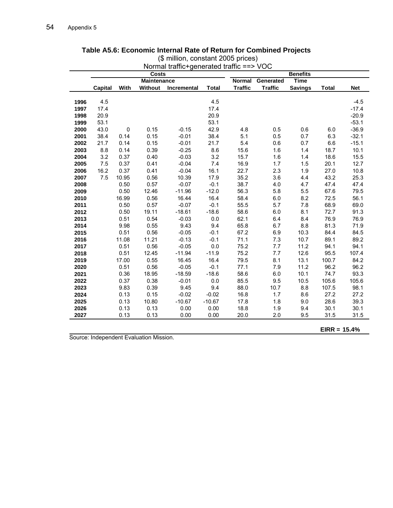|      | Normal traffic+generated traffic ==> VOC |             |         |             |              |                |                |                 |              |            |
|------|------------------------------------------|-------------|---------|-------------|--------------|----------------|----------------|-----------------|--------------|------------|
|      | <b>Costs</b>                             |             |         |             |              |                |                | <b>Benefits</b> |              |            |
|      | <b>Maintenance</b>                       |             |         | Normal      | Generated    | <b>Time</b>    |                |                 |              |            |
|      | <b>Capital</b>                           | With        | Without | Incremental | <b>Total</b> | <b>Traffic</b> | <b>Traffic</b> | <b>Savings</b>  | <b>Total</b> | <b>Net</b> |
|      |                                          |             |         |             |              |                |                |                 |              |            |
| 1996 | 4.5                                      |             |         |             | 4.5          |                |                |                 |              | $-4.5$     |
| 1997 | 17.4                                     |             |         |             | 17.4         |                |                |                 |              | $-17.4$    |
| 1998 | 20.9                                     |             |         |             | 20.9         |                |                |                 |              | $-20.9$    |
| 1999 | 53.1                                     |             |         |             | 53.1         |                |                |                 |              | $-53.1$    |
| 2000 | 43.0                                     | $\mathbf 0$ | 0.15    | $-0.15$     | 42.9         | 4.8            | 0.5            | 0.6             | 6.0          | $-36.9$    |
| 2001 | 38.4                                     | 0.14        | 0.15    | $-0.01$     | 38.4         | 5.1            | 0.5            | 0.7             | 6.3          | $-32.1$    |
| 2002 | 21.7                                     | 0.14        | 0.15    | $-0.01$     | 21.7         | 5.4            | 0.6            | 0.7             | 6.6          | $-15.1$    |
| 2003 | 8.8                                      | 0.14        | 0.39    | $-0.25$     | 8.6          | 15.6           | 1.6            | 1.4             | 18.7         | 10.1       |
| 2004 | 3.2                                      | 0.37        | 0.40    | $-0.03$     | 3.2          | 15.7           | 1.6            | 1.4             | 18.6         | 15.5       |
| 2005 | $7.5$                                    | 0.37        | 0.41    | $-0.04$     | 7.4          | 16.9           | 1.7            | 1.5             | 20.1         | 12.7       |
| 2006 | 16.2                                     | 0.37        | 0.41    | $-0.04$     | 16.1         | 22.7           | 2.3            | 1.9             | 27.0         | 10.8       |
| 2007 | 7.5                                      | 10.95       | 0.56    | 10.39       | 17.9         | 35.2           | 3.6            | 4.4             | 43.2         | 25.3       |
| 2008 |                                          | 0.50        | 0.57    | $-0.07$     | $-0.1$       | 38.7           | 4.0            | 4.7             | 47.4         | 47.4       |
| 2009 |                                          | 0.50        | 12.46   | $-11.96$    | $-12.0$      | 56.3           | 5.8            | 5.5             | 67.6         | 79.5       |
| 2010 |                                          | 16.99       | 0.56    | 16.44       | 16.4         | 58.4           | 6.0            | 8.2             | 72.5         | 56.1       |
| 2011 |                                          | 0.50        | 0.57    | $-0.07$     | $-0.1$       | 55.5           | 5.7            | 7.8             | 68.9         | 69.0       |
| 2012 |                                          | 0.50        | 19.11   | $-18.61$    | $-18.6$      | 58.6           | 6.0            | 8.1             | 72.7         | 91.3       |
| 2013 |                                          | 0.51        | 0.54    | $-0.03$     | 0.0          | 62.1           | 6.4            | 8.4             | 76.9         | 76.9       |
| 2014 |                                          | 9.98        | 0.55    | 9.43        | 9.4          | 65.8           | 6.7            | 8.8             | 81.3         | 71.9       |
| 2015 |                                          | 0.51        | 0.56    | $-0.05$     | $-0.1$       | 67.2           | 6.9            | 10.3            | 84.4         | 84.5       |
| 2016 |                                          | 11.08       | 11.21   | $-0.13$     | $-0.1$       | 71.1           | 7.3            | 10.7            | 89.1         | 89.2       |
| 2017 |                                          | 0.51        | 0.56    | $-0.05$     | 0.0          | 75.2           | 7.7            | 11.2            | 94.1         | 94.1       |
| 2018 |                                          | 0.51        | 12.45   | $-11.94$    | $-11.9$      | 75.2           | 7.7            | 12.6            | 95.5         | 107.4      |
| 2019 |                                          | 17.00       | 0.55    | 16.45       | 16.4         | 79.5           | 8.1            | 13.1            | 100.7        | 84.2       |
| 2020 |                                          | 0.51        | 0.56    | $-0.05$     | $-0.1$       | 77.1           | 7.9            | 11.2            | 96.2         | 96.2       |
| 2021 |                                          | 0.36        | 18.95   | $-18.59$    | $-18.6$      | 58.6           | 6.0            | 10.1            | 74.7         | 93.3       |
| 2022 |                                          | 0.37        | 0.38    | $-0.01$     | $0.0\,$      | 85.5           | 9.5            | 10.5            | 105.6        | 105.6      |
| 2023 |                                          | 9.83        | 0.39    | 9.45        | 9.4          | 88.0           | 10.7           | 8.8             | 107.5        | 98.1       |
| 2024 |                                          | 0.13        | 0.15    | $-0.02$     | $-0.02$      | 16.8           | 1.7            | 8.6             | 27.2         | 27.2       |
| 2025 |                                          | 0.13        | 10.80   | $-10.67$    | $-10.67$     | 17.8           | 1.8            | 9.0             | 28.6         | 39.3       |
| 2026 |                                          | 0.13        | 0.13    | 0.00        | 0.00         | 18.8           | 1.9            | 9.4             | 30.1         | 30.1       |
| 2027 |                                          | 0.13        | 0.13    | 0.00        | 0.00         | 20.0           | 2.0            | 9.5             | 31.5         | 31.5       |

#### **Table A5.6: Economic Internal Rate of Return for Combined Projects**

5 prices) (\$ million, constant 200

Source: Independent Evaluation Mission.

**EIRR = 15.4%**